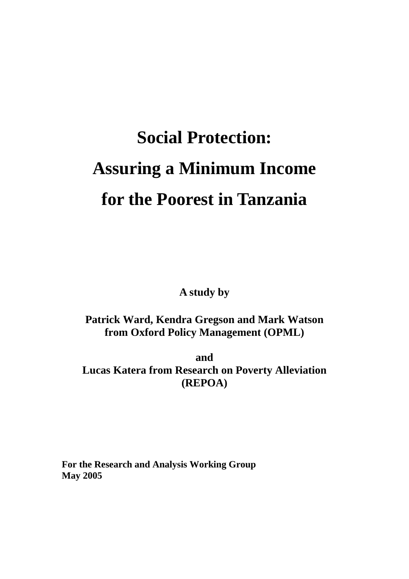# **Social Protection: Assuring a Minimum Income for the Poorest in Tanzania**

**A study by** 

# **Patrick Ward, Kendra Gregson and Mark Watson from Oxford Policy Management (OPML)**

**and Lucas Katera from Research on Poverty Alleviation (REPOA)**

**For the Research and Analysis Working Group May 2005**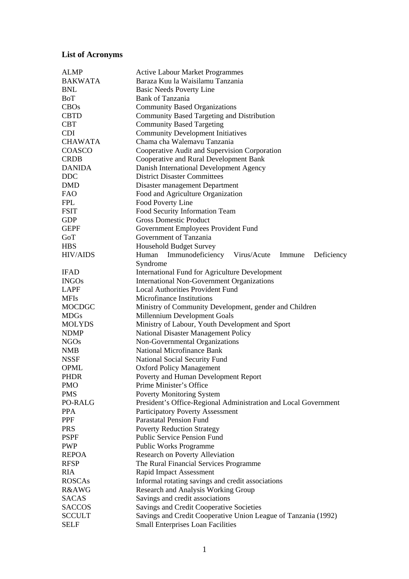# **List of Acronyms**

| <b>ALMP</b>      | <b>Active Labour Market Programmes</b>                          |  |  |  |
|------------------|-----------------------------------------------------------------|--|--|--|
| <b>BAKWATA</b>   | Baraza Kuu la Waisilamu Tanzania                                |  |  |  |
| <b>BNL</b>       | <b>Basic Needs Poverty Line</b>                                 |  |  |  |
| BoT              | <b>Bank of Tanzania</b>                                         |  |  |  |
| <b>CBOs</b>      | <b>Community Based Organizations</b>                            |  |  |  |
| <b>CBTD</b>      | Community Based Targeting and Distribution                      |  |  |  |
| <b>CBT</b>       | <b>Community Based Targeting</b>                                |  |  |  |
| <b>CDI</b>       | <b>Community Development Initiatives</b>                        |  |  |  |
| <b>CHAWATA</b>   | Chama cha Walemavu Tanzania                                     |  |  |  |
| COASCO           | Cooperative Audit and Supervision Corporation                   |  |  |  |
| <b>CRDB</b>      | Cooperative and Rural Development Bank                          |  |  |  |
| <b>DANIDA</b>    | Danish International Development Agency                         |  |  |  |
| <b>DDC</b>       | <b>District Disaster Committees</b>                             |  |  |  |
|                  |                                                                 |  |  |  |
| <b>DMD</b>       | Disaster management Department                                  |  |  |  |
| <b>FAO</b>       | Food and Agriculture Organization                               |  |  |  |
| <b>FPL</b>       | Food Poverty Line                                               |  |  |  |
| <b>FSIT</b>      | Food Security Information Team                                  |  |  |  |
| <b>GDP</b>       | <b>Gross Domestic Product</b>                                   |  |  |  |
| <b>GEPF</b>      | Government Employees Provident Fund                             |  |  |  |
| GoT              | Government of Tanzania                                          |  |  |  |
| <b>HBS</b>       | <b>Household Budget Survey</b>                                  |  |  |  |
| <b>HIV/AIDS</b>  | Immunodeficiency Virus/Acute<br>Human<br>Immune<br>Deficiency   |  |  |  |
|                  | Syndrome                                                        |  |  |  |
| <b>IFAD</b>      | International Fund for Agriculture Development                  |  |  |  |
| <b>INGOs</b>     | <b>International Non-Government Organizations</b>               |  |  |  |
| <b>LAPF</b>      | <b>Local Authorities Provident Fund</b>                         |  |  |  |
| <b>MFIs</b>      | <b>Microfinance Institutions</b>                                |  |  |  |
| <b>MOCDGC</b>    | Ministry of Community Development, gender and Children          |  |  |  |
| <b>MDGs</b>      | Millennium Development Goals                                    |  |  |  |
| <b>MOLYDS</b>    | Ministry of Labour, Youth Development and Sport                 |  |  |  |
| <b>NDMP</b>      | National Disaster Management Policy                             |  |  |  |
| <b>NGOs</b>      | Non-Governmental Organizations                                  |  |  |  |
| <b>NMB</b>       | <b>National Microfinance Bank</b>                               |  |  |  |
|                  |                                                                 |  |  |  |
| <b>NSSF</b>      | <b>National Social Security Fund</b>                            |  |  |  |
| <b>OPML</b>      | <b>Oxford Policy Management</b>                                 |  |  |  |
| <b>PHDR</b>      | Poverty and Human Development Report                            |  |  |  |
| <b>PMO</b>       | Prime Minister's Office                                         |  |  |  |
| <b>PMS</b>       | <b>Poverty Monitoring System</b>                                |  |  |  |
| PO-RALG          | President's Office-Regional Administration and Local Government |  |  |  |
| <b>PPA</b>       | Participatory Poverty Assessment                                |  |  |  |
| <b>PPF</b>       | <b>Parastatal Pension Fund</b>                                  |  |  |  |
| <b>PRS</b>       | <b>Poverty Reduction Strategy</b>                               |  |  |  |
| <b>PSPF</b>      | <b>Public Service Pension Fund</b>                              |  |  |  |
| <b>PWP</b>       | Public Works Programme                                          |  |  |  |
| <b>REPOA</b>     | Research on Poverty Alleviation                                 |  |  |  |
| <b>RFSP</b>      | The Rural Financial Services Programme                          |  |  |  |
| <b>RIA</b>       | <b>Rapid Impact Assessment</b>                                  |  |  |  |
| <b>ROSCAs</b>    | Informal rotating savings and credit associations               |  |  |  |
| <b>R&amp;AWG</b> | Research and Analysis Working Group                             |  |  |  |
| <b>SACAS</b>     | Savings and credit associations                                 |  |  |  |
| <b>SACCOS</b>    | Savings and Credit Cooperative Societies                        |  |  |  |
| <b>SCCULT</b>    | Savings and Credit Cooperative Union League of Tanzania (1992)  |  |  |  |
| <b>SELF</b>      |                                                                 |  |  |  |
|                  | <b>Small Enterprises Loan Facilities</b>                        |  |  |  |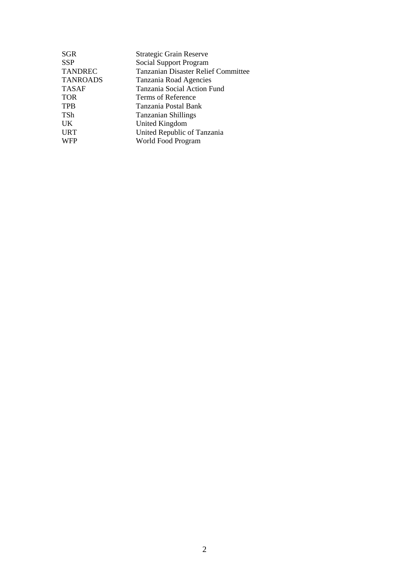| SGR             | Strategic Grain Reserve                    |
|-----------------|--------------------------------------------|
| SSP             | Social Support Program                     |
| <b>TANDREC</b>  | <b>Tanzanian Disaster Relief Committee</b> |
| <b>TANROADS</b> | Tanzania Road Agencies                     |
| TASAF           | Tanzania Social Action Fund                |
| TOR             | Terms of Reference                         |
| TPB             | Tanzania Postal Bank                       |
| TSh             | Tanzanian Shillings                        |
| UK              | United Kingdom                             |
| URT             | United Republic of Tanzania                |
| WFP             | World Food Program                         |
|                 |                                            |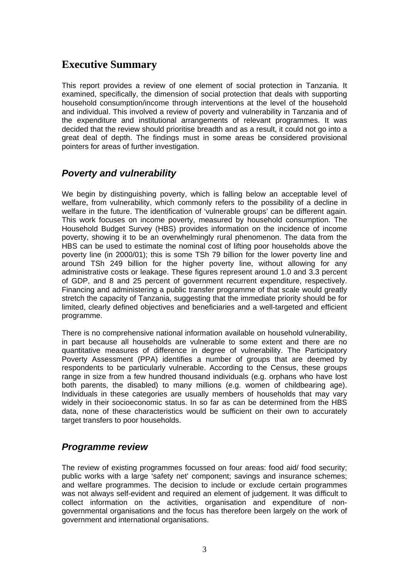# **Executive Summary**

This report provides a review of one element of social protection in Tanzania. It examined, specifically, the dimension of social protection that deals with supporting household consumption/income through interventions at the level of the household and individual. This involved a review of poverty and vulnerability in Tanzania and of the expenditure and institutional arrangements of relevant programmes. It was decided that the review should prioritise breadth and as a result, it could not go into a great deal of depth. The findings must in some areas be considered provisional pointers for areas of further investigation.

# *Poverty and vulnerability*

We begin by distinguishing poverty, which is falling below an acceptable level of welfare, from vulnerability, which commonly refers to the possibility of a decline in welfare in the future. The identification of 'vulnerable groups' can be different again. This work focuses on income poverty, measured by household consumption. The Household Budget Survey (HBS) provides information on the incidence of income poverty, showing it to be an overwhelmingly rural phenomenon. The data from the HBS can be used to estimate the nominal cost of lifting poor households above the poverty line (in 2000/01); this is some TSh 79 billion for the lower poverty line and around TSh 249 billion for the higher poverty line, without allowing for any administrative costs or leakage. These figures represent around 1.0 and 3.3 percent of GDP, and 8 and 25 percent of government recurrent expenditure, respectively. Financing and administering a public transfer programme of that scale would greatly stretch the capacity of Tanzania, suggesting that the immediate priority should be for limited, clearly defined objectives and beneficiaries and a well-targeted and efficient programme.

There is no comprehensive national information available on household vulnerability, in part because all households are vulnerable to some extent and there are no quantitative measures of difference in degree of vulnerability. The Participatory Poverty Assessment (PPA) identifies a number of groups that are deemed by respondents to be particularly vulnerable. According to the Census, these groups range in size from a few hundred thousand individuals (e.g. orphans who have lost both parents, the disabled) to many millions (e.g. women of childbearing age). Individuals in these categories are usually members of households that may vary widely in their socioeconomic status. In so far as can be determined from the HBS data, none of these characteristics would be sufficient on their own to accurately target transfers to poor households.

# *Programme review*

The review of existing programmes focussed on four areas: food aid/ food security; public works with a large 'safety net' component; savings and insurance schemes; and welfare programmes. The decision to include or exclude certain programmes was not always self-evident and required an element of judgement. It was difficult to collect information on the activities, organisation and expenditure of nongovernmental organisations and the focus has therefore been largely on the work of government and international organisations.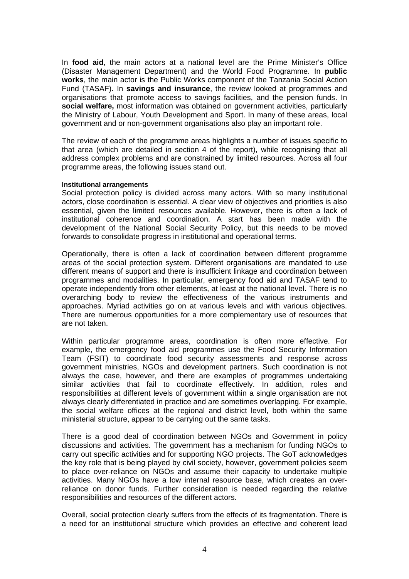In **food aid**, the main actors at a national level are the Prime Minister's Office (Disaster Management Department) and the World Food Programme. In **public works**, the main actor is the Public Works component of the Tanzania Social Action Fund (TASAF). In **savings and insurance**, the review looked at programmes and organisations that promote access to savings facilities, and the pension funds. In **social welfare,** most information was obtained on government activities, particularly the Ministry of Labour, Youth Development and Sport. In many of these areas, local government and or non-government organisations also play an important role.

The review of each of the programme areas highlights a number of issues specific to that area (which are detailed in section 4 of the report), while recognising that all address complex problems and are constrained by limited resources. Across all four programme areas, the following issues stand out.

#### **Institutional arrangements**

Social protection policy is divided across many actors. With so many institutional actors, close coordination is essential. A clear view of objectives and priorities is also essential, given the limited resources available. However, there is often a lack of institutional coherence and coordination. A start has been made with the development of the National Social Security Policy, but this needs to be moved forwards to consolidate progress in institutional and operational terms.

Operationally, there is often a lack of coordination between different programme areas of the social protection system. Different organisations are mandated to use different means of support and there is insufficient linkage and coordination between programmes and modalities. In particular, emergency food aid and TASAF tend to operate independently from other elements, at least at the national level. There is no overarching body to review the effectiveness of the various instruments and approaches. Myriad activities go on at various levels and with various objectives. There are numerous opportunities for a more complementary use of resources that are not taken.

Within particular programme areas, coordination is often more effective. For example, the emergency food aid programmes use the Food Security Information Team (FSIT) to coordinate food security assessments and response across government ministries, NGOs and development partners. Such coordination is not always the case, however, and there are examples of programmes undertaking similar activities that fail to coordinate effectively. In addition, roles and responsibilities at different levels of government within a single organisation are not always clearly differentiated in practice and are sometimes overlapping. For example, the social welfare offices at the regional and district level, both within the same ministerial structure, appear to be carrying out the same tasks.

There is a good deal of coordination between NGOs and Government in policy discussions and activities. The government has a mechanism for funding NGOs to carry out specific activities and for supporting NGO projects. The GoT acknowledges the key role that is being played by civil society, however, government policies seem to place over-reliance on NGOs and assume their capacity to undertake multiple activities. Many NGOs have a low internal resource base, which creates an overreliance on donor funds. Further consideration is needed regarding the relative responsibilities and resources of the different actors.

Overall, social protection clearly suffers from the effects of its fragmentation. There is a need for an institutional structure which provides an effective and coherent lead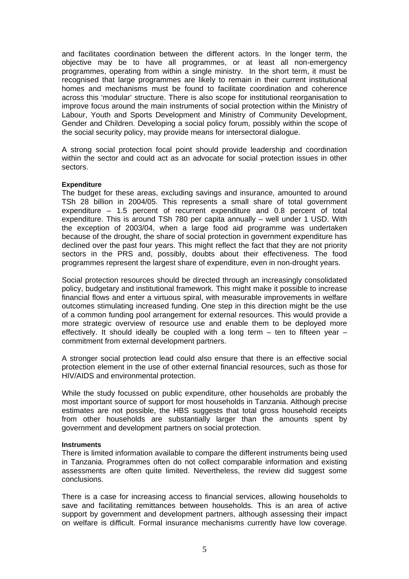and facilitates coordination between the different actors. In the longer term, the objective may be to have all programmes, or at least all non-emergency programmes, operating from within a single ministry. In the short term, it must be recognised that large programmes are likely to remain in their current institutional homes and mechanisms must be found to facilitate coordination and coherence across this 'modular' structure. There is also scope for institutional reorganisation to improve focus around the main instruments of social protection within the Ministry of Labour, Youth and Sports Development and Ministry of Community Development, Gender and Children. Developing a social policy forum, possibly within the scope of the social security policy, may provide means for intersectoral dialogue.

A strong social protection focal point should provide leadership and coordination within the sector and could act as an advocate for social protection issues in other sectors.

#### **Expenditure**

The budget for these areas, excluding savings and insurance, amounted to around TSh 28 billion in 2004/05. This represents a small share of total government expenditure – 1.5 percent of recurrent expenditure and 0.8 percent of total expenditure. This is around TSh 780 per capita annually – well under 1 USD. With the exception of 2003/04, when a large food aid programme was undertaken because of the drought, the share of social protection in government expenditure has declined over the past four years. This might reflect the fact that they are not priority sectors in the PRS and, possibly, doubts about their effectiveness. The food programmes represent the largest share of expenditure, even in non-drought years.

Social protection resources should be directed through an increasingly consolidated policy, budgetary and institutional framework. This might make it possible to increase financial flows and enter a virtuous spiral, with measurable improvements in welfare outcomes stimulating increased funding. One step in this direction might be the use of a common funding pool arrangement for external resources. This would provide a more strategic overview of resource use and enable them to be deployed more effectively. It should ideally be coupled with a long term  $-$  ten to fifteen year  $$ commitment from external development partners.

A stronger social protection lead could also ensure that there is an effective social protection element in the use of other external financial resources, such as those for HIV/AIDS and environmental protection.

While the study focussed on public expenditure, other households are probably the most important source of support for most households in Tanzania. Although precise estimates are not possible, the HBS suggests that total gross household receipts from other households are substantially larger than the amounts spent by government and development partners on social protection.

#### **Instruments**

There is limited information available to compare the different instruments being used in Tanzania. Programmes often do not collect comparable information and existing assessments are often quite limited. Nevertheless, the review did suggest some conclusions.

There is a case for increasing access to financial services, allowing households to save and facilitating remittances between households. This is an area of active support by government and development partners, although assessing their impact on welfare is difficult. Formal insurance mechanisms currently have low coverage.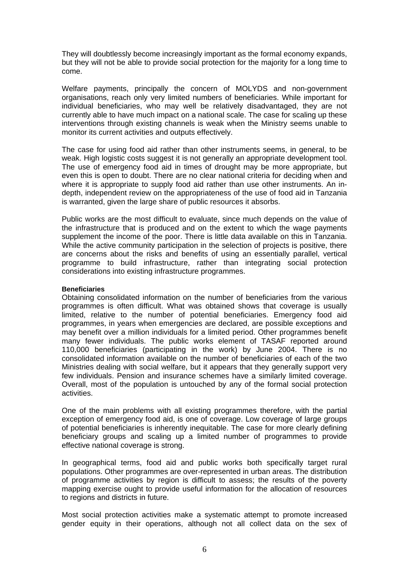They will doubtlessly become increasingly important as the formal economy expands, but they will not be able to provide social protection for the majority for a long time to come.

Welfare payments, principally the concern of MOLYDS and non-government organisations, reach only very limited numbers of beneficiaries. While important for individual beneficiaries, who may well be relatively disadvantaged, they are not currently able to have much impact on a national scale. The case for scaling up these interventions through existing channels is weak when the Ministry seems unable to monitor its current activities and outputs effectively.

The case for using food aid rather than other instruments seems, in general, to be weak. High logistic costs suggest it is not generally an appropriate development tool. The use of emergency food aid in times of drought may be more appropriate, but even this is open to doubt. There are no clear national criteria for deciding when and where it is appropriate to supply food aid rather than use other instruments. An indepth, independent review on the appropriateness of the use of food aid in Tanzania is warranted, given the large share of public resources it absorbs.

Public works are the most difficult to evaluate, since much depends on the value of the infrastructure that is produced and on the extent to which the wage payments supplement the income of the poor. There is little data available on this in Tanzania. While the active community participation in the selection of projects is positive, there are concerns about the risks and benefits of using an essentially parallel, vertical programme to build infrastructure, rather than integrating social protection considerations into existing infrastructure programmes.

#### **Beneficiaries**

Obtaining consolidated information on the number of beneficiaries from the various programmes is often difficult. What was obtained shows that coverage is usually limited, relative to the number of potential beneficiaries. Emergency food aid programmes, in years when emergencies are declared, are possible exceptions and may benefit over a million individuals for a limited period. Other programmes benefit many fewer individuals. The public works element of TASAF reported around 110,000 beneficiaries (participating in the work) by June 2004. There is no consolidated information available on the number of beneficiaries of each of the two Ministries dealing with social welfare, but it appears that they generally support very few individuals. Pension and insurance schemes have a similarly limited coverage. Overall, most of the population is untouched by any of the formal social protection activities.

One of the main problems with all existing programmes therefore, with the partial exception of emergency food aid, is one of coverage. Low coverage of large groups of potential beneficiaries is inherently inequitable. The case for more clearly defining beneficiary groups and scaling up a limited number of programmes to provide effective national coverage is strong.

In geographical terms, food aid and public works both specifically target rural populations. Other programmes are over-represented in urban areas. The distribution of programme activities by region is difficult to assess; the results of the poverty mapping exercise ought to provide useful information for the allocation of resources to regions and districts in future.

Most social protection activities make a systematic attempt to promote increased gender equity in their operations, although not all collect data on the sex of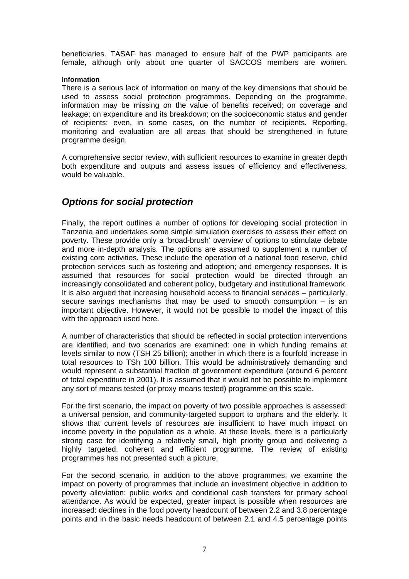beneficiaries. TASAF has managed to ensure half of the PWP participants are female, although only about one quarter of SACCOS members are women.

#### **Information**

There is a serious lack of information on many of the key dimensions that should be used to assess social protection programmes. Depending on the programme, information may be missing on the value of benefits received; on coverage and leakage; on expenditure and its breakdown; on the socioeconomic status and gender of recipients; even, in some cases, on the number of recipients. Reporting, monitoring and evaluation are all areas that should be strengthened in future programme design.

A comprehensive sector review, with sufficient resources to examine in greater depth both expenditure and outputs and assess issues of efficiency and effectiveness, would be valuable.

# *Options for social protection*

Finally, the report outlines a number of options for developing social protection in Tanzania and undertakes some simple simulation exercises to assess their effect on poverty. These provide only a 'broad-brush' overview of options to stimulate debate and more in-depth analysis. The options are assumed to supplement a number of existing core activities. These include the operation of a national food reserve, child protection services such as fostering and adoption; and emergency responses. It is assumed that resources for social protection would be directed through an increasingly consolidated and coherent policy, budgetary and institutional framework. It is also argued that increasing household access to financial services – particularly, secure savings mechanisms that may be used to smooth consumption  $-$  is an important objective. However, it would not be possible to model the impact of this with the approach used here.

A number of characteristics that should be reflected in social protection interventions are identified, and two scenarios are examined: one in which funding remains at levels similar to now (TSH 25 billion); another in which there is a fourfold increase in total resources to TSh 100 billion. This would be administratively demanding and would represent a substantial fraction of government expenditure (around 6 percent of total expenditure in 2001). It is assumed that it would not be possible to implement any sort of means tested (or proxy means tested) programme on this scale.

For the first scenario, the impact on poverty of two possible approaches is assessed: a universal pension, and community-targeted support to orphans and the elderly. It shows that current levels of resources are insufficient to have much impact on income poverty in the population as a whole. At these levels, there is a particularly strong case for identifying a relatively small, high priority group and delivering a highly targeted, coherent and efficient programme. The review of existing programmes has not presented such a picture.

For the second scenario, in addition to the above programmes, we examine the impact on poverty of programmes that include an investment objective in addition to poverty alleviation: public works and conditional cash transfers for primary school attendance. As would be expected, greater impact is possible when resources are increased: declines in the food poverty headcount of between 2.2 and 3.8 percentage points and in the basic needs headcount of between 2.1 and 4.5 percentage points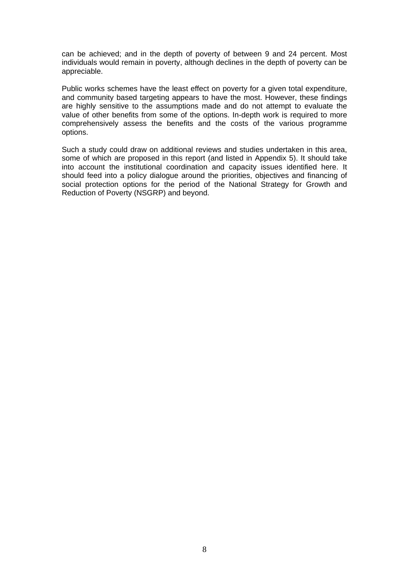can be achieved; and in the depth of poverty of between 9 and 24 percent. Most individuals would remain in poverty, although declines in the depth of poverty can be appreciable.

Public works schemes have the least effect on poverty for a given total expenditure, and community based targeting appears to have the most. However, these findings are highly sensitive to the assumptions made and do not attempt to evaluate the value of other benefits from some of the options. In-depth work is required to more comprehensively assess the benefits and the costs of the various programme options.

Such a study could draw on additional reviews and studies undertaken in this area, some of which are proposed in this report (and listed in Appendix 5). It should take into account the institutional coordination and capacity issues identified here. It should feed into a policy dialogue around the priorities, objectives and financing of social protection options for the period of the National Strategy for Growth and Reduction of Poverty (NSGRP) and beyond.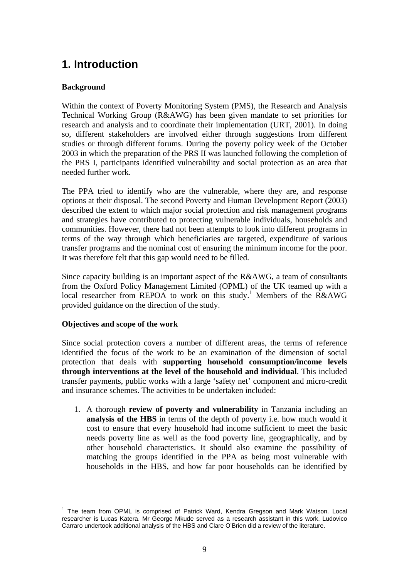# **1. Introduction**

## **Background**

Within the context of Poverty Monitoring System (PMS), the Research and Analysis Technical Working Group (R&AWG) has been given mandate to set priorities for research and analysis and to coordinate their implementation (URT, 2001). In doing so, different stakeholders are involved either through suggestions from different studies or through different forums. During the poverty policy week of the October 2003 in which the preparation of the PRS II was launched following the completion of the PRS I, participants identified vulnerability and social protection as an area that needed further work.

The PPA tried to identify who are the vulnerable, where they are, and response options at their disposal. The second Poverty and Human Development Report (2003) described the extent to which major social protection and risk management programs and strategies have contributed to protecting vulnerable individuals, households and communities. However, there had not been attempts to look into different programs in terms of the way through which beneficiaries are targeted, expenditure of various transfer programs and the nominal cost of ensuring the minimum income for the poor. It was therefore felt that this gap would need to be filled.

Since capacity building is an important aspect of the R&AWG, a team of consultants from the Oxford Policy Management Limited (OPML) of the UK teamed up with a local researcher from REPOA to work on this study.<sup>1</sup> Members of the R&AWG provided guidance on the direction of the study.

## **Objectives and scope of the work**

Since social protection covers a number of different areas, the terms of reference identified the focus of the work to be an examination of the dimension of social protection that deals with **supporting household consumption/income levels through interventions at the level of the household and individual**. This included transfer payments, public works with a large 'safety net' component and micro-credit and insurance schemes. The activities to be undertaken included:

1. A thorough **review of poverty and vulnerability** in Tanzania including an **analysis of the HBS** in terms of the depth of poverty i.e. how much would it cost to ensure that every household had income sufficient to meet the basic needs poverty line as well as the food poverty line, geographically, and by other household characteristics. It should also examine the possibility of matching the groups identified in the PPA as being most vulnerable with households in the HBS, and how far poor households can be identified by

<sup>&</sup>lt;u>.</u> <sup>1</sup> The team from OPML is comprised of Patrick Ward, Kendra Gregson and Mark Watson. Local researcher is Lucas Katera. Mr George Mkude served as a research assistant in this work. Ludovico Carraro undertook additional analysis of the HBS and Clare O'Brien did a review of the literature.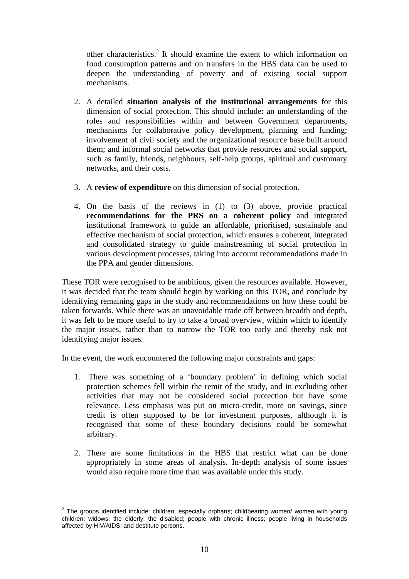other characteristics.<sup>2</sup> It should examine the extent to which information on food consumption patterns and on transfers in the HBS data can be used to deepen the understanding of poverty and of existing social support mechanisms.

- 2. A detailed **situation analysis of the institutional arrangements** for this dimension of social protection. This should include: an understanding of the roles and responsibilities within and between Government departments, mechanisms for collaborative policy development, planning and funding; involvement of civil society and the organizational resource base built around them; and informal social networks that provide resources and social support, such as family, friends, neighbours, self-help groups, spiritual and customary networks, and their costs.
- 3. A **review of expenditure** on this dimension of social protection.
- 4. On the basis of the reviews in (1) to (3) above, provide practical **recommendations for the PRS on a coherent policy** and integrated institutional framework to guide an affordable, prioritised, sustainable and effective mechanism of social protection, which ensures a coherent, integrated and consolidated strategy to guide mainstreaming of social protection in various development processes, taking into account recommendations made in the PPA and gender dimensions.

These TOR were recognised to be ambitious, given the resources available. However, it was decided that the team should begin by working on this TOR, and conclude by identifying remaining gaps in the study and recommendations on how these could be taken forwards. While there was an unavoidable trade off between breadth and depth, it was felt to be more useful to try to take a broad overview, within which to identify the major issues, rather than to narrow the TOR too early and thereby risk not identifying major issues.

In the event, the work encountered the following major constraints and gaps:

- 1. There was something of a 'boundary problem' in defining which social protection schemes fell within the remit of the study, and in excluding other activities that may not be considered social protection but have some relevance. Less emphasis was put on micro-credit, more on savings, since credit is often supposed to be for investment purposes, although it is recognised that some of these boundary decisions could be somewhat arbitrary.
- 2. There are some limitations in the HBS that restrict what can be done appropriately in some areas of analysis. In-depth analysis of some issues would also require more time than was available under this study.

 2 The groups identified include: children, especially orphans; childbearing women/ women with young children; widows; the elderly; the disabled; people with chronic illness; people living in households affected by HIV/AIDS; and destitute persons.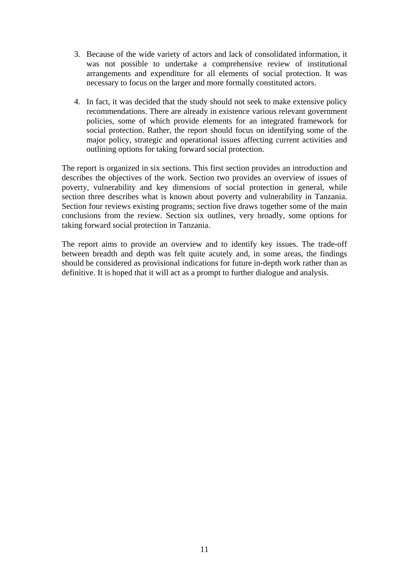- 3. Because of the wide variety of actors and lack of consolidated information, it was not possible to undertake a comprehensive review of institutional arrangements and expenditure for all elements of social protection. It was necessary to focus on the larger and more formally constituted actors.
- 4. In fact, it was decided that the study should not seek to make extensive policy recommendations. There are already in existence various relevant government policies, some of which provide elements for an integrated framework for social protection. Rather, the report should focus on identifying some of the major policy, strategic and operational issues affecting current activities and outlining options for taking forward social protection.

The report is organized in six sections. This first section provides an introduction and describes the objectives of the work. Section two provides an overview of issues of poverty, vulnerability and key dimensions of social protection in general, while section three describes what is known about poverty and vulnerability in Tanzania. Section four reviews existing programs; section five draws together some of the main conclusions from the review. Section six outlines, very broadly, some options for taking forward social protection in Tanzania.

The report aims to provide an overview and to identify key issues. The trade-off between breadth and depth was felt quite acutely and, in some areas, the findings should be considered as provisional indications for future in-depth work rather than as definitive. It is hoped that it will act as a prompt to further dialogue and analysis.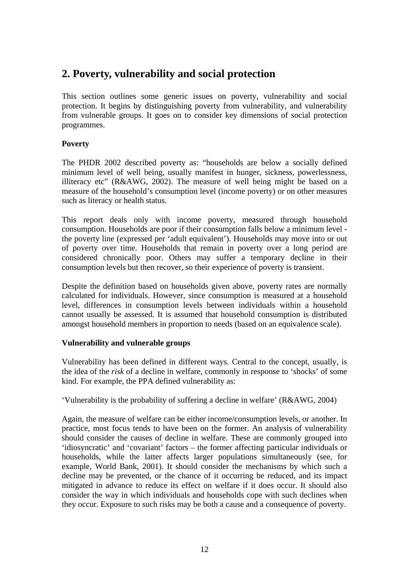# **2. Poverty, vulnerability and social protection**

This section outlines some generic issues on poverty, vulnerability and social protection. It begins by distinguishing poverty from vulnerability, and vulnerability from vulnerable groups. It goes on to consider key dimensions of social protection programmes.

## **Poverty**

The PHDR 2002 described poverty as: "households are below a socially defined minimum level of well being, usually manifest in hunger, sickness, powerlessness, illiteracy etc" (R&AWG, 2002). The measure of well being might be based on a measure of the household's consumption level (income poverty) or on other measures such as literacy or health status.

This report deals only with income poverty, measured through household consumption. Households are poor if their consumption falls below a minimum level the poverty line (expressed per 'adult equivalent'). Households may move into or out of poverty over time. Households that remain in poverty over a long period are considered chronically poor. Others may suffer a temporary decline in their consumption levels but then recover, so their experience of poverty is transient.

Despite the definition based on households given above, poverty rates are normally calculated for individuals. However, since consumption is measured at a household level, differences in consumption levels between individuals within a household cannot usually be assessed. It is assumed that household consumption is distributed amongst household members in proportion to needs (based on an equivalence scale).

## **Vulnerability and vulnerable groups**

Vulnerability has been defined in different ways. Central to the concept, usually, is the idea of the *risk* of a decline in welfare, commonly in response to 'shocks' of some kind. For example, the PPA defined vulnerability as:

'Vulnerability is the probability of suffering a decline in welfare' (R&AWG, 2004)

Again, the measure of welfare can be either income/consumption levels, or another. In practice, most focus tends to have been on the former. An analysis of vulnerability should consider the causes of decline in welfare. These are commonly grouped into 'idiosyncratic' and 'covariant' factors – the former affecting particular individuals or households, while the latter affects larger populations simultaneously (see, for example, World Bank, 2001). It should consider the mechanisms by which such a decline may be prevented, or the chance of it occurring be reduced, and its impact mitigated in advance to reduce its effect on welfare if it does occur. It should also consider the way in which individuals and households cope with such declines when they occur. Exposure to such risks may be both a cause and a consequence of poverty.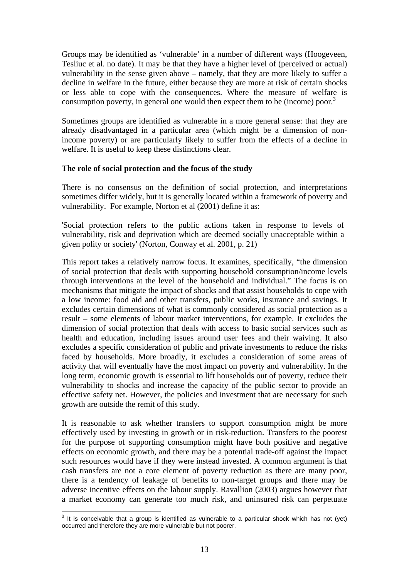Groups may be identified as 'vulnerable' in a number of different ways (Hoogeveen, Tesliuc et al. no date). It may be that they have a higher level of (perceived or actual) vulnerability in the sense given above – namely, that they are more likely to suffer a decline in welfare in the future, either because they are more at risk of certain shocks or less able to cope with the consequences. Where the measure of welfare is consumption poverty, in general one would then expect them to be (income) poor.<sup>3</sup>

Sometimes groups are identified as vulnerable in a more general sense: that they are already disadvantaged in a particular area (which might be a dimension of nonincome poverty) or are particularly likely to suffer from the effects of a decline in welfare. It is useful to keep these distinctions clear.

#### **The role of social protection and the focus of the study**

There is no consensus on the definition of social protection, and interpretations sometimes differ widely, but it is generally located within a framework of poverty and vulnerability. For example, Norton et al (2001) define it as:

'Social protection refers to the public actions taken in response to levels of vulnerability, risk and deprivation which are deemed socially unacceptable within a given polity or society' (Norton, Conway et al. 2001, p. 21)

This report takes a relatively narrow focus. It examines, specifically, "the dimension of social protection that deals with supporting household consumption/income levels through interventions at the level of the household and individual." The focus is on mechanisms that mitigate the impact of shocks and that assist households to cope with a low income: food aid and other transfers, public works, insurance and savings. It excludes certain dimensions of what is commonly considered as social protection as a result – some elements of labour market interventions, for example. It excludes the dimension of social protection that deals with access to basic social services such as health and education, including issues around user fees and their waiving. It also excludes a specific consideration of public and private investments to reduce the risks faced by households. More broadly, it excludes a consideration of some areas of activity that will eventually have the most impact on poverty and vulnerability. In the long term, economic growth is essential to lift households out of poverty, reduce their vulnerability to shocks and increase the capacity of the public sector to provide an effective safety net. However, the policies and investment that are necessary for such growth are outside the remit of this study.

It is reasonable to ask whether transfers to support consumption might be more effectively used by investing in growth or in risk-reduction. Transfers to the poorest for the purpose of supporting consumption might have both positive and negative effects on economic growth, and there may be a potential trade-off against the impact such resources would have if they were instead invested. A common argument is that cash transfers are not a core element of poverty reduction as there are many poor, there is a tendency of leakage of benefits to non-target groups and there may be adverse incentive effects on the labour supply. Ravallion (2003) argues however that a market economy can generate too much risk, and uninsured risk can perpetuate

 3 It is conceivable that a group is identified as vulnerable to a particular shock which has not (yet) occurred and therefore they are more vulnerable but not poorer.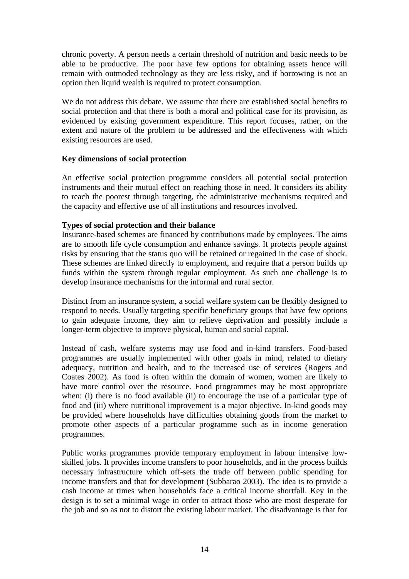chronic poverty. A person needs a certain threshold of nutrition and basic needs to be able to be productive. The poor have few options for obtaining assets hence will remain with outmoded technology as they are less risky, and if borrowing is not an option then liquid wealth is required to protect consumption.

We do not address this debate. We assume that there are established social benefits to social protection and that there is both a moral and political case for its provision, as evidenced by existing government expenditure. This report focuses, rather, on the extent and nature of the problem to be addressed and the effectiveness with which existing resources are used.

#### **Key dimensions of social protection**

An effective social protection programme considers all potential social protection instruments and their mutual effect on reaching those in need. It considers its ability to reach the poorest through targeting, the administrative mechanisms required and the capacity and effective use of all institutions and resources involved.

#### **Types of social protection and their balance**

Insurance-based schemes are financed by contributions made by employees. The aims are to smooth life cycle consumption and enhance savings. It protects people against risks by ensuring that the status quo will be retained or regained in the case of shock. These schemes are linked directly to employment, and require that a person builds up funds within the system through regular employment. As such one challenge is to develop insurance mechanisms for the informal and rural sector.

Distinct from an insurance system, a social welfare system can be flexibly designed to respond to needs. Usually targeting specific beneficiary groups that have few options to gain adequate income, they aim to relieve deprivation and possibly include a longer-term objective to improve physical, human and social capital.

Instead of cash, welfare systems may use food and in-kind transfers. Food-based programmes are usually implemented with other goals in mind, related to dietary adequacy, nutrition and health, and to the increased use of services (Rogers and Coates 2002). As food is often within the domain of women, women are likely to have more control over the resource. Food programmes may be most appropriate when: (i) there is no food available (ii) to encourage the use of a particular type of food and (iii) where nutritional improvement is a major objective. In-kind goods may be provided where households have difficulties obtaining goods from the market to promote other aspects of a particular programme such as in income generation programmes.

Public works programmes provide temporary employment in labour intensive lowskilled jobs. It provides income transfers to poor households, and in the process builds necessary infrastructure which off-sets the trade off between public spending for income transfers and that for development (Subbarao 2003). The idea is to provide a cash income at times when households face a critical income shortfall. Key in the design is to set a minimal wage in order to attract those who are most desperate for the job and so as not to distort the existing labour market. The disadvantage is that for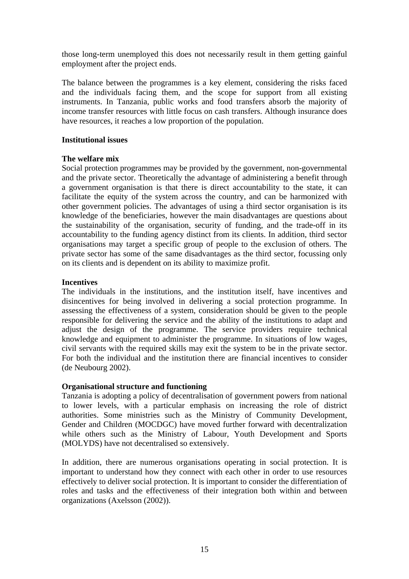those long-term unemployed this does not necessarily result in them getting gainful employment after the project ends.

The balance between the programmes is a key element, considering the risks faced and the individuals facing them, and the scope for support from all existing instruments. In Tanzania, public works and food transfers absorb the majority of income transfer resources with little focus on cash transfers. Although insurance does have resources, it reaches a low proportion of the population.

#### **Institutional issues**

#### **The welfare mix**

Social protection programmes may be provided by the government, non-governmental and the private sector. Theoretically the advantage of administering a benefit through a government organisation is that there is direct accountability to the state, it can facilitate the equity of the system across the country, and can be harmonized with other government policies. The advantages of using a third sector organisation is its knowledge of the beneficiaries, however the main disadvantages are questions about the sustainability of the organisation, security of funding, and the trade-off in its accountability to the funding agency distinct from its clients. In addition, third sector organisations may target a specific group of people to the exclusion of others. The private sector has some of the same disadvantages as the third sector, focussing only on its clients and is dependent on its ability to maximize profit.

#### **Incentives**

The individuals in the institutions, and the institution itself, have incentives and disincentives for being involved in delivering a social protection programme. In assessing the effectiveness of a system, consideration should be given to the people responsible for delivering the service and the ability of the institutions to adapt and adjust the design of the programme. The service providers require technical knowledge and equipment to administer the programme. In situations of low wages, civil servants with the required skills may exit the system to be in the private sector. For both the individual and the institution there are financial incentives to consider (de Neubourg 2002).

#### **Organisational structure and functioning**

Tanzania is adopting a policy of decentralisation of government powers from national to lower levels, with a particular emphasis on increasing the role of district authorities. Some ministries such as the Ministry of Community Development, Gender and Children (MOCDGC) have moved further forward with decentralization while others such as the Ministry of Labour, Youth Development and Sports (MOLYDS) have not decentralised so extensively.

In addition, there are numerous organisations operating in social protection. It is important to understand how they connect with each other in order to use resources effectively to deliver social protection. It is important to consider the differentiation of roles and tasks and the effectiveness of their integration both within and between organizations (Axelsson (2002)).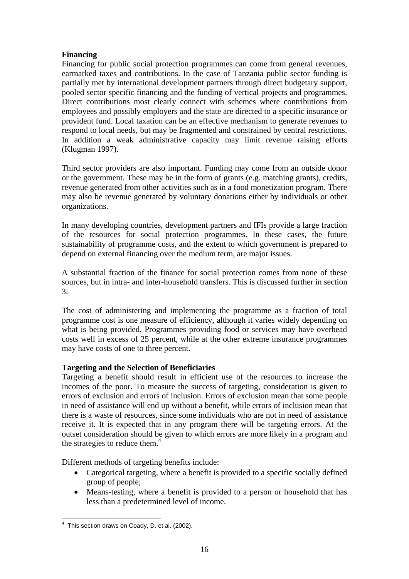#### **Financing**

Financing for public social protection programmes can come from general revenues, earmarked taxes and contributions. In the case of Tanzania public sector funding is partially met by international development partners through direct budgetary support, pooled sector specific financing and the funding of vertical projects and programmes. Direct contributions most clearly connect with schemes where contributions from employees and possibly employers and the state are directed to a specific insurance or provident fund. Local taxation can be an effective mechanism to generate revenues to respond to local needs, but may be fragmented and constrained by central restrictions. In addition a weak administrative capacity may limit revenue raising efforts (Klugman 1997).

Third sector providers are also important. Funding may come from an outside donor or the government. These may be in the form of grants (e.g. matching grants), credits, revenue generated from other activities such as in a food monetization program. There may also be revenue generated by voluntary donations either by individuals or other organizations.

In many developing countries, development partners and IFIs provide a large fraction of the resources for social protection programmes. In these cases, the future sustainability of programme costs, and the extent to which government is prepared to depend on external financing over the medium term, are major issues.

A substantial fraction of the finance for social protection comes from none of these sources, but in intra- and inter-household transfers. This is discussed further in section 3.

The cost of administering and implementing the programme as a fraction of total programme cost is one measure of efficiency, although it varies widely depending on what is being provided. Programmes providing food or services may have overhead costs well in excess of 25 percent, while at the other extreme insurance programmes may have costs of one to three percent.

## **Targeting and the Selection of Beneficiaries**

Targeting a benefit should result in efficient use of the resources to increase the incomes of the poor. To measure the success of targeting, consideration is given to errors of exclusion and errors of inclusion. Errors of exclusion mean that some people in need of assistance will end up without a benefit, while errors of inclusion mean that there is a waste of resources, since some individuals who are not in need of assistance receive it. It is expected that in any program there will be targeting errors. At the outset consideration should be given to which errors are more likely in a program and the strategies to reduce them. $4$ 

Different methods of targeting benefits include:

- Categorical targeting, where a benefit is provided to a specific socially defined group of people;
- Means-testing, where a benefit is provided to a person or household that has less than a predetermined level of income.

 4 This section draws on Coady, D. et al. (2002).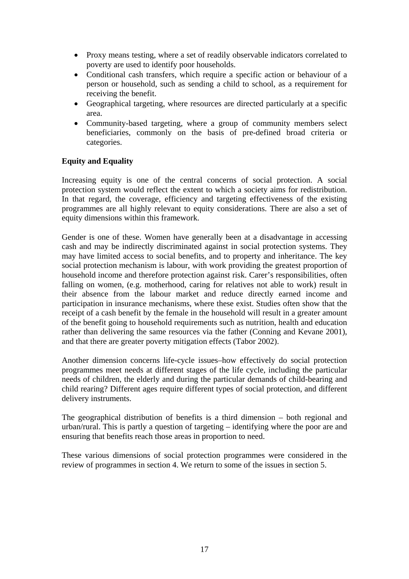- Proxy means testing, where a set of readily observable indicators correlated to poverty are used to identify poor households.
- Conditional cash transfers, which require a specific action or behaviour of a person or household, such as sending a child to school, as a requirement for receiving the benefit.
- Geographical targeting, where resources are directed particularly at a specific area.
- Community-based targeting, where a group of community members select beneficiaries, commonly on the basis of pre-defined broad criteria or categories.

## **Equity and Equality**

Increasing equity is one of the central concerns of social protection. A social protection system would reflect the extent to which a society aims for redistribution. In that regard, the coverage, efficiency and targeting effectiveness of the existing programmes are all highly relevant to equity considerations. There are also a set of equity dimensions within this framework.

Gender is one of these. Women have generally been at a disadvantage in accessing cash and may be indirectly discriminated against in social protection systems. They may have limited access to social benefits, and to property and inheritance. The key social protection mechanism is labour, with work providing the greatest proportion of household income and therefore protection against risk. Carer's responsibilities, often falling on women, (e.g. motherhood, caring for relatives not able to work) result in their absence from the labour market and reduce directly earned income and participation in insurance mechanisms, where these exist. Studies often show that the receipt of a cash benefit by the female in the household will result in a greater amount of the benefit going to household requirements such as nutrition, health and education rather than delivering the same resources via the father (Conning and Kevane 2001), and that there are greater poverty mitigation effects (Tabor 2002).

Another dimension concerns life-cycle issues–how effectively do social protection programmes meet needs at different stages of the life cycle, including the particular needs of children, the elderly and during the particular demands of child-bearing and child rearing? Different ages require different types of social protection, and different delivery instruments.

The geographical distribution of benefits is a third dimension – both regional and urban/rural. This is partly a question of targeting – identifying where the poor are and ensuring that benefits reach those areas in proportion to need.

These various dimensions of social protection programmes were considered in the review of programmes in section 4. We return to some of the issues in section 5.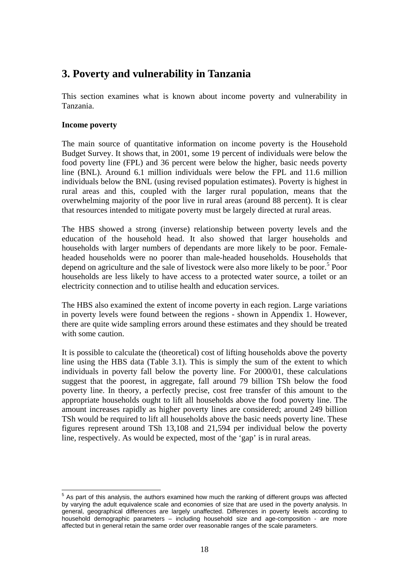# **3. Poverty and vulnerability in Tanzania**

This section examines what is known about income poverty and vulnerability in Tanzania.

#### **Income poverty**

The main source of quantitative information on income poverty is the Household Budget Survey. It shows that, in 2001, some 19 percent of individuals were below the food poverty line (FPL) and 36 percent were below the higher, basic needs poverty line (BNL). Around 6.1 million individuals were below the FPL and 11.6 million individuals below the BNL (using revised population estimates). Poverty is highest in rural areas and this, coupled with the larger rural population, means that the overwhelming majority of the poor live in rural areas (around 88 percent). It is clear that resources intended to mitigate poverty must be largely directed at rural areas.

The HBS showed a strong (inverse) relationship between poverty levels and the education of the household head. It also showed that larger households and households with larger numbers of dependants are more likely to be poor. Femaleheaded households were no poorer than male-headed households. Households that depend on agriculture and the sale of livestock were also more likely to be poor.<sup>5</sup> Poor households are less likely to have access to a protected water source, a toilet or an electricity connection and to utilise health and education services.

The HBS also examined the extent of income poverty in each region. Large variations in poverty levels were found between the regions - shown in Appendix 1. However, there are quite wide sampling errors around these estimates and they should be treated with some caution.

It is possible to calculate the (theoretical) cost of lifting households above the poverty line using the HBS data (Table 3.1). This is simply the sum of the extent to which individuals in poverty fall below the poverty line. For 2000/01, these calculations suggest that the poorest, in aggregate, fall around 79 billion TSh below the food poverty line. In theory, a perfectly precise, cost free transfer of this amount to the appropriate households ought to lift all households above the food poverty line. The amount increases rapidly as higher poverty lines are considered; around 249 billion TSh would be required to lift all households above the basic needs poverty line. These figures represent around TSh 13,108 and 21,594 per individual below the poverty line, respectively. As would be expected, most of the 'gap' is in rural areas.

 5 As part of this analysis, the authors examined how much the ranking of different groups was affected by varying the adult equivalence scale and economies of size that are used in the poverty analysis. In general, geographical differences are largely unaffected. Differences in poverty levels according to household demographic parameters – including household size and age-composition - are more affected but in general retain the same order over reasonable ranges of the scale parameters.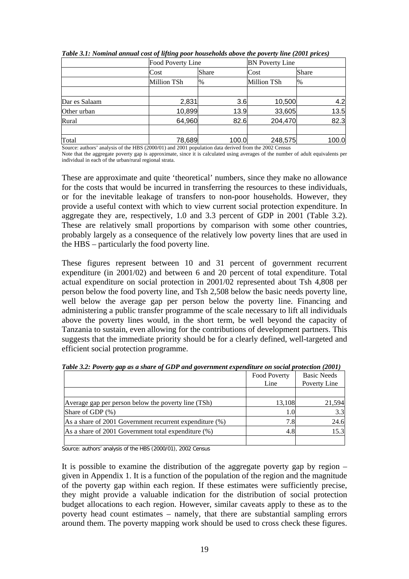|               | Food Poverty Line |                            | <b>BN</b> Poverty Line |               |  |
|---------------|-------------------|----------------------------|------------------------|---------------|--|
|               | Cost              | Share                      | Cost                   | Share         |  |
|               | Million TSh       | <b>Million TSh</b><br>$\%$ |                        | $\frac{0}{6}$ |  |
|               |                   |                            |                        |               |  |
| Dar es Salaam | 2,831             | 3.6                        | 10,500                 | 4.2           |  |
| Other urban   | 10,899            | 13.9                       | 33,605                 | 13.5          |  |
| Rural         | 64,960            | 82.6                       | 204,470                | 82.3          |  |
|               |                   |                            |                        |               |  |
| Total         | 78,689            | 100.0                      | 248,575                | 100.0         |  |

*Table 3.1: Nominal annual cost of lifting poor households above the poverty line (2001 prices)* 

Source: authors' analysis of the HBS (2000/01) and 2001 population data derived from the 2002 Census

Note that the aggregate poverty gap is approximate, since it is calculated using averages of the number of adult equivalents per individual in each of the urban/rural regional strata.

These are approximate and quite 'theoretical' numbers, since they make no allowance for the costs that would be incurred in transferring the resources to these individuals, or for the inevitable leakage of transfers to non-poor households. However, they provide a useful context with which to view current social protection expenditure. In aggregate they are, respectively, 1.0 and 3.3 percent of GDP in 2001 (Table 3.2). These are relatively small proportions by comparison with some other countries, probably largely as a consequence of the relatively low poverty lines that are used in the HBS – particularly the food poverty line.

These figures represent between 10 and 31 percent of government recurrent expenditure (in 2001/02) and between 6 and 20 percent of total expenditure. Total actual expenditure on social protection in 2001/02 represented about Tsh 4,808 per person below the food poverty line, and Tsh 2,508 below the basic needs poverty line, well below the average gap per person below the poverty line. Financing and administering a public transfer programme of the scale necessary to lift all individuals above the poverty lines would, in the short term, be well beyond the capacity of Tanzania to sustain, even allowing for the contributions of development partners. This suggests that the immediate priority should be for a clearly defined, well-targeted and efficient social protection programme.

|                                                         | Food Poverty<br>Line | <b>Basic Needs</b><br>Poverty Line |
|---------------------------------------------------------|----------------------|------------------------------------|
|                                                         |                      |                                    |
| Average gap per person below the poverty line (TSh)     | 13,108               | 21,594                             |
| Share of GDP (%)                                        | 1.01                 | 3.3                                |
| As a share of 2001 Government recurrent expenditure (%) | 7.8                  | 24.6                               |
| As a share of 2001 Government total expenditure $(\%)$  | 4.8                  | 15.3                               |
|                                                         |                      |                                    |

*Table 3.2: Poverty gap as a share of GDP and government expenditure on social protection (2001)* 

Source: authors' analysis of the HBS (2000/01), 2002 Census

It is possible to examine the distribution of the aggregate poverty gap by region – given in Appendix 1. It is a function of the population of the region and the magnitude of the poverty gap within each region. If these estimates were sufficiently precise, they might provide a valuable indication for the distribution of social protection budget allocations to each region. However, similar caveats apply to these as to the poverty head count estimates – namely, that there are substantial sampling errors around them. The poverty mapping work should be used to cross check these figures.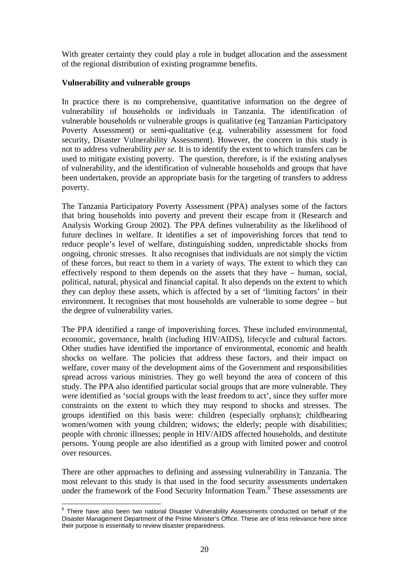With greater certainty they could play a role in budget allocation and the assessment of the regional distribution of existing programme benefits.

#### **Vulnerability and vulnerable groups**

In practice there is no comprehensive, quantitative information on the degree of vulnerability of households or individuals in Tanzania. The identification of vulnerable households or vulnerable groups is qualitative (eg Tanzanian Participatory Poverty Assessment) or semi-qualitative (e.g. vulnerability assessment for food security, Disaster Vulnerability Assessment). However, the concern in this study is not to address vulnerability *per se*. It is to identify the extent to which transfers can be used to mitigate existing poverty. The question, therefore, is if the existing analyses of vulnerability, and the identification of vulnerable households and groups that have been undertaken, provide an appropriate basis for the targeting of transfers to address poverty.

The Tanzania Participatory Poverty Assessment (PPA) analyses some of the factors that bring households into poverty and prevent their escape from it (Research and Analysis Working Group 2002). The PPA defines vulnerability as the likelihood of future declines in welfare. It identifies a set of impoverishing forces that tend to reduce people's level of welfare, distinguishing sudden, unpredictable shocks from ongoing, chronic stresses. It also recognises that individuals are not simply the victim of these forces, but react to them in a variety of ways. The extent to which they can effectively respond to them depends on the assets that they have – human, social, political, natural, physical and financial capital. It also depends on the extent to which they can deploy these assets, which is affected by a set of 'limiting factors' in their environment. It recognises that most households are vulnerable to some degree – but the degree of vulnerability varies.

The PPA identified a range of impoverishing forces. These included environmental, economic, governance, health (including HIV/AIDS), lifecycle and cultural factors. Other studies have identified the importance of environmental, economic and health shocks on welfare. The policies that address these factors, and their impact on welfare, cover many of the development aims of the Government and responsibilities spread across various ministries. They go well beyond the area of concern of this study. The PPA also identified particular social groups that are more vulnerable. They were identified as 'social groups with the least freedom to act', since they suffer more constraints on the extent to which they may respond to shocks and stresses. The groups identified on this basis were: children (especially orphans); childbearing women/women with young children; widows; the elderly; people with disabilities; people with chronic illnesses; people in HIV/AIDS affected households, and destitute persons. Young people are also identified as a group with limited power and control over resources.

There are other approaches to defining and assessing vulnerability in Tanzania. The most relevant to this study is that used in the food security assessments undertaken under the framework of the Food Security Information Team.<sup>6</sup> These assessments are

 6 There have also been two national Disaster Vulnerability Assessments conducted on behalf of the Disaster Management Department of the Prime Minister's Office. These are of less relevance here since their purpose is essentially to review disaster preparedness.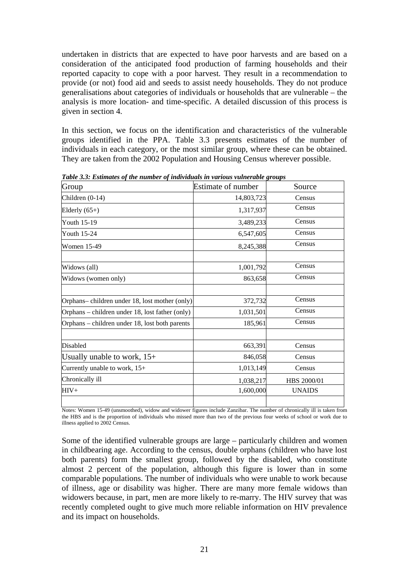undertaken in districts that are expected to have poor harvests and are based on a consideration of the anticipated food production of farming households and their reported capacity to cope with a poor harvest. They result in a recommendation to provide (or not) food aid and seeds to assist needy households. They do not produce generalisations about categories of individuals or households that are vulnerable – the analysis is more location- and time-specific. A detailed discussion of this process is given in section 4.

In this section, we focus on the identification and characteristics of the vulnerable groups identified in the PPA. Table 3.3 presents estimates of the number of individuals in each category, or the most similar group, where these can be obtained. They are taken from the 2002 Population and Housing Census wherever possible.

| Group                                           | <b>Estimate of number</b> | Source        |
|-------------------------------------------------|---------------------------|---------------|
| Children $(0-14)$                               | 14,803,723                | Census        |
| Elderly $(65+)$                                 | 1,317,937                 | Census        |
| Youth 15-19                                     | 3,489,233                 | Census        |
| Youth 15-24                                     | 6,547,605                 | Census        |
| <b>Women 15-49</b>                              | 8,245,388                 | Census        |
| Widows (all)                                    | 1,001,792                 | Census        |
| Widows (women only)                             | 863,658                   | Census        |
|                                                 |                           |               |
| Orphans-children under 18, lost mother (only)   | 372,732                   | Census        |
| Orphans – children under 18, lost father (only) | 1,031,501                 | Census        |
| Orphans – children under 18, lost both parents  | 185,961                   | Census        |
| Disabled                                        | 663,391                   | Census        |
| Usually unable to work, $15+$                   | 846,058                   | Census        |
| Currently unable to work, 15+                   | 1,013,149                 | Census        |
| Chronically ill                                 | 1,038,217                 | HBS 2000/01   |
| $HIV+$                                          | 1,600,000                 | <b>UNAIDS</b> |
|                                                 |                           |               |

*Table 3.3: Estimates of the number of individuals in various vulnerable groups* 

Notes: Women 15-49 (unsmoothed), widow and widower figures include Zanzibar. The number of chronically ill is taken from the HBS and is the proportion of individuals who missed more than two of the previous four weeks of school or work due to illness applied to 2002 Census.

Some of the identified vulnerable groups are large – particularly children and women in childbearing age. According to the census, double orphans (children who have lost both parents) form the smallest group, followed by the disabled, who constitute almost 2 percent of the population, although this figure is lower than in some comparable populations. The number of individuals who were unable to work because of illness, age or disability was higher. There are many more female widows than widowers because, in part, men are more likely to re-marry. The HIV survey that was recently completed ought to give much more reliable information on HIV prevalence and its impact on households.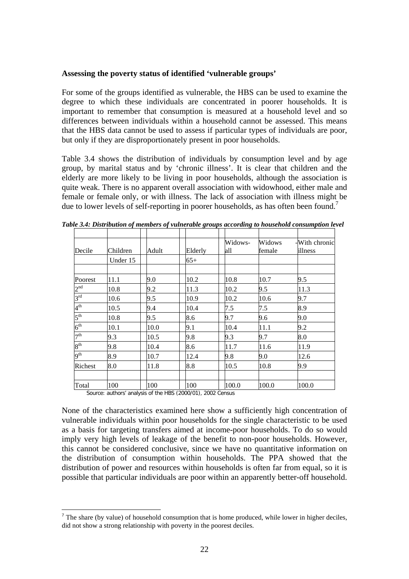#### **Assessing the poverty status of identified 'vulnerable groups'**

For some of the groups identified as vulnerable, the HBS can be used to examine the degree to which these individuals are concentrated in poorer households. It is important to remember that consumption is measured at a household level and so differences between individuals within a household cannot be assessed. This means that the HBS data cannot be used to assess if particular types of individuals are poor, but only if they are disproportionately present in poor households.

Table 3.4 shows the distribution of individuals by consumption level and by age group, by marital status and by 'chronic illness'. It is clear that children and the elderly are more likely to be living in poor households, although the association is quite weak. There is no apparent overall association with widowhood, either male and female or female only, or with illness. The lack of association with illness might be due to lower levels of self-reporting in poorer households, as has often been found.<sup>7</sup>

| Decile          | Children | Adult | Elderly | Widows-<br>all | Widows<br>female | -With chronic<br>illness |
|-----------------|----------|-------|---------|----------------|------------------|--------------------------|
|                 | Under 15 |       | $65+$   |                |                  |                          |
| Poorest         | 11.1     | 9.0   | 10.2    | 10.8           | 10.7             | 9.5                      |
| 2 <sup>nd</sup> | 10.8     | 9.2   | 11.3    | 10.2           | 9.5              | 11.3                     |
| $3^{\text{rd}}$ | 10.6     | 9.5   | 10.9    | 10.2           | 10.6             | 9.7                      |
| 4 <sup>th</sup> | 10.5     | 9.4   | 10.4    | 7.5            | 7.5              | 8.9                      |
| $5^{\text{th}}$ | 10.8     | 9.5   | 8.6     | 9.7            | 9.6              | 9.0                      |
| 6 <sup>th</sup> | 10.1     | 10.0  | 9.1     | 10.4           | 11.1             | 9.2                      |
| 7 <sup>th</sup> | 9.3      | 10.5  | 9.8     | 9.3            | 9.7              | 8.0                      |
| 8 <sup>th</sup> | 9.8      | 10.4  | 8.6     | 11.7           | 11.6             | 11.9                     |
| 9 <sup>th</sup> | 8.9      | 10.7  | 12.4    | 9.8            | 9.0              | 12.6                     |
| Richest         | 8.0      | 11.8  | 8.8     | 10.5           | 10.8             | 9.9                      |
| Total           | 100      | 100   | 100     | 100.0          | 100.0            | 100.0                    |

*Table 3.4: Distribution of members of vulnerable groups according to household consumption level* 

Source: authors' analysis of the HBS (2000/01), 2002 Census

1

None of the characteristics examined here show a sufficiently high concentration of vulnerable individuals within poor households for the single characteristic to be used as a basis for targeting transfers aimed at income-poor households. To do so would imply very high levels of leakage of the benefit to non-poor households. However, this cannot be considered conclusive, since we have no quantitative information on the distribution of consumption within households. The PPA showed that the distribution of power and resources within households is often far from equal, so it is possible that particular individuals are poor within an apparently better-off household.

 $<sup>7</sup>$  The share (by value) of household consumption that is home produced, while lower in higher deciles,</sup> did not show a strong relationship with poverty in the poorest deciles.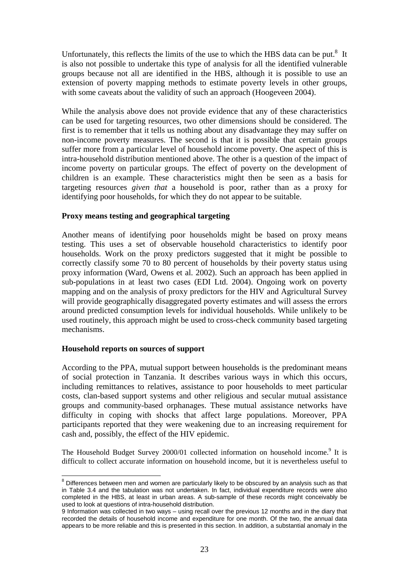Unfortunately, this reflects the limits of the use to which the HBS data can be put. $8\,$  It is also not possible to undertake this type of analysis for all the identified vulnerable groups because not all are identified in the HBS, although it is possible to use an extension of poverty mapping methods to estimate poverty levels in other groups, with some caveats about the validity of such an approach (Hoogeveen 2004).

While the analysis above does not provide evidence that any of these characteristics can be used for targeting resources, two other dimensions should be considered. The first is to remember that it tells us nothing about any disadvantage they may suffer on non-income poverty measures. The second is that it is possible that certain groups suffer more from a particular level of household income poverty. One aspect of this is intra-household distribution mentioned above. The other is a question of the impact of income poverty on particular groups. The effect of poverty on the development of children is an example. These characteristics might then be seen as a basis for targeting resources *given that* a household is poor, rather than as a proxy for identifying poor households, for which they do not appear to be suitable.

#### **Proxy means testing and geographical targeting**

Another means of identifying poor households might be based on proxy means testing. This uses a set of observable household characteristics to identify poor households. Work on the proxy predictors suggested that it might be possible to correctly classify some 70 to 80 percent of households by their poverty status using proxy information (Ward, Owens et al. 2002). Such an approach has been applied in sub-populations in at least two cases (EDI Ltd. 2004). Ongoing work on poverty mapping and on the analysis of proxy predictors for the HIV and Agricultural Survey will provide geographically disaggregated poverty estimates and will assess the errors around predicted consumption levels for individual households. While unlikely to be used routinely, this approach might be used to cross-check community based targeting mechanisms.

#### **Household reports on sources of support**

According to the PPA, mutual support between households is the predominant means of social protection in Tanzania. It describes various ways in which this occurs, including remittances to relatives, assistance to poor households to meet particular costs, clan-based support systems and other religious and secular mutual assistance groups and community-based orphanages. These mutual assistance networks have difficulty in coping with shocks that affect large populations. Moreover, PPA participants reported that they were weakening due to an increasing requirement for cash and, possibly, the effect of the HIV epidemic.

The Household Budget Survey 2000/01 collected information on household income.<sup>9</sup> It is difficult to collect accurate information on household income, but it is nevertheless useful to

 8 Differences between men and women are particularly likely to be obscured by an analysis such as that in Table 3.4 and the tabulation was not undertaken. In fact, individual expenditure records were also completed in the HBS, at least in urban areas. A sub-sample of these records might conceivably be used to look at questions of intra-household distribution.

<sup>9</sup> Information was collected in two ways – using recall over the previous 12 months and in the diary that recorded the details of household income and expenditure for one month. Of the two, the annual data appears to be more reliable and this is presented in this section. In addition, a substantial anomaly in the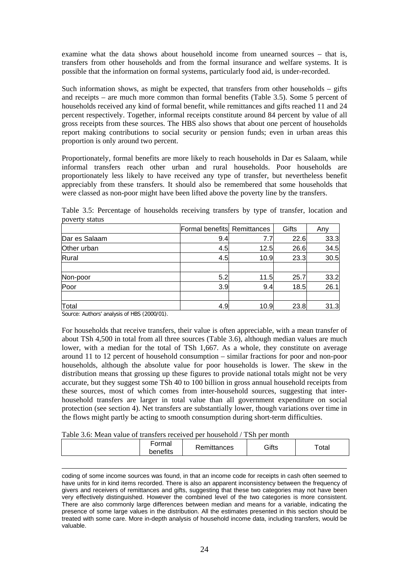examine what the data shows about household income from unearned sources – that is, transfers from other households and from the formal insurance and welfare systems. It is possible that the information on formal systems, particularly food aid, is under-recorded.

Such information shows, as might be expected, that transfers from other households  $-$  gifts and receipts – are much more common than formal benefits (Table 3.5). Some 5 percent of households received any kind of formal benefit, while remittances and gifts reached 11 and 24 percent respectively. Together, informal receipts constitute around 84 percent by value of all gross receipts from these sources. The HBS also shows that about one percent of households report making contributions to social security or pension funds; even in urban areas this proportion is only around two percent.

Proportionately, formal benefits are more likely to reach households in Dar es Salaam, while informal transfers reach other urban and rural households. Poor households are proportionately less likely to have received any type of transfer, but nevertheless benefit appreciably from these transfers. It should also be remembered that some households that were classed as non-poor might have been lifted above the poverty line by the transfers.

Table 3.5: Percentage of households receiving transfers by type of transfer, location and poverty status

|               | Formal benefits Remittances |      | Gifts | Anv  |
|---------------|-----------------------------|------|-------|------|
| Dar es Salaam | 9.4                         |      | 22.6  | 33.3 |
| Other urban   | 4.5                         | 12.5 | 26.6  | 34.5 |
| Rural         | 4.5                         | 10.9 | 23.3  | 30.5 |
|               |                             |      |       |      |
| Non-poor      | 5.2                         | 11.5 | 25.7  | 33.2 |
| Poor          | 3.9                         | 9.4  | 18.5  | 26.1 |
|               |                             |      |       |      |
| Total         | 4.9                         | 10.9 | 23.8  | 31.3 |

Source: Authors' analysis of HBS (2000/01).

<u>.</u>

For households that receive transfers, their value is often appreciable, with a mean transfer of about TSh 4,500 in total from all three sources (Table 3.6), although median values are much lower, with a median for the total of TSh 1,667. As a whole, they constitute on average around 11 to 12 percent of household consumption – similar fractions for poor and non-poor households, although the absolute value for poor households is lower. The skew in the distribution means that grossing up these figures to provide national totals might not be very accurate, but they suggest some TSh 40 to 100 billion in gross annual household receipts from these sources, most of which comes from inter-household sources, suggesting that interhousehold transfers are larger in total value than all government expenditure on social protection (see section 4). Net transfers are substantially lower, though variations over time in the flows might partly be acting to smooth consumption during short-term difficulties.

#### Table 3.6: Mean value of transfers received per household / TSh per month

| Formal<br>benefits | Remittances | Gifts | $\tau$ otal |
|--------------------|-------------|-------|-------------|
|                    |             |       |             |

coding of some income sources was found, in that an income code for receipts in cash often seemed to have units for in kind items recorded. There is also an apparent inconsistency between the frequency of givers and receivers of remittances and gifts, suggesting that these two categories may not have been very effectively distinguished. However the combined level of the two categories is more consistent. There are also commonly large differences between median and means for a variable, indicating the presence of some large values in the distribution. All the estimates presented in this section should be treated with some care. More in-depth analysis of household income data, including transfers, would be valuable.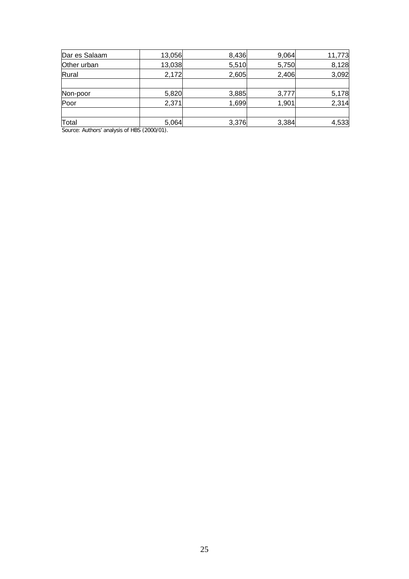| Dar es Salaam | 13,056 | 8,436 | 9,064 | 11,773 |
|---------------|--------|-------|-------|--------|
| Other urban   | 13,038 | 5,510 | 5,750 | 8,128  |
| Rural         | 2,172  | 2,605 | 2,406 | 3,092  |
|               |        |       |       |        |
| Non-poor      | 5,820  | 3,885 | 3,777 | 5,178  |
| Poor          | 2,371  | 1,699 | 1,901 | 2,314  |
| Total         | 5,064  | 3,376 | 3,384 | 4,533  |

Source: Authors' analysis of HBS (2000/01).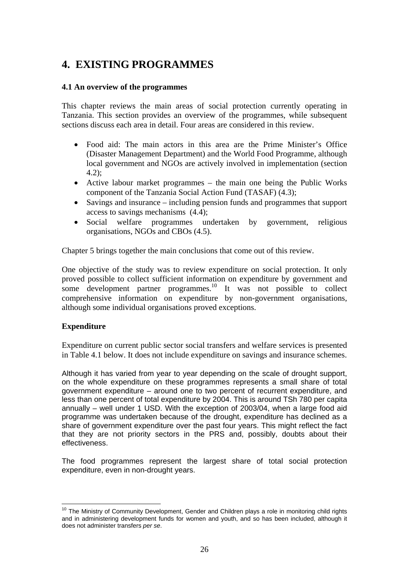# **4. EXISTING PROGRAMMES**

## **4.1 An overview of the programmes**

This chapter reviews the main areas of social protection currently operating in Tanzania. This section provides an overview of the programmes, while subsequent sections discuss each area in detail. Four areas are considered in this review.

- Food aid: The main actors in this area are the Prime Minister's Office (Disaster Management Department) and the World Food Programme, although local government and NGOs are actively involved in implementation (section 4.2);
- Active labour market programmes the main one being the Public Works component of the Tanzania Social Action Fund (TASAF) (4.3);
- Savings and insurance including pension funds and programmes that support access to savings mechanisms (4.4);
- Social welfare programmes undertaken by government, religious organisations, NGOs and CBOs (4.5).

Chapter 5 brings together the main conclusions that come out of this review.

One objective of the study was to review expenditure on social protection. It only proved possible to collect sufficient information on expenditure by government and some development partner programmes.<sup>10</sup> It was not possible to collect comprehensive information on expenditure by non-government organisations, although some individual organisations proved exceptions.

## **Expenditure**

Expenditure on current public sector social transfers and welfare services is presented in Table 4.1 below. It does not include expenditure on savings and insurance schemes.

Although it has varied from year to year depending on the scale of drought support, on the whole expenditure on these programmes represents a small share of total government expenditure – around one to two percent of recurrent expenditure, and less than one percent of total expenditure by 2004. This is around TSh 780 per capita annually – well under 1 USD. With the exception of 2003/04, when a large food aid programme was undertaken because of the drought, expenditure has declined as a share of government expenditure over the past four years. This might reflect the fact that they are not priority sectors in the PRS and, possibly, doubts about their effectiveness.

The food programmes represent the largest share of total social protection expenditure, even in non-drought years.

<sup>&</sup>lt;u>.</u>  $10$  The Ministry of Community Development, Gender and Children plays a role in monitoring child rights and in administering development funds for women and youth, and so has been included, although it does not administer transfers *per se*.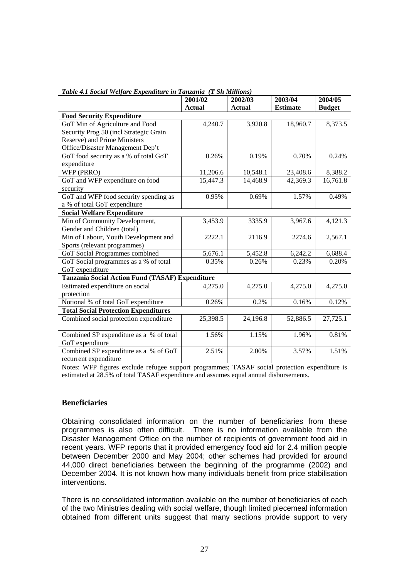| Table 4.1 Social Welfare Expenditure in Tanzania (I Sh Millions) |               |               |                 |               |
|------------------------------------------------------------------|---------------|---------------|-----------------|---------------|
|                                                                  | 2001/02       | 2002/03       | 2003/04         | 2004/05       |
|                                                                  | <b>Actual</b> | <b>Actual</b> | <b>Estimate</b> | <b>Budget</b> |
| <b>Food Security Expenditure</b>                                 |               |               |                 |               |
| GoT Min of Agriculture and Food                                  | 4,240.7       | 3,920.8       | 18,960.7        | 8,373.5       |
| Security Prog 50 (incl Strategic Grain                           |               |               |                 |               |
| Reserve) and Prime Ministers                                     |               |               |                 |               |
| Office/Disaster Management Dep't                                 |               |               |                 |               |
| GoT food security as a % of total GoT                            | 0.26%         | 0.19%         | 0.70%           | 0.24%         |
| expenditure                                                      |               |               |                 |               |
| WFP (PRRO)                                                       | 11,206.6      | 10,548.1      | 23,408.6        | 8,388.2       |
| GoT and WFP expenditure on food                                  | 15,447.3      | 14,468.9      | 42,369.3        | 16,761.8      |
| security                                                         |               |               |                 |               |
| GoT and WFP food security spending as                            | 0.95%         | 0.69%         | 1.57%           | 0.49%         |
| a % of total GoT expenditure                                     |               |               |                 |               |
| <b>Social Welfare Expenditure</b>                                |               |               |                 |               |
| Min of Community Development,                                    | 3,453.9       | 3335.9        | 3,967.6         | 4,121.3       |
| Gender and Children (total)                                      |               |               |                 |               |
| Min of Labour, Youth Development and                             | 2222.1        | 2116.9        | 2274.6          | 2,567.1       |
| Sports (relevant programmes)                                     |               |               |                 |               |
| GoT Social Programmes combined                                   | 5,676.1       | 5,452.8       | 6,242.2         | 6,688.4       |
| GoT Social programmes as a % of total                            | 0.35%         | 0.26%         | 0.23%           | 0.20%         |
| GoT expenditure                                                  |               |               |                 |               |
| Tanzania Social Action Fund (TASAF) Expenditure                  |               |               |                 |               |
| Estimated expenditure on social                                  | 4,275.0       | 4,275.0       | 4,275.0         | 4,275.0       |
| protection                                                       |               |               |                 |               |
| Notional % of total GoT expenditure                              | 0.26%         | 0.2%          | 0.16%           | 0.12%         |
| <b>Total Social Protection Expenditures</b>                      |               |               |                 |               |
| Combined social protection expenditure                           | 25,398.5      | 24,196.8      | 52,886.5        | 27,725.1      |
|                                                                  |               |               |                 |               |
| Combined SP expenditure as a % of total                          | 1.56%         | 1.15%         | 1.96%           | 0.81%         |
| GoT expenditure                                                  |               |               |                 |               |
| Combined SP expenditure as a % of GoT                            | 2.51%         | 2.00%         | 3.57%           | 1.51%         |
| recurrent expenditure                                            |               |               |                 |               |

*Table 4.1 Social Welfare Expenditure in Tanzania (T Sh Millions)* 

Notes: WFP figures exclude refugee support programmes; TASAF social protection expenditure is estimated at 28.5% of total TASAF expenditure and assumes equal annual disbursements.

#### **Beneficiaries**

Obtaining consolidated information on the number of beneficiaries from these programmes is also often difficult. There is no information available from the Disaster Management Office on the number of recipients of government food aid in recent years. WFP reports that it provided emergency food aid for 2.4 million people between December 2000 and May 2004; other schemes had provided for around 44,000 direct beneficiaries between the beginning of the programme (2002) and December 2004. It is not known how many individuals benefit from price stabilisation interventions.

There is no consolidated information available on the number of beneficiaries of each of the two Ministries dealing with social welfare, though limited piecemeal information obtained from different units suggest that many sections provide support to very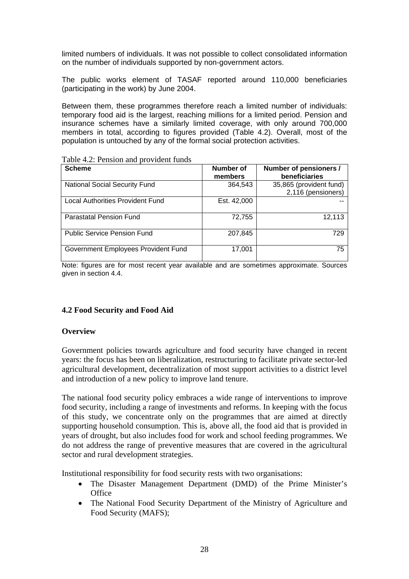limited numbers of individuals. It was not possible to collect consolidated information on the number of individuals supported by non-government actors.

The public works element of TASAF reported around 110,000 beneficiaries (participating in the work) by June 2004.

Between them, these programmes therefore reach a limited number of individuals: temporary food aid is the largest, reaching millions for a limited period. Pension and insurance schemes have a similarly limited coverage, with only around 700,000 members in total, according to figures provided (Table 4.2). Overall, most of the population is untouched by any of the formal social protection activities.

| <b>Scheme</b>                        | Number of<br>members | Number of pensioners /<br>beneficiaries       |
|--------------------------------------|----------------------|-----------------------------------------------|
| <b>National Social Security Fund</b> | 364,543              | 35,865 (provident fund)<br>2,116 (pensioners) |
| Local Authorities Provident Fund     | Est. 42,000          |                                               |
| <b>Parastatal Pension Fund</b>       | 72,755               | 12,113                                        |
| <b>Public Service Pension Fund</b>   | 207,845              | 729                                           |
| Government Employees Provident Fund  | 17,001               | 75                                            |

Table 4.2: Pension and provident funds

Note: figures are for most recent year available and are sometimes approximate. Sources given in section 4.4.

#### **4.2 Food Security and Food Aid**

#### **Overview**

Government policies towards agriculture and food security have changed in recent years: the focus has been on liberalization, restructuring to facilitate private sector-led agricultural development, decentralization of most support activities to a district level and introduction of a new policy to improve land tenure.

The national food security policy embraces a wide range of interventions to improve food security, including a range of investments and reforms. In keeping with the focus of this study, we concentrate only on the programmes that are aimed at directly supporting household consumption. This is, above all, the food aid that is provided in years of drought, but also includes food for work and school feeding programmes. We do not address the range of preventive measures that are covered in the agricultural sector and rural development strategies.

Institutional responsibility for food security rests with two organisations:

- The Disaster Management Department (DMD) of the Prime Minister's **Office**
- The National Food Security Department of the Ministry of Agriculture and Food Security (MAFS);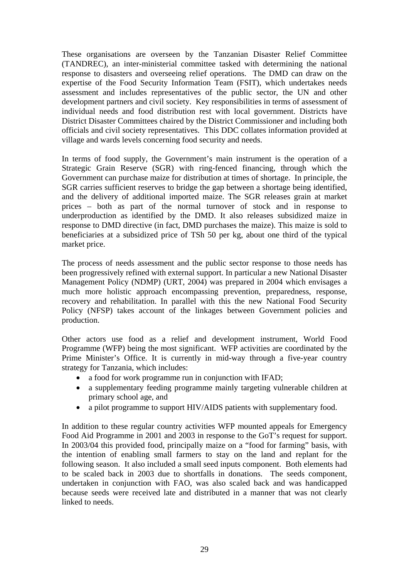These organisations are overseen by the Tanzanian Disaster Relief Committee (TANDREC), an inter-ministerial committee tasked with determining the national response to disasters and overseeing relief operations. The DMD can draw on the expertise of the Food Security Information Team (FSIT), which undertakes needs assessment and includes representatives of the public sector, the UN and other development partners and civil society. Key responsibilities in terms of assessment of individual needs and food distribution rest with local government. Districts have District Disaster Committees chaired by the District Commissioner and including both officials and civil society representatives. This DDC collates information provided at village and wards levels concerning food security and needs.

In terms of food supply, the Government's main instrument is the operation of a Strategic Grain Reserve (SGR) with ring-fenced financing, through which the Government can purchase maize for distribution at times of shortage. In principle, the SGR carries sufficient reserves to bridge the gap between a shortage being identified, and the delivery of additional imported maize. The SGR releases grain at market prices – both as part of the normal turnover of stock and in response to underproduction as identified by the DMD. It also releases subsidized maize in response to DMD directive (in fact, DMD purchases the maize). This maize is sold to beneficiaries at a subsidized price of TSh 50 per kg, about one third of the typical market price.

The process of needs assessment and the public sector response to those needs has been progressively refined with external support. In particular a new National Disaster Management Policy (NDMP) (URT, 2004) was prepared in 2004 which envisages a much more holistic approach encompassing prevention, preparedness, response, recovery and rehabilitation. In parallel with this the new National Food Security Policy (NFSP) takes account of the linkages between Government policies and production.

Other actors use food as a relief and development instrument, World Food Programme (WFP) being the most significant. WFP activities are coordinated by the Prime Minister's Office. It is currently in mid-way through a five-year country strategy for Tanzania, which includes:

- a food for work programme run in conjunction with IFAD;
- a supplementary feeding programme mainly targeting vulnerable children at primary school age, and
- a pilot programme to support HIV/AIDS patients with supplementary food.

In addition to these regular country activities WFP mounted appeals for Emergency Food Aid Programme in 2001 and 2003 in response to the GoT's request for support. In 2003/04 this provided food, principally maize on a "food for farming" basis, with the intention of enabling small farmers to stay on the land and replant for the following season. It also included a small seed inputs component. Both elements had to be scaled back in 2003 due to shortfalls in donations. The seeds component, undertaken in conjunction with FAO, was also scaled back and was handicapped because seeds were received late and distributed in a manner that was not clearly linked to needs.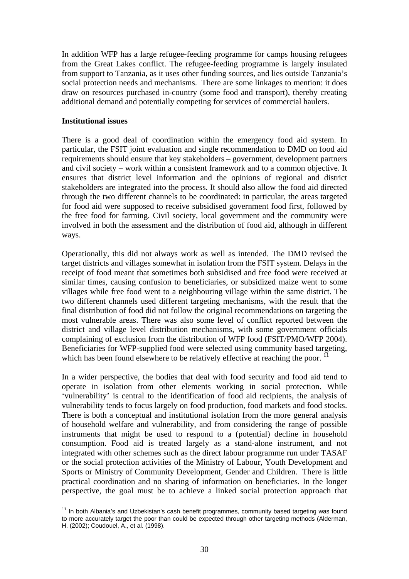In addition WFP has a large refugee-feeding programme for camps housing refugees from the Great Lakes conflict. The refugee-feeding programme is largely insulated from support to Tanzania, as it uses other funding sources, and lies outside Tanzania's social protection needs and mechanisms. There are some linkages to mention: it does draw on resources purchased in-country (some food and transport), thereby creating additional demand and potentially competing for services of commercial haulers.

#### **Institutional issues**

There is a good deal of coordination within the emergency food aid system. In particular, the FSIT joint evaluation and single recommendation to DMD on food aid requirements should ensure that key stakeholders – government, development partners and civil society – work within a consistent framework and to a common objective. It ensures that district level information and the opinions of regional and district stakeholders are integrated into the process. It should also allow the food aid directed through the two different channels to be coordinated: in particular, the areas targeted for food aid were supposed to receive subsidised government food first, followed by the free food for farming. Civil society, local government and the community were involved in both the assessment and the distribution of food aid, although in different ways.

Operationally, this did not always work as well as intended. The DMD revised the target districts and villages somewhat in isolation from the FSIT system. Delays in the receipt of food meant that sometimes both subsidised and free food were received at similar times, causing confusion to beneficiaries, or subsidized maize went to some villages while free food went to a neighbouring village within the same district. The two different channels used different targeting mechanisms, with the result that the final distribution of food did not follow the original recommendations on targeting the most vulnerable areas. There was also some level of conflict reported between the district and village level distribution mechanisms, with some government officials complaining of exclusion from the distribution of WFP food (FSIT/PMO/WFP 2004). Beneficiaries for WFP-supplied food were selected using community based targeting, which has been found elsewhere to be relatively effective at reaching the poor.  $^{11}$ 

In a wider perspective, the bodies that deal with food security and food aid tend to operate in isolation from other elements working in social protection. While 'vulnerability' is central to the identification of food aid recipients, the analysis of vulnerability tends to focus largely on food production, food markets and food stocks. There is both a conceptual and institutional isolation from the more general analysis of household welfare and vulnerability, and from considering the range of possible instruments that might be used to respond to a (potential) decline in household consumption. Food aid is treated largely as a stand-alone instrument, and not integrated with other schemes such as the direct labour programme run under TASAF or the social protection activities of the Ministry of Labour, Youth Development and Sports or Ministry of Community Development, Gender and Children. There is little practical coordination and no sharing of information on beneficiaries. In the longer perspective, the goal must be to achieve a linked social protection approach that

<sup>&</sup>lt;u>.</u>  $11$  In both Albania's and Uzbekistan's cash benefit programmes, community based targeting was found to more accurately target the poor than could be expected through other targeting methods (Alderman, H. (2002); Coudouel, A., et al. (1998).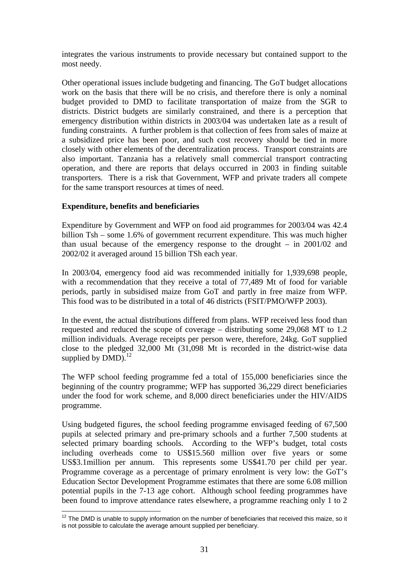integrates the various instruments to provide necessary but contained support to the most needy.

Other operational issues include budgeting and financing. The GoT budget allocations work on the basis that there will be no crisis, and therefore there is only a nominal budget provided to DMD to facilitate transportation of maize from the SGR to districts. District budgets are similarly constrained, and there is a perception that emergency distribution within districts in 2003/04 was undertaken late as a result of funding constraints. A further problem is that collection of fees from sales of maize at a subsidized price has been poor, and such cost recovery should be tied in more closely with other elements of the decentralization process. Transport constraints are also important. Tanzania has a relatively small commercial transport contracting operation, and there are reports that delays occurred in 2003 in finding suitable transporters. There is a risk that Government, WFP and private traders all compete for the same transport resources at times of need.

#### **Expenditure, benefits and beneficiaries**

Expenditure by Government and WFP on food aid programmes for 2003/04 was 42.4 billion Tsh – some 1.6% of government recurrent expenditure. This was much higher than usual because of the emergency response to the drought – in 2001/02 and 2002/02 it averaged around 15 billion TSh each year.

In 2003/04, emergency food aid was recommended initially for 1,939,698 people, with a recommendation that they receive a total of 77,489 Mt of food for variable periods, partly in subsidised maize from GoT and partly in free maize from WFP. This food was to be distributed in a total of 46 districts (FSIT/PMO/WFP 2003).

In the event, the actual distributions differed from plans. WFP received less food than requested and reduced the scope of coverage – distributing some 29,068 MT to 1.2 million individuals. Average receipts per person were, therefore, 24kg. GoT supplied close to the pledged 32,000 Mt (31,098 Mt is recorded in the district-wise data supplied by  $DMD$ ).<sup>12</sup>

The WFP school feeding programme fed a total of 155,000 beneficiaries since the beginning of the country programme; WFP has supported 36,229 direct beneficiaries under the food for work scheme, and 8,000 direct beneficiaries under the HIV/AIDS programme.

Using budgeted figures, the school feeding programme envisaged feeding of 67,500 pupils at selected primary and pre-primary schools and a further 7,500 students at selected primary boarding schools. According to the WFP's budget, total costs including overheads come to US\$15.560 million over five years or some US\$3.1million per annum. This represents some US\$41.70 per child per year. Programme coverage as a percentage of primary enrolment is very low: the GoT's Education Sector Development Programme estimates that there are some 6.08 million potential pupils in the 7-13 age cohort. Although school feeding programmes have been found to improve attendance rates elsewhere, a programme reaching only 1 to 2

<sup>1</sup>  $12$  The DMD is unable to supply information on the number of beneficiaries that received this maize, so it is not possible to calculate the average amount supplied per beneficiary.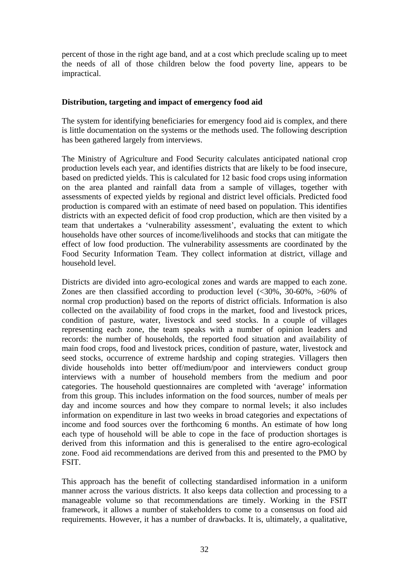percent of those in the right age band, and at a cost which preclude scaling up to meet the needs of all of those children below the food poverty line, appears to be impractical.

#### **Distribution, targeting and impact of emergency food aid**

The system for identifying beneficiaries for emergency food aid is complex, and there is little documentation on the systems or the methods used. The following description has been gathered largely from interviews.

The Ministry of Agriculture and Food Security calculates anticipated national crop production levels each year, and identifies districts that are likely to be food insecure, based on predicted yields. This is calculated for 12 basic food crops using information on the area planted and rainfall data from a sample of villages, together with assessments of expected yields by regional and district level officials. Predicted food production is compared with an estimate of need based on population. This identifies districts with an expected deficit of food crop production, which are then visited by a team that undertakes a 'vulnerability assessment', evaluating the extent to which households have other sources of income/livelihoods and stocks that can mitigate the effect of low food production. The vulnerability assessments are coordinated by the Food Security Information Team. They collect information at district, village and household level.

Districts are divided into agro-ecological zones and wards are mapped to each zone. Zones are then classified according to production level  $\langle$  <30%, 30-60%, >60% of normal crop production) based on the reports of district officials. Information is also collected on the availability of food crops in the market, food and livestock prices, condition of pasture, water, livestock and seed stocks. In a couple of villages representing each zone, the team speaks with a number of opinion leaders and records: the number of households, the reported food situation and availability of main food crops, food and livestock prices, condition of pasture, water, livestock and seed stocks, occurrence of extreme hardship and coping strategies. Villagers then divide households into better off/medium/poor and interviewers conduct group interviews with a number of household members from the medium and poor categories. The household questionnaires are completed with 'average' information from this group. This includes information on the food sources, number of meals per day and income sources and how they compare to normal levels; it also includes information on expenditure in last two weeks in broad categories and expectations of income and food sources over the forthcoming 6 months. An estimate of how long each type of household will be able to cope in the face of production shortages is derived from this information and this is generalised to the entire agro-ecological zone. Food aid recommendations are derived from this and presented to the PMO by FSIT.

This approach has the benefit of collecting standardised information in a uniform manner across the various districts. It also keeps data collection and processing to a manageable volume so that recommendations are timely. Working in the FSIT framework, it allows a number of stakeholders to come to a consensus on food aid requirements. However, it has a number of drawbacks. It is, ultimately, a qualitative,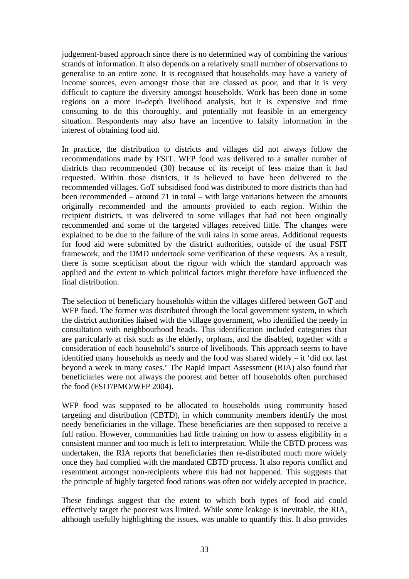judgement-based approach since there is no determined way of combining the various strands of information. It also depends on a relatively small number of observations to generalise to an entire zone. It is recognised that households may have a variety of income sources, even amongst those that are classed as poor, and that it is very difficult to capture the diversity amongst households. Work has been done in some regions on a more in-depth livelihood analysis, but it is expensive and time consuming to do this thoroughly, and potentially not feasible in an emergency situation. Respondents may also have an incentive to falsify information in the interest of obtaining food aid.

In practice, the distribution to districts and villages did not always follow the recommendations made by FSIT. WFP food was delivered to a smaller number of districts than recommended (30) because of its receipt of less maize than it had requested. Within those districts, it is believed to have been delivered to the recommended villages. GoT subsidised food was distributed to more districts than had been recommended – around 71 in total – with large variations between the amounts originally recommended and the amounts provided to each region. Within the recipient districts, it was delivered to some villages that had not been originally recommended and some of the targeted villages received little. The changes were explained to be due to the failure of the vuli rains in some areas. Additional requests for food aid were submitted by the district authorities, outside of the usual FSIT framework, and the DMD undertook some verification of these requests. As a result, there is some scepticism about the rigour with which the standard approach was applied and the extent to which political factors might therefore have influenced the final distribution.

The selection of beneficiary households within the villages differed between GoT and WFP food. The former was distributed through the local government system, in which the district authorities liaised with the village government, who identified the needy in consultation with neighbourhood heads. This identification included categories that are particularly at risk such as the elderly, orphans, and the disabled, together with a consideration of each household's source of livelihoods. This approach seems to have identified many households as needy and the food was shared widely – it 'did not last beyond a week in many cases.' The Rapid Impact Assessment (RIA) also found that beneficiaries were not always the poorest and better off households often purchased the food (FSIT/PMO/WFP 2004).

WFP food was supposed to be allocated to households using community based targeting and distribution (CBTD), in which community members identify the most needy beneficiaries in the village. These beneficiaries are then supposed to receive a full ration. However, communities had little training on how to assess eligibility in a consistent manner and too much is left to interpretation. While the CBTD process was undertaken, the RIA reports that beneficiaries then re-distributed much more widely once they had complied with the mandated CBTD process. It also reports conflict and resentment amongst non-recipients where this had not happened. This suggests that the principle of highly targeted food rations was often not widely accepted in practice.

These findings suggest that the extent to which both types of food aid could effectively target the poorest was limited. While some leakage is inevitable, the RIA, although usefully highlighting the issues, was unable to quantify this. It also provides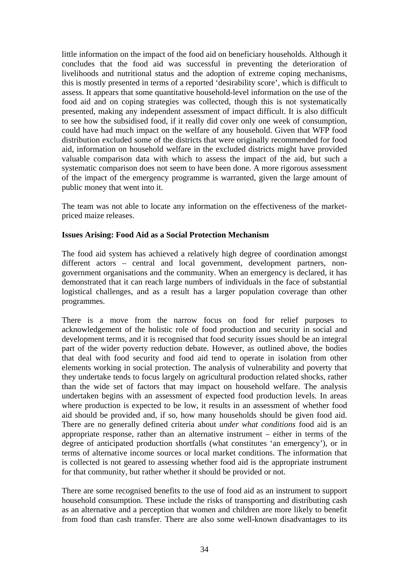little information on the impact of the food aid on beneficiary households. Although it concludes that the food aid was successful in preventing the deterioration of livelihoods and nutritional status and the adoption of extreme coping mechanisms, this is mostly presented in terms of a reported 'desirability score', which is difficult to assess. It appears that some quantitative household-level information on the use of the food aid and on coping strategies was collected, though this is not systematically presented, making any independent assessment of impact difficult. It is also difficult to see how the subsidised food, if it really did cover only one week of consumption, could have had much impact on the welfare of any household. Given that WFP food distribution excluded some of the districts that were originally recommended for food aid, information on household welfare in the excluded districts might have provided valuable comparison data with which to assess the impact of the aid, but such a systematic comparison does not seem to have been done. A more rigorous assessment of the impact of the emergency programme is warranted, given the large amount of public money that went into it.

The team was not able to locate any information on the effectiveness of the marketpriced maize releases.

#### **Issues Arising: Food Aid as a Social Protection Mechanism**

The food aid system has achieved a relatively high degree of coordination amongst different actors – central and local government, development partners, nongovernment organisations and the community. When an emergency is declared, it has demonstrated that it can reach large numbers of individuals in the face of substantial logistical challenges, and as a result has a larger population coverage than other programmes.

There is a move from the narrow focus on food for relief purposes to acknowledgement of the holistic role of food production and security in social and development terms, and it is recognised that food security issues should be an integral part of the wider poverty reduction debate. However, as outlined above, the bodies that deal with food security and food aid tend to operate in isolation from other elements working in social protection. The analysis of vulnerability and poverty that they undertake tends to focus largely on agricultural production related shocks, rather than the wide set of factors that may impact on household welfare. The analysis undertaken begins with an assessment of expected food production levels. In areas where production is expected to be low, it results in an assessment of whether food aid should be provided and, if so, how many households should be given food aid. There are no generally defined criteria about *under what conditions* food aid is an appropriate response, rather than an alternative instrument – either in terms of the degree of anticipated production shortfalls (what constitutes 'an emergency'), or in terms of alternative income sources or local market conditions. The information that is collected is not geared to assessing whether food aid is the appropriate instrument for that community, but rather whether it should be provided or not.

There are some recognised benefits to the use of food aid as an instrument to support household consumption. These include the risks of transporting and distributing cash as an alternative and a perception that women and children are more likely to benefit from food than cash transfer. There are also some well-known disadvantages to its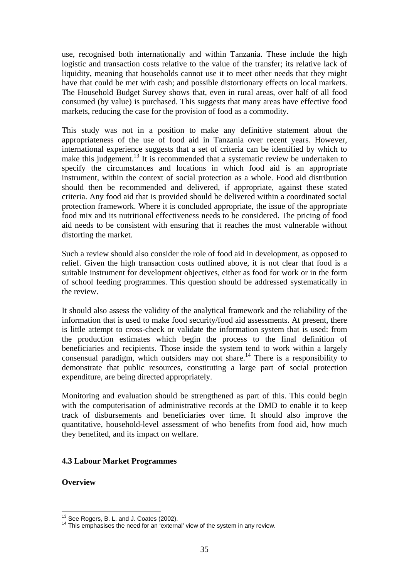use, recognised both internationally and within Tanzania. These include the high logistic and transaction costs relative to the value of the transfer; its relative lack of liquidity, meaning that households cannot use it to meet other needs that they might have that could be met with cash; and possible distortionary effects on local markets. The Household Budget Survey shows that, even in rural areas, over half of all food consumed (by value) is purchased. This suggests that many areas have effective food markets, reducing the case for the provision of food as a commodity.

This study was not in a position to make any definitive statement about the appropriateness of the use of food aid in Tanzania over recent years. However, international experience suggests that a set of criteria can be identified by which to make this judgement.<sup>13</sup> It is recommended that a systematic review be undertaken to specify the circumstances and locations in which food aid is an appropriate instrument, within the context of social protection as a whole. Food aid distribution should then be recommended and delivered, if appropriate, against these stated criteria. Any food aid that is provided should be delivered within a coordinated social protection framework. Where it is concluded appropriate, the issue of the appropriate food mix and its nutritional effectiveness needs to be considered. The pricing of food aid needs to be consistent with ensuring that it reaches the most vulnerable without distorting the market.

Such a review should also consider the role of food aid in development, as opposed to relief. Given the high transaction costs outlined above, it is not clear that food is a suitable instrument for development objectives, either as food for work or in the form of school feeding programmes. This question should be addressed systematically in the review.

It should also assess the validity of the analytical framework and the reliability of the information that is used to make food security/food aid assessments. At present, there is little attempt to cross-check or validate the information system that is used: from the production estimates which begin the process to the final definition of beneficiaries and recipients. Those inside the system tend to work within a largely consensual paradigm, which outsiders may not share.<sup>14</sup> There is a responsibility to demonstrate that public resources, constituting a large part of social protection expenditure, are being directed appropriately.

Monitoring and evaluation should be strengthened as part of this. This could begin with the computerisation of administrative records at the DMD to enable it to keep track of disbursements and beneficiaries over time. It should also improve the quantitative, household-level assessment of who benefits from food aid, how much they benefited, and its impact on welfare.

#### **4.3 Labour Market Programmes**

**Overview** 

1

<sup>&</sup>lt;sup>13</sup> See Rogers, B. L. and J. Coates (2002).<br><sup>14</sup> This emphasises the need for an 'external' view of the system in any review.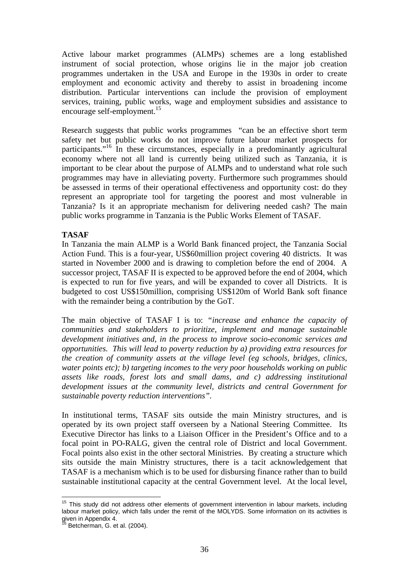Active labour market programmes (ALMPs) schemes are a long established instrument of social protection, whose origins lie in the major job creation programmes undertaken in the USA and Europe in the 1930s in order to create employment and economic activity and thereby to assist in broadening income distribution. Particular interventions can include the provision of employment services, training, public works, wage and employment subsidies and assistance to encourage self-employment.<sup>15</sup>

Research suggests that public works programmes "can be an effective short term safety net but public works do not improve future labour market prospects for participants."16 In these circumstances, especially in a predominantly agricultural economy where not all land is currently being utilized such as Tanzania, it is important to be clear about the purpose of ALMPs and to understand what role such programmes may have in alleviating poverty. Furthermore such programmes should be assessed in terms of their operational effectiveness and opportunity cost: do they represent an appropriate tool for targeting the poorest and most vulnerable in Tanzania? Is it an appropriate mechanism for delivering needed cash? The main public works programme in Tanzania is the Public Works Element of TASAF.

### **TASAF**

In Tanzania the main ALMP is a World Bank financed project, the Tanzania Social Action Fund. This is a four-year, US\$60million project covering 40 districts. It was started in November 2000 and is drawing to completion before the end of 2004. A successor project, TASAF II is expected to be approved before the end of 2004, which is expected to run for five years, and will be expanded to cover all Districts. It is budgeted to cost US\$150million, comprising US\$120m of World Bank soft finance with the remainder being a contribution by the GoT.

The main objective of TASAF I is to: *"increase and enhance the capacity of communities and stakeholders to prioritize, implement and manage sustainable development initiatives and, in the process to improve socio-economic services and opportunities. This will lead to poverty reduction by a) providing extra resources for the creation of community assets at the village level (eg schools, bridges, clinics, water points etc); b) targeting incomes to the very poor households working on public assets like roads, forest lots and small dams, and c) addressing institutional development issues at the community level, districts and central Government for sustainable poverty reduction interventions".* 

In institutional terms, TASAF sits outside the main Ministry structures, and is operated by its own project staff overseen by a National Steering Committee. Its Executive Director has links to a Liaison Officer in the President's Office and to a focal point in PO-RALG, given the central role of District and local Government. Focal points also exist in the other sectoral Ministries. By creating a structure which sits outside the main Ministry structures, there is a tacit acknowledgement that TASAF is a mechanism which is to be used for disbursing finance rather than to build sustainable institutional capacity at the central Government level. At the local level,

<sup>1</sup>  $15$  This study did not address other elements of government intervention in labour markets, including labour market policy, which falls under the remit of the MOLYDS. Some information on its activities is given in Appendix 4.

 $^3$  Betcherman, G. et al. (2004).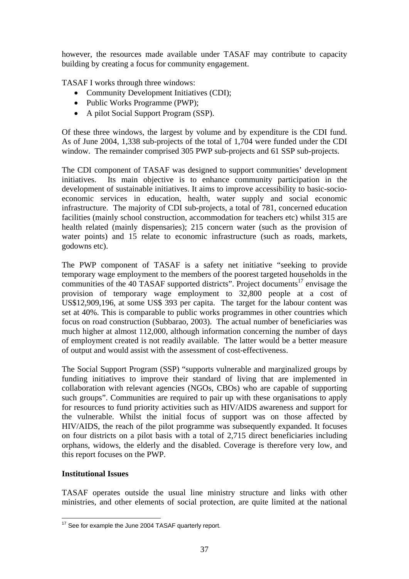however, the resources made available under TASAF may contribute to capacity building by creating a focus for community engagement.

TASAF I works through three windows:

- Community Development Initiatives (CDI);
- Public Works Programme (PWP);
- A pilot Social Support Program (SSP).

Of these three windows, the largest by volume and by expenditure is the CDI fund. As of June 2004, 1,338 sub-projects of the total of 1,704 were funded under the CDI window. The remainder comprised 305 PWP sub-projects and 61 SSP sub-projects.

The CDI component of TASAF was designed to support communities' development initiatives. Its main objective is to enhance community participation in the development of sustainable initiatives. It aims to improve accessibility to basic-socioeconomic services in education, health, water supply and social economic infrastructure. The majority of CDI sub-projects, a total of 781, concerned education facilities (mainly school construction, accommodation for teachers etc) whilst 315 are health related (mainly dispensaries); 215 concern water (such as the provision of water points) and 15 relate to economic infrastructure (such as roads, markets, godowns etc).

The PWP component of TASAF is a safety net initiative "seeking to provide temporary wage employment to the members of the poorest targeted households in the communities of the 40 TASAF supported districts". Project documents<sup>17</sup> envisage the provision of temporary wage employment to 32,800 people at a cost of US\$12,909,196, at some US\$ 393 per capita. The target for the labour content was set at 40%. This is comparable to public works programmes in other countries which focus on road construction (Subbarao, 2003). The actual number of beneficiaries was much higher at almost 112,000, although information concerning the number of days of employment created is not readily available. The latter would be a better measure of output and would assist with the assessment of cost-effectiveness.

The Social Support Program (SSP) "supports vulnerable and marginalized groups by funding initiatives to improve their standard of living that are implemented in collaboration with relevant agencies (NGOs, CBOs) who are capable of supporting such groups". Communities are required to pair up with these organisations to apply for resources to fund priority activities such as HIV/AIDS awareness and support for the vulnerable. Whilst the initial focus of support was on those affected by HIV/AIDS, the reach of the pilot programme was subsequently expanded. It focuses on four districts on a pilot basis with a total of 2,715 direct beneficiaries including orphans, widows, the elderly and the disabled. Coverage is therefore very low, and this report focuses on the PWP.

#### **Institutional Issues**

TASAF operates outside the usual line ministry structure and links with other ministries, and other elements of social protection, are quite limited at the national

<sup>1</sup> <sup>17</sup> See for example the June 2004 TASAF quarterly report.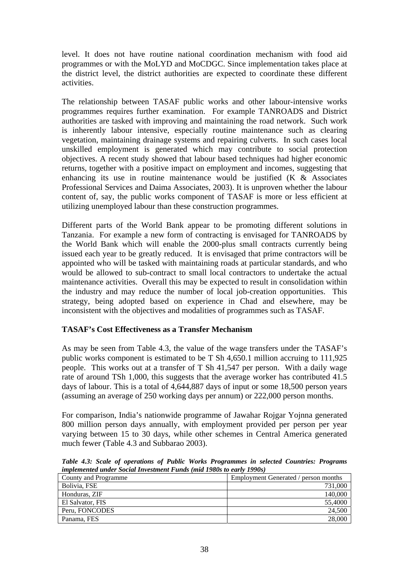level. It does not have routine national coordination mechanism with food aid programmes or with the MoLYD and MoCDGC. Since implementation takes place at the district level, the district authorities are expected to coordinate these different activities.

The relationship between TASAF public works and other labour-intensive works programmes requires further examination. For example TANROADS and District authorities are tasked with improving and maintaining the road network. Such work is inherently labour intensive, especially routine maintenance such as clearing vegetation, maintaining drainage systems and repairing culverts. In such cases local unskilled employment is generated which may contribute to social protection objectives. A recent study showed that labour based techniques had higher economic returns, together with a positive impact on employment and incomes, suggesting that enhancing its use in routine maintenance would be justified (K & Associates Professional Services and Daima Associates, 2003). It is unproven whether the labour content of, say, the public works component of TASAF is more or less efficient at utilizing unemployed labour than these construction programmes.

Different parts of the World Bank appear to be promoting different solutions in Tanzania. For example a new form of contracting is envisaged for TANROADS by the World Bank which will enable the 2000-plus small contracts currently being issued each year to be greatly reduced. It is envisaged that prime contractors will be appointed who will be tasked with maintaining roads at particular standards, and who would be allowed to sub-contract to small local contractors to undertake the actual maintenance activities. Overall this may be expected to result in consolidation within the industry and may reduce the number of local job-creation opportunities. This strategy, being adopted based on experience in Chad and elsewhere, may be inconsistent with the objectives and modalities of programmes such as TASAF.

# **TASAF's Cost Effectiveness as a Transfer Mechanism**

As may be seen from Table 4.3, the value of the wage transfers under the TASAF's public works component is estimated to be T Sh 4,650.1 million accruing to 111,925 people. This works out at a transfer of T Sh 41,547 per person. With a daily wage rate of around TSh 1,000, this suggests that the average worker has contributed 41.5 days of labour. This is a total of 4,644,887 days of input or some 18,500 person years (assuming an average of 250 working days per annum) or 222,000 person months.

For comparison, India's nationwide programme of Jawahar Rojgar Yojnna generated 800 million person days annually, with employment provided per person per year varying between 15 to 30 days, while other schemes in Central America generated much fewer (Table 4.3 and Subbarao 2003).

| Table 4.3: Scale of operations of Public Works Programmes in selected Countries: Programs<br>implemented under Social Investment Funds (mid 1980s to early 1990s) |  |  |  |  |  |
|-------------------------------------------------------------------------------------------------------------------------------------------------------------------|--|--|--|--|--|
| Employment Generated / person months<br>County and Programme                                                                                                      |  |  |  |  |  |
|                                                                                                                                                                   |  |  |  |  |  |

| County and Programme | Employment Generated / person months |
|----------------------|--------------------------------------|
| Bolivia, FSE         | 731,000                              |
| Honduras, ZIF        | 140,000                              |
| El Salvator, FIS     | 55,4000                              |
| Peru, FONCODES       | 24,500                               |
| Panama, FES          | 28,000                               |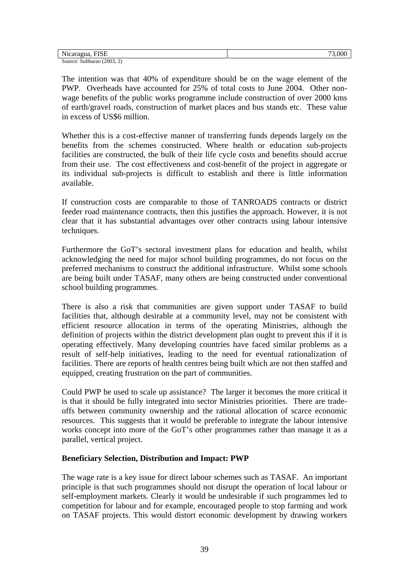| Nicaragua<br>$\blacksquare$<br>-1SE           |  |
|-----------------------------------------------|--|
| (2003, 2)<br>Subbarao <sup>r</sup><br>Source: |  |

The intention was that 40% of expenditure should be on the wage element of the PWP. Overheads have accounted for 25% of total costs to June 2004. Other nonwage benefits of the public works programme include construction of over 2000 kms of earth/gravel roads, construction of market places and bus stands etc. These value in excess of US\$6 million.

Whether this is a cost-effective manner of transferring funds depends largely on the benefits from the schemes constructed. Where health or education sub-projects facilities are constructed, the bulk of their life cycle costs and benefits should accrue from their use. The cost effectiveness and cost-benefit of the project in aggregate or its individual sub-projects is difficult to establish and there is little information available.

If construction costs are comparable to those of TANROADS contracts or district feeder road maintenance contracts, then this justifies the approach. However, it is not clear that it has substantial advantages over other contracts using labour intensive techniques.

Furthermore the GoT's sectoral investment plans for education and health, whilst acknowledging the need for major school building programmes, do not focus on the preferred mechanisms to construct the additional infrastructure. Whilst some schools are being built under TASAF, many others are being constructed under conventional school building programmes.

There is also a risk that communities are given support under TASAF to build facilities that, although desirable at a community level, may not be consistent with efficient resource allocation in terms of the operating Ministries, although the definition of projects within the district development plan ought to prevent this if it is operating effectively. Many developing countries have faced similar problems as a result of self-help initiatives, leading to the need for eventual rationalization of facilities. There are reports of health centres being built which are not then staffed and equipped, creating frustration on the part of communities.

Could PWP be used to scale up assistance? The larger it becomes the more critical it is that it should be fully integrated into sector Ministries priorities. There are tradeoffs between community ownership and the rational allocation of scarce economic resources. This suggests that it would be preferable to integrate the labour intensive works concept into more of the GoT's other programmes rather than manage it as a parallel, vertical project.

#### **Beneficiary Selection, Distribution and Impact: PWP**

The wage rate is a key issue for direct labour schemes such as TASAF. An important principle is that such programmes should not disrupt the operation of local labour or self-employment markets. Clearly it would be undesirable if such programmes led to competition for labour and for example, encouraged people to stop farming and work on TASAF projects. This would distort economic development by drawing workers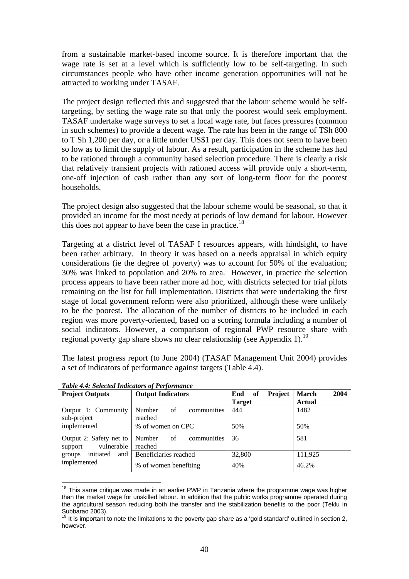from a sustainable market-based income source. It is therefore important that the wage rate is set at a level which is sufficiently low to be self-targeting. In such circumstances people who have other income generation opportunities will not be attracted to working under TASAF.

The project design reflected this and suggested that the labour scheme would be selftargeting, by setting the wage rate so that only the poorest would seek employment. TASAF undertake wage surveys to set a local wage rate, but faces pressures (common in such schemes) to provide a decent wage. The rate has been in the range of TSh 800 to T Sh 1,200 per day, or a little under US\$1 per day. This does not seem to have been so low as to limit the supply of labour. As a result, participation in the scheme has had to be rationed through a community based selection procedure. There is clearly a risk that relatively transient projects with rationed access will provide only a short-term, one-off injection of cash rather than any sort of long-term floor for the poorest households.

The project design also suggested that the labour scheme would be seasonal, so that it provided an income for the most needy at periods of low demand for labour. However this does not appear to have been the case in practice.<sup>18</sup>

Targeting at a district level of TASAF I resources appears, with hindsight, to have been rather arbitrary. In theory it was based on a needs appraisal in which equity considerations (ie the degree of poverty) was to account for 50% of the evaluation; 30% was linked to population and 20% to area. However, in practice the selection process appears to have been rather more ad hoc, with districts selected for trial pilots remaining on the list for full implementation. Districts that were undertaking the first stage of local government reform were also prioritized, although these were unlikely to be the poorest. The allocation of the number of districts to be included in each region was more poverty-oriented, based on a scoring formula including a number of social indicators. However, a comparison of regional PWP resource share with regional poverty gap share shows no clear relationship (see Appendix 1).<sup>19</sup>

The latest progress report (to June 2004) (TASAF Management Unit 2004) provides a set of indicators of performance against targets (Table 4.4).

| <b>Project Outputs</b>                           | <b>Output Indicators</b>               | <b>Project</b><br>of<br>End | 2004<br>March |  |
|--------------------------------------------------|----------------------------------------|-----------------------------|---------------|--|
|                                                  |                                        | <b>Target</b>               | <b>Actual</b> |  |
| Output 1: Community<br>sub-project               | communities<br>Number<br>of<br>reached | 444                         | 1482          |  |
| implemented                                      | % of women on CPC                      | 50%                         | 50%           |  |
| Output 2: Safety net to<br>vulnerable<br>support | communities<br>Number<br>of<br>reached | 36                          | 581           |  |
| initiated<br>and<br>groups                       | Beneficiaries reached                  | 32,800                      | 111,925       |  |
| implemented                                      | % of women benefiting                  | 40%                         | 46.2%         |  |

*Table 4.4: Selected Indicators of Performance* 

<sup>1</sup>  $18$  This same critique was made in an earlier PWP in Tanzania where the programme wage was higher than the market wage for unskilled labour. In addition that the public works programme operated during the agricultural season reducing both the transfer and the stabilization benefits to the poor (Teklu in Subbarao 2003).

 $19$  It is important to note the limitations to the poverty gap share as a 'gold standard' outlined in section 2, however.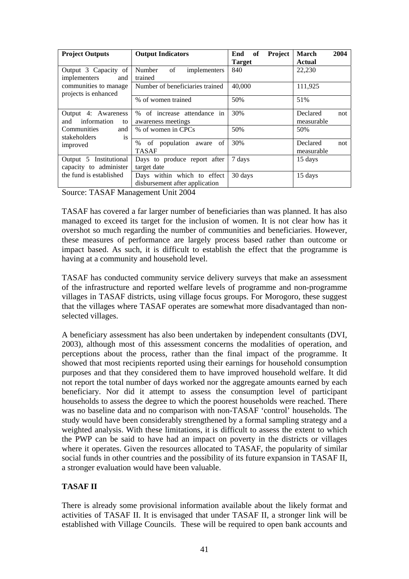| <b>Project Outputs</b>                                     | <b>Output Indicators</b>                                      | Project<br>of<br>End | 2004<br><b>March</b>          |  |
|------------------------------------------------------------|---------------------------------------------------------------|----------------------|-------------------------------|--|
| Output 3 Capacity of<br>implementers<br>and                | of<br>Number<br>implementers<br>trained                       | <b>Target</b><br>840 | <b>Actual</b><br>22,230       |  |
| communities to manage<br>projects is enhanced              | Number of beneficiaries trained                               | 40,000               | 111,925                       |  |
|                                                            | % of women trained                                            | 50%                  | 51%                           |  |
| Output 4: Awareness<br>information<br>and<br>to            | % of increase attendance in<br>awareness meetings             | 30%                  | Declared<br>not<br>measurable |  |
| Communities<br>and<br><i>stakeholders</i><br><sup>is</sup> | % of women in CPCs                                            | 50%                  | 50%                           |  |
| improved                                                   | % of population aware of<br><b>TASAF</b>                      | 30%                  | Declared<br>not<br>measurable |  |
| Institutional<br>Output 5<br>capacity to administer        | Days to produce report after<br>target date                   | 7 days               | 15 days                       |  |
| the fund is established                                    | Days within which to effect<br>disbursement after application | 30 days              | 15 days                       |  |

Source: TASAF Management Unit 2004

TASAF has covered a far larger number of beneficiaries than was planned. It has also managed to exceed its target for the inclusion of women. It is not clear how has it overshot so much regarding the number of communities and beneficiaries. However, these measures of performance are largely process based rather than outcome or impact based. As such, it is difficult to establish the effect that the programme is having at a community and household level.

TASAF has conducted community service delivery surveys that make an assessment of the infrastructure and reported welfare levels of programme and non-programme villages in TASAF districts, using village focus groups. For Morogoro, these suggest that the villages where TASAF operates are somewhat more disadvantaged than nonselected villages.

A beneficiary assessment has also been undertaken by independent consultants (DVI, 2003), although most of this assessment concerns the modalities of operation, and perceptions about the process, rather than the final impact of the programme. It showed that most recipients reported using their earnings for household consumption purposes and that they considered them to have improved household welfare. It did not report the total number of days worked nor the aggregate amounts earned by each beneficiary. Nor did it attempt to assess the consumption level of participant households to assess the degree to which the poorest households were reached. There was no baseline data and no comparison with non-TASAF 'control' households. The study would have been considerably strengthened by a formal sampling strategy and a weighted analysis. With these limitations, it is difficult to assess the extent to which the PWP can be said to have had an impact on poverty in the districts or villages where it operates. Given the resources allocated to TASAF, the popularity of similar social funds in other countries and the possibility of its future expansion in TASAF II, a stronger evaluation would have been valuable.

# **TASAF II**

There is already some provisional information available about the likely format and activities of TASAF II. It is envisaged that under TASAF II, a stronger link will be established with Village Councils. These will be required to open bank accounts and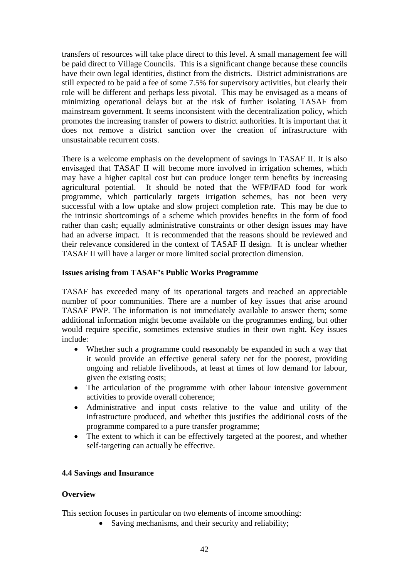transfers of resources will take place direct to this level. A small management fee will be paid direct to Village Councils. This is a significant change because these councils have their own legal identities, distinct from the districts. District administrations are still expected to be paid a fee of some 7.5% for supervisory activities, but clearly their role will be different and perhaps less pivotal. This may be envisaged as a means of minimizing operational delays but at the risk of further isolating TASAF from mainstream government. It seems inconsistent with the decentralization policy, which promotes the increasing transfer of powers to district authorities. It is important that it does not remove a district sanction over the creation of infrastructure with unsustainable recurrent costs.

There is a welcome emphasis on the development of savings in TASAF II. It is also envisaged that TASAF II will become more involved in irrigation schemes, which may have a higher capital cost but can produce longer term benefits by increasing agricultural potential. It should be noted that the WFP/IFAD food for work programme, which particularly targets irrigation schemes, has not been very successful with a low uptake and slow project completion rate. This may be due to the intrinsic shortcomings of a scheme which provides benefits in the form of food rather than cash; equally administrative constraints or other design issues may have had an adverse impact. It is recommended that the reasons should be reviewed and their relevance considered in the context of TASAF II design. It is unclear whether TASAF II will have a larger or more limited social protection dimension.

#### **Issues arising from TASAF's Public Works Programme**

TASAF has exceeded many of its operational targets and reached an appreciable number of poor communities. There are a number of key issues that arise around TASAF PWP. The information is not immediately available to answer them; some additional information might become available on the programmes ending, but other would require specific, sometimes extensive studies in their own right. Key issues include:

- Whether such a programme could reasonably be expanded in such a way that it would provide an effective general safety net for the poorest, providing ongoing and reliable livelihoods, at least at times of low demand for labour, given the existing costs;
- The articulation of the programme with other labour intensive government activities to provide overall coherence;
- Administrative and input costs relative to the value and utility of the infrastructure produced, and whether this justifies the additional costs of the programme compared to a pure transfer programme;
- The extent to which it can be effectively targeted at the poorest, and whether self-targeting can actually be effective.

#### **4.4 Savings and Insurance**

#### **Overview**

This section focuses in particular on two elements of income smoothing:

• Saving mechanisms, and their security and reliability;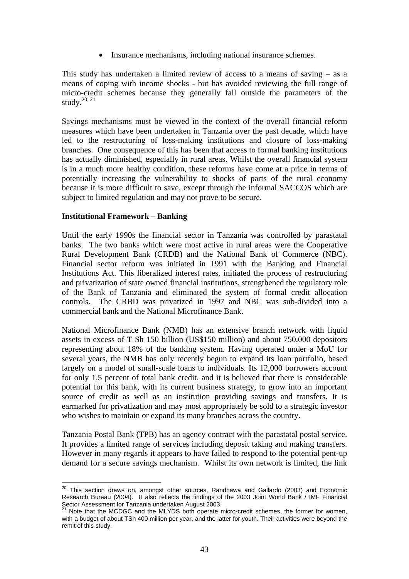• Insurance mechanisms, including national insurance schemes.

This study has undertaken a limited review of access to a means of saving – as a means of coping with income shocks - but has avoided reviewing the full range of micro-credit schemes because they generally fall outside the parameters of the study. $20, 21$ 

Savings mechanisms must be viewed in the context of the overall financial reform measures which have been undertaken in Tanzania over the past decade, which have led to the restructuring of loss-making institutions and closure of loss-making branches. One consequence of this has been that access to formal banking institutions has actually diminished, especially in rural areas. Whilst the overall financial system is in a much more healthy condition, these reforms have come at a price in terms of potentially increasing the vulnerability to shocks of parts of the rural economy because it is more difficult to save, except through the informal SACCOS which are subject to limited regulation and may not prove to be secure.

#### **Institutional Framework – Banking**

1

Until the early 1990s the financial sector in Tanzania was controlled by parastatal banks. The two banks which were most active in rural areas were the Cooperative Rural Development Bank (CRDB) and the National Bank of Commerce (NBC). Financial sector reform was initiated in 1991 with the Banking and Financial Institutions Act. This liberalized interest rates, initiated the process of restructuring and privatization of state owned financial institutions, strengthened the regulatory role of the Bank of Tanzania and eliminated the system of formal credit allocation controls. The CRBD was privatized in 1997 and NBC was sub-divided into a commercial bank and the National Microfinance Bank.

National Microfinance Bank (NMB) has an extensive branch network with liquid assets in excess of T Sh 150 billion (US\$150 million) and about 750,000 depositors representing about 18% of the banking system. Having operated under a MoU for several years, the NMB has only recently begun to expand its loan portfolio, based largely on a model of small-scale loans to individuals. Its 12,000 borrowers account for only 1.5 percent of total bank credit, and it is believed that there is considerable potential for this bank, with its current business strategy, to grow into an important source of credit as well as an institution providing savings and transfers. It is earmarked for privatization and may most appropriately be sold to a strategic investor who wishes to maintain or expand its many branches across the country.

Tanzania Postal Bank (TPB) has an agency contract with the parastatal postal service. It provides a limited range of services including deposit taking and making transfers. However in many regards it appears to have failed to respond to the potential pent-up demand for a secure savings mechanism. Whilst its own network is limited, the link

 $20$  This section draws on, amongst other sources, Randhawa and Gallardo (2003) and Economic Research Bureau (2004). It also reflects the findings of the 2003 Joint World Bank / IMF Financial Sector Assessment for Tanzania undertaken August 2003.

 $21$  Note that the MCDGC and the MLYDS both operate micro-credit schemes, the former for women, with a budget of about TSh 400 million per year, and the latter for youth. Their activities were beyond the remit of this study.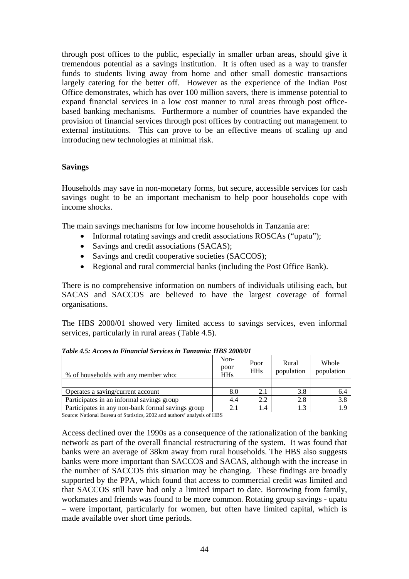through post offices to the public, especially in smaller urban areas, should give it tremendous potential as a savings institution. It is often used as a way to transfer funds to students living away from home and other small domestic transactions largely catering for the better off. However as the experience of the Indian Post Office demonstrates, which has over 100 million savers, there is immense potential to expand financial services in a low cost manner to rural areas through post officebased banking mechanisms. Furthermore a number of countries have expanded the provision of financial services through post offices by contracting out management to external institutions. This can prove to be an effective means of scaling up and introducing new technologies at minimal risk.

### **Savings**

Households may save in non-monetary forms, but secure, accessible services for cash savings ought to be an important mechanism to help poor households cope with income shocks.

The main savings mechanisms for low income households in Tanzania are:

- Informal rotating savings and credit associations ROSCAs ("upatu");
- Savings and credit associations (SACAS);
- Savings and credit cooperative societies (SACCOS);
- Regional and rural commercial banks (including the Post Office Bank).

There is no comprehensive information on numbers of individuals utilising each, but SACAS and SACCOS are believed to have the largest coverage of formal organisations.

The HBS 2000/01 showed very limited access to savings services, even informal services, particularly in rural areas (Table 4.5).

| % of households with any member who:              | Non-<br>poor<br><b>HHs</b> | Poor<br><b>HHs</b> | Rural<br>population | Whole<br>population |
|---------------------------------------------------|----------------------------|--------------------|---------------------|---------------------|
|                                                   |                            |                    |                     |                     |
| Operates a saving/current account                 | 8.0                        | 2.1                | 3.8                 | 6.4                 |
| Participates in an informal savings group         | 4.4                        | 2.2                | 2.8                 | 3.8                 |
| Participates in any non-bank formal savings group | 2.1                        | 1.4                |                     |                     |

*Table 4.5: Access to Financial Services in Tanzania: HBS 2000/01* 

Source: National Bureau of Statistics, 2002 and authors' analysis of HBS

Access declined over the 1990s as a consequence of the rationalization of the banking network as part of the overall financial restructuring of the system. It was found that banks were an average of 38km away from rural households. The HBS also suggests banks were more important than SACCOS and SACAS, although with the increase in the number of SACCOS this situation may be changing. These findings are broadly supported by the PPA, which found that access to commercial credit was limited and that SACCOS still have had only a limited impact to date. Borrowing from family, workmates and friends was found to be more common. Rotating group savings - upatu – were important, particularly for women, but often have limited capital, which is made available over short time periods.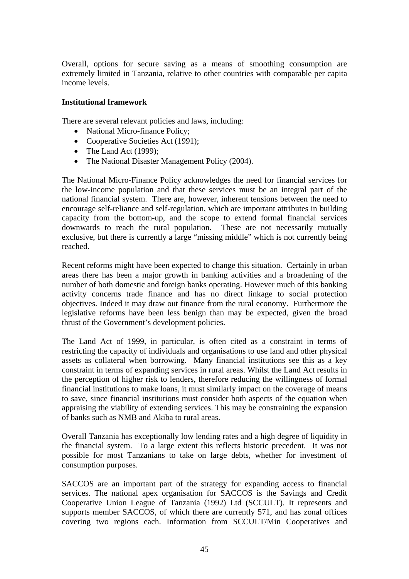Overall, options for secure saving as a means of smoothing consumption are extremely limited in Tanzania, relative to other countries with comparable per capita income levels.

#### **Institutional framework**

There are several relevant policies and laws, including:

- National Micro-finance Policy;
- Cooperative Societies Act (1991);
- The Land Act  $(1999)$ ;
- The National Disaster Management Policy (2004).

The National Micro-Finance Policy acknowledges the need for financial services for the low-income population and that these services must be an integral part of the national financial system. There are, however, inherent tensions between the need to encourage self-reliance and self-regulation, which are important attributes in building capacity from the bottom-up, and the scope to extend formal financial services downwards to reach the rural population. These are not necessarily mutually exclusive, but there is currently a large "missing middle" which is not currently being reached.

Recent reforms might have been expected to change this situation. Certainly in urban areas there has been a major growth in banking activities and a broadening of the number of both domestic and foreign banks operating. However much of this banking activity concerns trade finance and has no direct linkage to social protection objectives. Indeed it may draw out finance from the rural economy. Furthermore the legislative reforms have been less benign than may be expected, given the broad thrust of the Government's development policies.

The Land Act of 1999, in particular, is often cited as a constraint in terms of restricting the capacity of individuals and organisations to use land and other physical assets as collateral when borrowing. Many financial institutions see this as a key constraint in terms of expanding services in rural areas. Whilst the Land Act results in the perception of higher risk to lenders, therefore reducing the willingness of formal financial institutions to make loans, it must similarly impact on the coverage of means to save, since financial institutions must consider both aspects of the equation when appraising the viability of extending services. This may be constraining the expansion of banks such as NMB and Akiba to rural areas.

Overall Tanzania has exceptionally low lending rates and a high degree of liquidity in the financial system. To a large extent this reflects historic precedent. It was not possible for most Tanzanians to take on large debts, whether for investment of consumption purposes.

SACCOS are an important part of the strategy for expanding access to financial services. The national apex organisation for SACCOS is the Savings and Credit Cooperative Union League of Tanzania (1992) Ltd (SCCULT). It represents and supports member SACCOS, of which there are currently 571, and has zonal offices covering two regions each. Information from SCCULT/Min Cooperatives and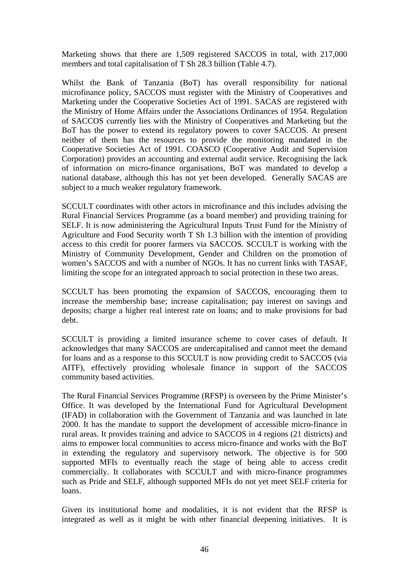Marketing shows that there are 1,509 registered SACCOS in total, with 217,000 members and total capitalisation of T Sh 28.3 billion (Table 4.7).

Whilst the Bank of Tanzania (BoT) has overall responsibility for national microfinance policy, SACCOS must register with the Ministry of Cooperatives and Marketing under the Cooperative Societies Act of 1991. SACAS are registered with the Ministry of Home Affairs under the Associations Ordinances of 1954. Regulation of SACCOS currently lies with the Ministry of Cooperatives and Marketing but the BoT has the power to extend its regulatory powers to cover SACCOS. At present neither of them has the resources to provide the monitoring mandated in the Cooperative Societies Act of 1991. COASCO (Cooperative Audit and Supervision Corporation) provides an accounting and external audit service. Recognising the lack of information on micro-finance organisations, BoT was mandated to develop a national database, although this has not yet been developed. Generally SACAS are subject to a much weaker regulatory framework.

SCCULT coordinates with other actors in microfinance and this includes advising the Rural Financial Services Programme (as a board member) and providing training for SELF. It is now administering the Agricultural Inputs Trust Fund for the Ministry of Agriculture and Food Security worth T Sh 1.3 billion with the intention of providing access to this credit for poorer farmers via SACCOS. SCCULT is working with the Ministry of Community Development, Gender and Children on the promotion of women's SACCOS and with a number of NGOs. It has no current links with TASAF, limiting the scope for an integrated approach to social protection in these two areas.

SCCULT has been promoting the expansion of SACCOS, encouraging them to increase the membership base; increase capitalisation; pay interest on savings and deposits; charge a higher real interest rate on loans; and to make provisions for bad debt.

SCCULT is providing a limited insurance scheme to cover cases of default. It acknowledges that many SACCOS are undercapitalised and cannot meet the demand for loans and as a response to this SCCULT is now providing credit to SACCOS (via AITF), effectively providing wholesale finance in support of the SACCOS community based activities.

The Rural Financial Services Programme (RFSP) is overseen by the Prime Minister's Office. It was developed by the International Fund for Agricultural Development (IFAD) in collaboration with the Government of Tanzania and was launched in late 2000. It has the mandate to support the development of accessible micro-finance in rural areas. It provides training and advice to SACCOS in 4 regions (21 districts) and aims to empower local communities to access micro-finance and works with the BoT in extending the regulatory and supervisory network. The objective is for 500 supported MFIs to eventually reach the stage of being able to access credit commercially. It collaborates with SCCULT and with micro-finance programmes such as Pride and SELF, although supported MFIs do not yet meet SELF criteria for loans.

Given its institutional home and modalities, it is not evident that the RFSP is integrated as well as it might be with other financial deepening initiatives. It is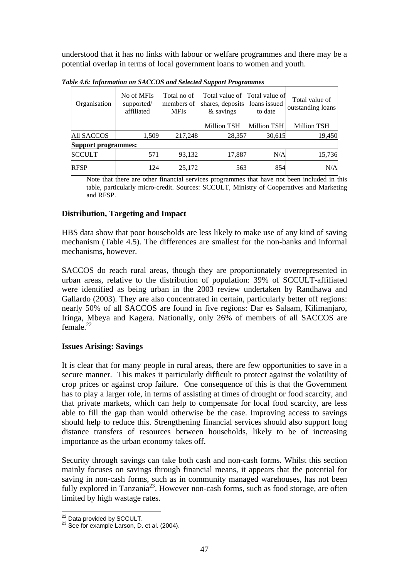understood that it has no links with labour or welfare programmes and there may be a potential overlap in terms of local government loans to women and youth.

| Organisation               | No of MFIs<br>supported/<br>affiliated | Total no of<br>members of<br><b>MFIs</b> | Total value of<br>shares, deposits<br>& savings | Total value of<br>loans issued<br>to date | Total value of<br>outstanding loans |
|----------------------------|----------------------------------------|------------------------------------------|-------------------------------------------------|-------------------------------------------|-------------------------------------|
|                            |                                        |                                          | <b>Million TSH</b>                              | <b>Million TSH</b>                        | <b>Million TSH</b>                  |
| <b>All SACCOS</b>          | 1,509                                  | 217,248                                  | 28,357                                          | 30,615                                    | 19,450                              |
| <b>Support programmes:</b> |                                        |                                          |                                                 |                                           |                                     |
| <b>SCCULT</b>              | 571                                    | 93,132                                   | 17,887                                          | N/A                                       | 15,736                              |
| <b>RFSP</b>                | 124                                    | 25,172                                   | 563                                             | 854                                       | N/A                                 |

*Table 4.6: Information on SACCOS and Selected Support Programmes* 

Note that there are other financial services programmes that have not been included in this table, particularly micro-credit. Sources: SCCULT, Ministry of Cooperatives and Marketing and RFSP.

# **Distribution, Targeting and Impact**

HBS data show that poor households are less likely to make use of any kind of saving mechanism (Table 4.5). The differences are smallest for the non-banks and informal mechanisms, however.

SACCOS do reach rural areas, though they are proportionately overrepresented in urban areas, relative to the distribution of population: 39% of SCCULT-affiliated were identified as being urban in the 2003 review undertaken by Randhawa and Gallardo (2003). They are also concentrated in certain, particularly better off regions: nearly 50% of all SACCOS are found in five regions: Dar es Salaam, Kilimanjaro, Iringa, Mbeya and Kagera. Nationally, only 26% of members of all SACCOS are  $f$ <sub>emale</sub> $^{22}$ 

# **Issues Arising: Savings**

It is clear that for many people in rural areas, there are few opportunities to save in a secure manner. This makes it particularly difficult to protect against the volatility of crop prices or against crop failure. One consequence of this is that the Government has to play a larger role, in terms of assisting at times of drought or food scarcity, and that private markets, which can help to compensate for local food scarcity, are less able to fill the gap than would otherwise be the case. Improving access to savings should help to reduce this. Strengthening financial services should also support long distance transfers of resources between households, likely to be of increasing importance as the urban economy takes off.

Security through savings can take both cash and non-cash forms. Whilst this section mainly focuses on savings through financial means, it appears that the potential for saving in non-cash forms, such as in community managed warehouses, has not been fully explored in Tanzania<sup>23</sup>. However non-cash forms, such as food storage, are often limited by high wastage rates.

<sup>&</sup>lt;sup>22</sup> Data provided by SCCULT.

 $23$  See for example Larson, D. et al. (2004).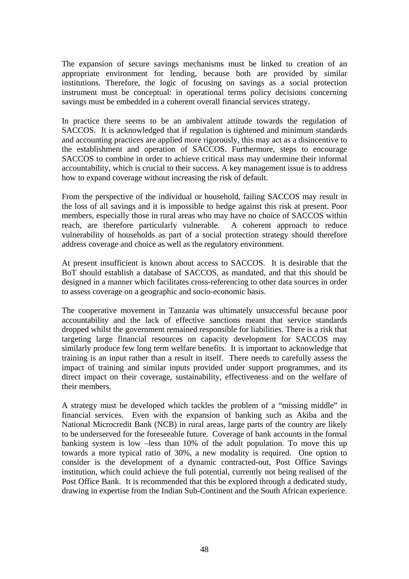The expansion of secure savings mechanisms must be linked to creation of an appropriate environment for lending, because both are provided by similar institutions. Therefore, the logic of focusing on savings as a social protection instrument must be conceptual: in operational terms policy decisions concerning savings must be embedded in a coherent overall financial services strategy.

In practice there seems to be an ambivalent attitude towards the regulation of SACCOS. It is acknowledged that if regulation is tightened and minimum standards and accounting practices are applied more rigorously, this may act as a disincentive to the establishment and operation of SACCOS. Furthermore, steps to encourage SACCOS to combine in order to achieve critical mass may undermine their informal accountability, which is crucial to their success. A key management issue is to address how to expand coverage without increasing the risk of default.

From the perspective of the individual or household, failing SACCOS may result in the loss of all savings and it is impossible to hedge against this risk at present. Poor members, especially those in rural areas who may have no choice of SACCOS within reach, are therefore particularly vulnerable. A coherent approach to reduce vulnerability of households as part of a social protection strategy should therefore address coverage and choice as well as the regulatory environment.

At present insufficient is known about access to SACCOS. It is desirable that the BoT should establish a database of SACCOS, as mandated, and that this should be designed in a manner which facilitates cross-referencing to other data sources in order to assess coverage on a geographic and socio-economic basis.

The cooperative movement in Tanzania was ultimately unsuccessful because poor accountability and the lack of effective sanctions meant that service standards dropped whilst the government remained responsible for liabilities. There is a risk that targeting large financial resources on capacity development for SACCOS may similarly produce few long term welfare benefits. It is important to acknowledge that training is an input rather than a result in itself. There needs to carefully assess the impact of training and similar inputs provided under support programmes, and its direct impact on their coverage, sustainability, effectiveness and on the welfare of their members.

A strategy must be developed which tackles the problem of a "missing middle" in financial services. Even with the expansion of banking such as Akiba and the National Microcredit Bank (NCB) in rural areas, large parts of the country are likely to be underserved for the foreseeable future. Coverage of bank accounts in the formal banking system is low –less than 10% of the adult population. To move this up towards a more typical ratio of 30%, a new modality is required. One option to consider is the development of a dynamic contracted-out, Post Office Savings institution, which could achieve the full potential, currently not being realised of the Post Office Bank. It is recommended that this be explored through a dedicated study, drawing in expertise from the Indian Sub-Continent and the South African experience.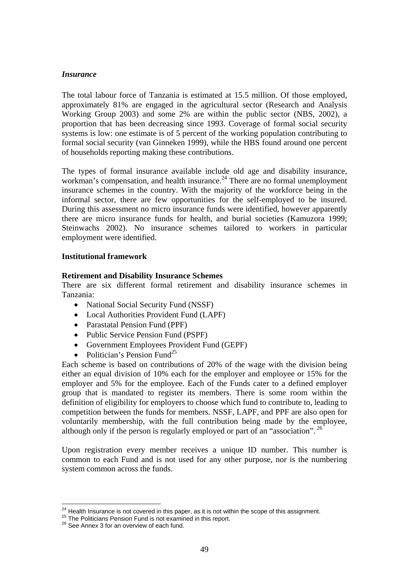### *Insurance*

The total labour force of Tanzania is estimated at 15.5 million. Of those employed, approximately 81% are engaged in the agricultural sector (Research and Analysis Working Group 2003) and some 2% are within the public sector (NBS, 2002), a proportion that has been decreasing since 1993. Coverage of formal social security systems is low: one estimate is of 5 percent of the working population contributing to formal social security (van Ginneken 1999), while the HBS found around one percent of households reporting making these contributions.

The types of formal insurance available include old age and disability insurance, workman's compensation, and health insurance. $^{24}$  There are no formal unemployment insurance schemes in the country. With the majority of the workforce being in the informal sector, there are few opportunities for the self-employed to be insured. During this assessment no micro insurance funds were identified, however apparently there are micro insurance funds for health, and burial societies (Kamuzora 1999; Steinwachs 2002). No insurance schemes tailored to workers in particular employment were identified.

#### **Institutional framework**

#### **Retirement and Disability Insurance Schemes**

There are six different formal retirement and disability insurance schemes in Tanzania:

- National Social Security Fund (NSSF)
- Local Authorities Provident Fund (LAPF)
- Parastatal Pension Fund (PPF)
- Public Service Pension Fund (PSPF)
- Government Employees Provident Fund (GEPF)
- Politician's Pension Fund<sup>25</sup>

Each scheme is based on contributions of 20% of the wage with the division being either an equal division of 10% each for the employer and employee or 15% for the employer and 5% for the employee. Each of the Funds cater to a defined employer group that is mandated to register its members. There is some room within the definition of eligibility for employers to choose which fund to contribute to, leading to competition between the funds for members. NSSF, LAPF, and PPF are also open for voluntarily membership, with the full contribution being made by the employee, although only if the person is regularly employed or part of an "association". 26

Upon registration every member receives a unique ID number. This number is common to each Fund and is not used for any other purpose, nor is the numbering system common across the funds.

<sup>&</sup>lt;u>.</u> <sup>24</sup> Health Insurance is not covered in this paper, as it is not within the scope of this assignment.<br><sup>25</sup> The Politicians Pension Fund is not examined in this report.<br><sup>26</sup> See Annex 3 for an overview of each fund.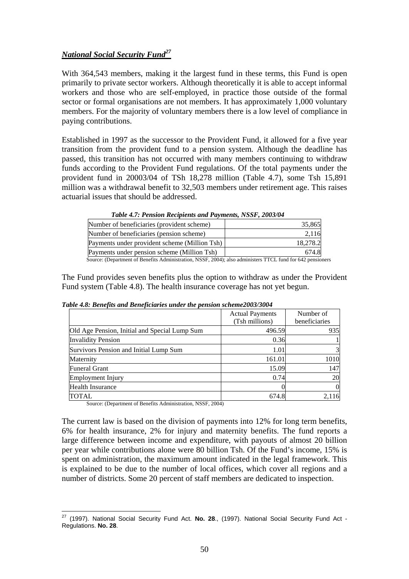# *National Social Security Fund27*

With 364,543 members, making it the largest fund in these terms, this Fund is open primarily to private sector workers. Although theoretically it is able to accept informal workers and those who are self-employed, in practice those outside of the formal sector or formal organisations are not members. It has approximately 1,000 voluntary members. For the majority of voluntary members there is a low level of compliance in paying contributions.

Established in 1997 as the successor to the Provident Fund, it allowed for a five year transition from the provident fund to a pension system. Although the deadline has passed, this transition has not occurred with many members continuing to withdraw funds according to the Provident Fund regulations. Of the total payments under the provident fund in 20003/04 of TSh 18,278 million (Table 4.7), some Tsh 15,891 million was a withdrawal benefit to 32,503 members under retirement age. This raises actuarial issues that should be addressed.

| Tuble $\pi$ I chown inclipicius unu I ayments, instituted to $\pi$                                         |          |
|------------------------------------------------------------------------------------------------------------|----------|
| Number of beneficiaries (provident scheme)                                                                 | 35,865   |
| Number of beneficiaries (pension scheme)                                                                   | 2,116    |
| Payments under provident scheme (Million Tsh)                                                              | 18.278.2 |
| Payments under pension scheme (Million Tsh)                                                                | 674.8    |
| Source: (Department of Benefits Administration, NSSF, 2004); also administers TTCL fund for 642 pensioners |          |

 *Table 4.7: Pension Recipients and Payments, NSSF, 2003/04* 

The Fund provides seven benefits plus the option to withdraw as under the Provident Fund system (Table 4.8). The health insurance coverage has not yet begun.

|  |  | Table 4.8: Benefits and Beneficiaries under the pension scheme2003/3004 |
|--|--|-------------------------------------------------------------------------|
|  |  |                                                                         |

|                                               | <b>Actual Payments</b> | Number of     |
|-----------------------------------------------|------------------------|---------------|
|                                               | (Tsh millions)         | beneficiaries |
| Old Age Pension, Initial and Special Lump Sum | 496.59                 | 935           |
| <b>Invalidity Pension</b>                     | 0.36                   |               |
| Survivors Pension and Initial Lump Sum        | 1.01                   | 3             |
| Maternity                                     | 161.01                 | 1010          |
| <b>Funeral Grant</b>                          | 15.09                  | 147           |
| Employment Injury                             | 0.74                   | 20            |
| <b>Health Insurance</b>                       |                        | $\Omega$      |
| <b>TOTAL</b>                                  | 674.8                  | 2,116         |

Source: (Department of Benefits Administration, NSSF, 2004)

The current law is based on the division of payments into 12% for long term benefits, 6% for health insurance, 2% for injury and maternity benefits. The fund reports a large difference between income and expenditure, with payouts of almost 20 billion per year while contributions alone were 80 billion Tsh. Of the Fund's income, 15% is spent on administration, the maximum amount indicated in the legal framework. This is explained to be due to the number of local offices, which cover all regions and a number of districts. Some 20 percent of staff members are dedicated to inspection.

<sup>1</sup> 27 (1997). National Social Security Fund Act. **No. 28**., (1997). National Social Security Fund Act - Regulations. **No. 28**.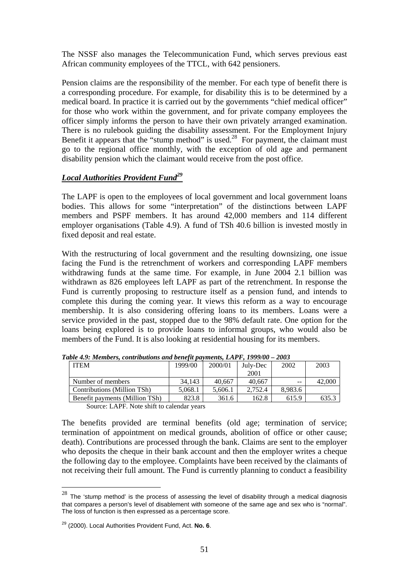The NSSF also manages the Telecommunication Fund, which serves previous east African community employees of the TTCL, with 642 pensioners.

Pension claims are the responsibility of the member. For each type of benefit there is a corresponding procedure. For example, for disability this is to be determined by a medical board. In practice it is carried out by the governments "chief medical officer" for those who work within the government, and for private company employees the officer simply informs the person to have their own privately arranged examination. There is no rulebook guiding the disability assessment. For the Employment Injury Benefit it appears that the "stump method" is used.<sup>28</sup> For payment, the claimant must go to the regional office monthly, with the exception of old age and permanent disability pension which the claimant would receive from the post office.

# *Local Authorities Provident Fund29*

The LAPF is open to the employees of local government and local government loans bodies. This allows for some "interpretation" of the distinctions between LAPF members and PSPF members. It has around 42,000 members and 114 different employer organisations (Table 4.9). A fund of TSh 40.6 billion is invested mostly in fixed deposit and real estate.

With the restructuring of local government and the resulting downsizing, one issue facing the Fund is the retrenchment of workers and corresponding LAPF members withdrawing funds at the same time. For example, in June 2004 2.1 billion was withdrawn as 826 employees left LAPF as part of the retrenchment. In response the Fund is currently proposing to restructure itself as a pension fund, and intends to complete this during the coming year. It views this reform as a way to encourage membership. It is also considering offering loans to its members. Loans were a service provided in the past, stopped due to the 98% default rate. One option for the loans being explored is to provide loans to informal groups, who would also be members of the Fund. It is also looking at residential housing for its members.

| иль 7.7. тетовіз, сони юмиліз ана оснені ратінскіз. LAI 1 . 1777/00 — 2009 |         |         |          |         |        |
|----------------------------------------------------------------------------|---------|---------|----------|---------|--------|
| <b>ITEM</b>                                                                | 1999/00 | 2000/01 | July-Dec | 2002    | 2003   |
|                                                                            |         |         | 2001     |         |        |
| Number of members                                                          | 34.143  | 40.667  | 40.667   | $- -$   | 42,000 |
| Contributions (Million TSh)                                                | 5.068.1 | 5.606.1 | 2.752.4  | 8.983.6 |        |
| Benefit payments (Million TSh)                                             | 823.8   | 361.6   | 162.8    | 615.9   | 635.3  |

*Table 4.9: Members, contributions and benefit payments, LAPF, 1999/00 – 2003* 

Source: LAPF. Note shift to calendar years

The benefits provided are terminal benefits (old age; termination of service; termination of appointment on medical grounds, abolition of office or other cause; death). Contributions are processed through the bank. Claims are sent to the employer who deposits the cheque in their bank account and then the employer writes a cheque the following day to the employee. Complaints have been received by the claimants of not receiving their full amount. The Fund is currently planning to conduct a feasibility

1

 $28$  The 'stump method' is the process of assessing the level of disability through a medical diagnosis that compares a person's level of disablement with someone of the same age and sex who is "normal". The loss of function is then expressed as a percentage score.

<sup>29 (2000).</sup> Local Authorities Provident Fund, Act. **No. 6**.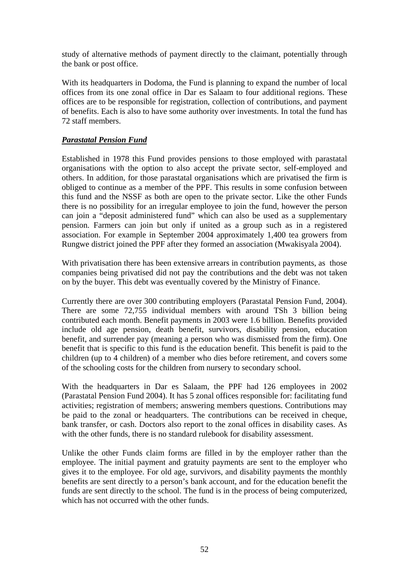study of alternative methods of payment directly to the claimant, potentially through the bank or post office.

With its headquarters in Dodoma, the Fund is planning to expand the number of local offices from its one zonal office in Dar es Salaam to four additional regions. These offices are to be responsible for registration, collection of contributions, and payment of benefits. Each is also to have some authority over investments. In total the fund has 72 staff members.

# *Parastatal Pension Fund*

Established in 1978 this Fund provides pensions to those employed with parastatal organisations with the option to also accept the private sector, self-employed and others. In addition, for those parastatal organisations which are privatised the firm is obliged to continue as a member of the PPF. This results in some confusion between this fund and the NSSF as both are open to the private sector. Like the other Funds there is no possibility for an irregular employee to join the fund, however the person can join a "deposit administered fund" which can also be used as a supplementary pension. Farmers can join but only if united as a group such as in a registered association. For example in September 2004 approximately 1,400 tea growers from Rungwe district joined the PPF after they formed an association (Mwakisyala 2004).

With privatisation there has been extensive arrears in contribution payments, as those companies being privatised did not pay the contributions and the debt was not taken on by the buyer. This debt was eventually covered by the Ministry of Finance.

Currently there are over 300 contributing employers (Parastatal Pension Fund, 2004). There are some 72,755 individual members with around TSh 3 billion being contributed each month. Benefit payments in 2003 were 1.6 billion. Benefits provided include old age pension, death benefit, survivors, disability pension, education benefit, and surrender pay (meaning a person who was dismissed from the firm). One benefit that is specific to this fund is the education benefit. This benefit is paid to the children (up to 4 children) of a member who dies before retirement, and covers some of the schooling costs for the children from nursery to secondary school.

With the headquarters in Dar es Salaam, the PPF had 126 employees in 2002 (Parastatal Pension Fund 2004). It has 5 zonal offices responsible for: facilitating fund activities; registration of members; answering members questions. Contributions may be paid to the zonal or headquarters. The contributions can be received in cheque, bank transfer, or cash. Doctors also report to the zonal offices in disability cases. As with the other funds, there is no standard rulebook for disability assessment.

Unlike the other Funds claim forms are filled in by the employer rather than the employee. The initial payment and gratuity payments are sent to the employer who gives it to the employee. For old age, survivors, and disability payments the monthly benefits are sent directly to a person's bank account, and for the education benefit the funds are sent directly to the school. The fund is in the process of being computerized, which has not occurred with the other funds.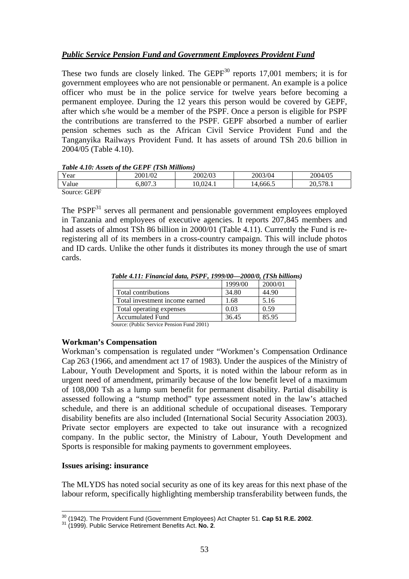# *Public Service Pension Fund and Government Employees Provident Fund*

These two funds are closely linked. The  $GEPF<sup>30</sup>$  reports 17,001 members; it is for government employees who are not pensionable or permanent. An example is a police officer who must be in the police service for twelve years before becoming a permanent employee. During the 12 years this person would be covered by GEPF, after which s/he would be a member of the PSPF. Once a person is eligible for PSPF the contributions are transferred to the PSPF. GEPF absorbed a number of earlier pension schemes such as the African Civil Service Provident Fund and the Tanganyika Railways Provident Fund. It has assets of around TSh 20.6 billion in 2004/05 (Table 4.10).

#### *Table 4.10: Assets of the GEPF (TSh Millions)*

| Tubic 7.10. Associs of the OLI 1 (1 Sh multiplis) |         |          |          |          |  |  |
|---------------------------------------------------|---------|----------|----------|----------|--|--|
| Year                                              | 2001/02 | 2002/03  | 2003/04  | 2004/05  |  |  |
| Value                                             | 6.807.3 | 10.024.1 | 14.666.5 | 20.578.1 |  |  |
| Source: GEPF                                      |         |          |          |          |  |  |

The  $PSPF<sup>31</sup>$  serves all permanent and pensionable government employees employed in Tanzania and employees of executive agencies. It reports 207,845 members and had assets of almost TSh 86 billion in 2000/01 (Table 4.11). Currently the Fund is reregistering all of its members in a cross-country campaign. This will include photos and ID cards. Unlike the other funds it distributes its money through the use of smart cards.

|                                             | 1999/00 | 2000/01 |
|---------------------------------------------|---------|---------|
| Total contributions                         | 34.80   | 44.90   |
| Total investment income earned              | 1.68    | 5.16    |
| Total operating expenses                    | 0.03    | 0.59    |
| <b>Accumulated Fund</b>                     | 36.45   | 85.95   |
| $\alpha$ (DIP $\alpha$ ) D $\beta$ D 10001) |         |         |

*Table 4.11: Financial data, PSPF, 1999/00—2000/0, (TSh billions)* 

Source: (Public Service Pension Fund 2001)

# **Workman's Compensation**

Workman's compensation is regulated under "Workmen's Compensation Ordinance Cap 263 (1966, and amendment act 17 of 1983). Under the auspices of the Ministry of Labour, Youth Development and Sports, it is noted within the labour reform as in urgent need of amendment, primarily because of the low benefit level of a maximum of 108,000 Tsh as a lump sum benefit for permanent disability. Partial disability is assessed following a "stump method" type assessment noted in the law's attached schedule, and there is an additional schedule of occupational diseases. Temporary disability benefits are also included (International Social Security Association 2003). Private sector employers are expected to take out insurance with a recognized company. In the public sector, the Ministry of Labour, Youth Development and Sports is responsible for making payments to government employees.

#### **Issues arising: insurance**

The MLYDS has noted social security as one of its key areas for this next phase of the labour reform, specifically highlighting membership transferability between funds, the

<sup>1</sup> <sup>30</sup> (1942). The Provident Fund (Government Employees) Act Chapter 51. **Cap 51 R.E. 2002**.<br><sup>31</sup> (1999). Public Service Retirement Benefits Act. **No. 2**.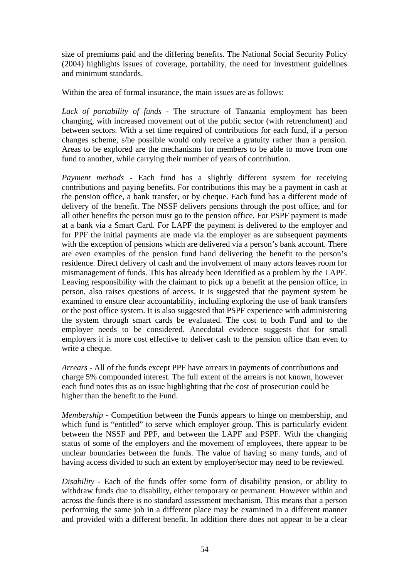size of premiums paid and the differing benefits. The National Social Security Policy (2004) highlights issues of coverage, portability, the need for investment guidelines and minimum standards.

Within the area of formal insurance, the main issues are as follows:

*Lack of portability of funds* - The structure of Tanzania employment has been changing, with increased movement out of the public sector (with retrenchment) and between sectors. With a set time required of contributions for each fund, if a person changes scheme, s/he possible would only receive a gratuity rather than a pension. Areas to be explored are the mechanisms for members to be able to move from one fund to another, while carrying their number of years of contribution.

*Payment methods* - Each fund has a slightly different system for receiving contributions and paying benefits. For contributions this may be a payment in cash at the pension office, a bank transfer, or by cheque. Each fund has a different mode of delivery of the benefit. The NSSF delivers pensions through the post office, and for all other benefits the person must go to the pension office. For PSPF payment is made at a bank via a Smart Card. For LAPF the payment is delivered to the employer and for PPF the initial payments are made via the employer as are subsequent payments with the exception of pensions which are delivered via a person's bank account. There are even examples of the pension fund hand delivering the benefit to the person's residence. Direct delivery of cash and the involvement of many actors leaves room for mismanagement of funds. This has already been identified as a problem by the LAPF. Leaving responsibility with the claimant to pick up a benefit at the pension office, in person, also raises questions of access. It is suggested that the payment system be examined to ensure clear accountability, including exploring the use of bank transfers or the post office system. It is also suggested that PSPF experience with administering the system through smart cards be evaluated. The cost to both Fund and to the employer needs to be considered. Anecdotal evidence suggests that for small employers it is more cost effective to deliver cash to the pension office than even to write a cheque.

*Arrears* - All of the funds except PPF have arrears in payments of contributions and charge 5% compounded interest. The full extent of the arrears is not known, however each fund notes this as an issue highlighting that the cost of prosecution could be higher than the benefit to the Fund.

*Membership* - Competition between the Funds appears to hinge on membership, and which fund is "entitled" to serve which employer group. This is particularly evident between the NSSF and PPF, and between the LAPF and PSPF. With the changing status of some of the employers and the movement of employees, there appear to be unclear boundaries between the funds. The value of having so many funds, and of having access divided to such an extent by employer/sector may need to be reviewed.

*Disability* - Each of the funds offer some form of disability pension, or ability to withdraw funds due to disability, either temporary or permanent. However within and across the funds there is no standard assessment mechanism. This means that a person performing the same job in a different place may be examined in a different manner and provided with a different benefit. In addition there does not appear to be a clear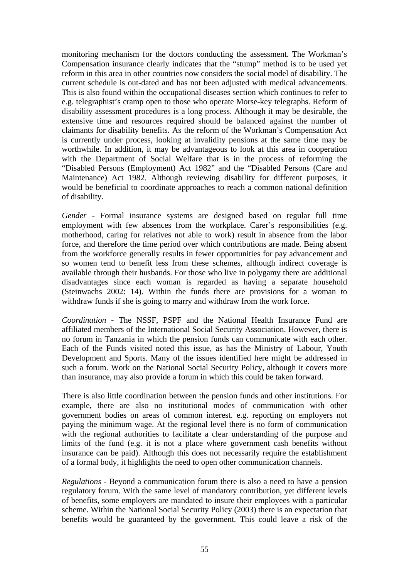monitoring mechanism for the doctors conducting the assessment. The Workman's Compensation insurance clearly indicates that the "stump" method is to be used yet reform in this area in other countries now considers the social model of disability. The current schedule is out-dated and has not been adjusted with medical advancements. This is also found within the occupational diseases section which continues to refer to e.g. telegraphist's cramp open to those who operate Morse-key telegraphs. Reform of disability assessment procedures is a long process. Although it may be desirable, the extensive time and resources required should be balanced against the number of claimants for disability benefits. As the reform of the Workman's Compensation Act is currently under process, looking at invalidity pensions at the same time may be worthwhile. In addition, it may be advantageous to look at this area in cooperation with the Department of Social Welfare that is in the process of reforming the "Disabled Persons (Employment) Act 1982" and the "Disabled Persons (Care and Maintenance) Act 1982. Although reviewing disability for different purposes, it would be beneficial to coordinate approaches to reach a common national definition of disability.

*Gender* **-** Formal insurance systems are designed based on regular full time employment with few absences from the workplace. Carer's responsibilities (e.g. motherhood, caring for relatives not able to work) result in absence from the labor force, and therefore the time period over which contributions are made. Being absent from the workforce generally results in fewer opportunities for pay advancement and so women tend to benefit less from these schemes, although indirect coverage is available through their husbands. For those who live in polygamy there are additional disadvantages since each woman is regarded as having a separate household (Steinwachs 2002: 14). Within the funds there are provisions for a woman to withdraw funds if she is going to marry and withdraw from the work force.

*Coordination* - The NSSF, PSPF and the National Health Insurance Fund are affiliated members of the International Social Security Association. However, there is no forum in Tanzania in which the pension funds can communicate with each other. Each of the Funds visited noted this issue, as has the Ministry of Labour, Youth Development and Sports. Many of the issues identified here might be addressed in such a forum. Work on the National Social Security Policy, although it covers more than insurance, may also provide a forum in which this could be taken forward.

There is also little coordination between the pension funds and other institutions. For example, there are also no institutional modes of communication with other government bodies on areas of common interest. e.g. reporting on employers not paying the minimum wage. At the regional level there is no form of communication with the regional authorities to facilitate a clear understanding of the purpose and limits of the fund (e.g. it is not a place where government cash benefits without insurance can be paid). Although this does not necessarily require the establishment of a formal body, it highlights the need to open other communication channels.

*Regulations* - Beyond a communication forum there is also a need to have a pension regulatory forum. With the same level of mandatory contribution, yet different levels of benefits, some employers are mandated to insure their employees with a particular scheme. Within the National Social Security Policy (2003) there is an expectation that benefits would be guaranteed by the government. This could leave a risk of the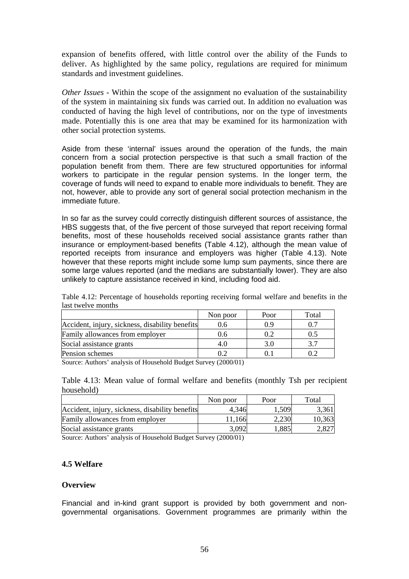expansion of benefits offered, with little control over the ability of the Funds to deliver. As highlighted by the same policy, regulations are required for minimum standards and investment guidelines.

*Other Issues* - Within the scope of the assignment no evaluation of the sustainability of the system in maintaining six funds was carried out. In addition no evaluation was conducted of having the high level of contributions, nor on the type of investments made. Potentially this is one area that may be examined for its harmonization with other social protection systems.

Aside from these 'internal' issues around the operation of the funds, the main concern from a social protection perspective is that such a small fraction of the population benefit from them. There are few structured opportunities for informal workers to participate in the regular pension systems. In the longer term, the coverage of funds will need to expand to enable more individuals to benefit. They are not, however, able to provide any sort of general social protection mechanism in the immediate future.

In so far as the survey could correctly distinguish different sources of assistance, the HBS suggests that, of the five percent of those surveyed that report receiving formal benefits, most of these households received social assistance grants rather than insurance or employment-based benefits (Table 4.12), although the mean value of reported receipts from insurance and employers was higher (Table 4.13). Note however that these reports might include some lump sum payments, since there are some large values reported (and the medians are substantially lower). They are also unlikely to capture assistance received in kind, including food aid.

| 1990 CWCIVC HIOHUIS                                    |      |       |  |  |  |
|--------------------------------------------------------|------|-------|--|--|--|
| Non poor                                               | Poor | Total |  |  |  |
| Accident, injury, sickness, disability benefits<br>0.6 | 0.9  |       |  |  |  |
| 0.6                                                    | 0.2  | 0.5   |  |  |  |
| 4.0                                                    | 3.0  | 3.7   |  |  |  |
| 0.2                                                    |      |       |  |  |  |
|                                                        |      |       |  |  |  |

Table 4.12: Percentage of households reporting receiving formal welfare and benefits in the last twelve months

Source: Authors' analysis of Household Budget Survey (2000/01)

Table 4.13: Mean value of formal welfare and benefits (monthly Tsh per recipient household)

|                                                 | Non poor | Poor  | Total  |
|-------------------------------------------------|----------|-------|--------|
| Accident, injury, sickness, disability benefits | 4.346    | .,509 | 3,361  |
| Family allowances from employer                 | 11.166   | 2,230 | 10,363 |
| Social assistance grants                        | 3,092    | .885  | 2,827  |

Source: Authors' analysis of Household Budget Survey (2000/01)

#### **4.5 Welfare**

#### **Overview**

Financial and in-kind grant support is provided by both government and nongovernmental organisations. Government programmes are primarily within the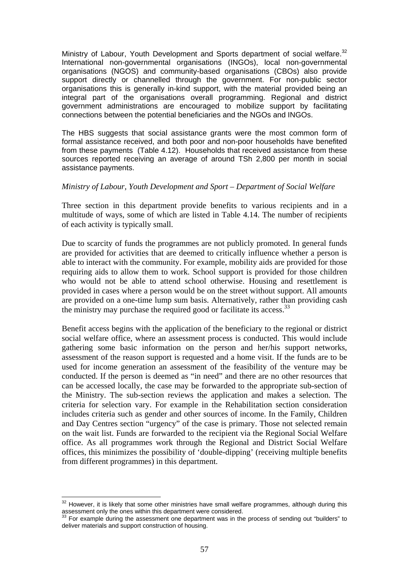Ministry of Labour, Youth Development and Sports department of social welfare.<sup>32</sup> International non-governmental organisations (INGOs), local non-governmental organisations (NGOS) and community-based organisations (CBOs) also provide support directly or channelled through the government. For non-public sector organisations this is generally in-kind support, with the material provided being an integral part of the organisations overall programming. Regional and district government administrations are encouraged to mobilize support by facilitating connections between the potential beneficiaries and the NGOs and INGOs.

The HBS suggests that social assistance grants were the most common form of formal assistance received, and both poor and non-poor households have benefited from these payments (Table 4.12). Households that received assistance from these sources reported receiving an average of around TSh 2,800 per month in social assistance payments.

#### *Ministry of Labour, Youth Development and Sport – Department of Social Welfare*

Three section in this department provide benefits to various recipients and in a multitude of ways, some of which are listed in Table 4.14. The number of recipients of each activity is typically small.

Due to scarcity of funds the programmes are not publicly promoted. In general funds are provided for activities that are deemed to critically influence whether a person is able to interact with the community. For example, mobility aids are provided for those requiring aids to allow them to work. School support is provided for those children who would not be able to attend school otherwise. Housing and resettlement is provided in cases where a person would be on the street without support. All amounts are provided on a one-time lump sum basis. Alternatively, rather than providing cash the ministry may purchase the required good or facilitate its access.<sup>33</sup>

Benefit access begins with the application of the beneficiary to the regional or district social welfare office, where an assessment process is conducted. This would include gathering some basic information on the person and her/his support networks, assessment of the reason support is requested and a home visit. If the funds are to be used for income generation an assessment of the feasibility of the venture may be conducted. If the person is deemed as "in need" and there are no other resources that can be accessed locally, the case may be forwarded to the appropriate sub-section of the Ministry. The sub-section reviews the application and makes a selection. The criteria for selection vary. For example in the Rehabilitation section consideration includes criteria such as gender and other sources of income. In the Family, Children and Day Centres section "urgency" of the case is primary. Those not selected remain on the wait list. Funds are forwarded to the recipient via the Regional Social Welfare office. As all programmes work through the Regional and District Social Welfare offices, this minimizes the possibility of 'double-dipping' (receiving multiple benefits from different programmes) in this department.

<sup>1</sup>  $32$  However, it is likely that some other ministries have small welfare programmes, although during this assessment only the ones within this department were considered.<br><sup>33</sup> For example during the assessment one department was in the process of sending out "builders" to

deliver materials and support construction of housing.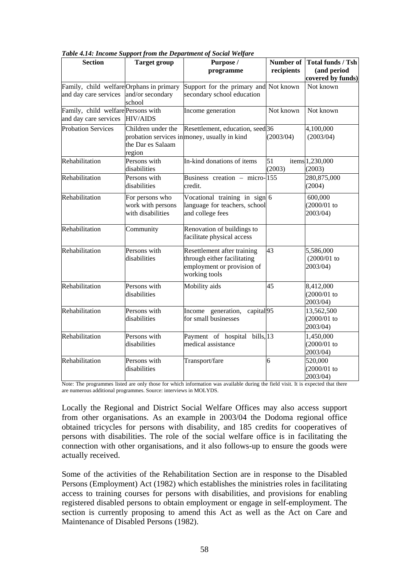| <b>Section</b>                                                    | <b>Target group</b>                                       | abie 1.1 i. mcome support from me Deparament of social weighte<br>Purpose /<br>programme                  | Number of<br>recipients | <b>Total funds / Tsh</b><br>(and period<br>covered by funds) |
|-------------------------------------------------------------------|-----------------------------------------------------------|-----------------------------------------------------------------------------------------------------------|-------------------------|--------------------------------------------------------------|
| Family, child welfare Orphans in primary<br>and day care services | and/or secondary<br>school                                | Support for the primary and Not known<br>secondary school education                                       |                         | Not known                                                    |
| Family, child welfare Persons with<br>and day care services       | <b>HIV/AIDS</b>                                           | Income generation                                                                                         | Not known               | Not known                                                    |
| <b>Probation Services</b>                                         | Children under the<br>the Dar es Salaam<br>region         | Resettlement, education, seed 36<br>probation services in money, usually in kind                          | (2003/04)               | 4,100,000<br>(2003/04)                                       |
| Rehabilitation                                                    | Persons with<br>disabilities                              | In-kind donations of items                                                                                | 51<br>(2003)            | items 1,230,000<br>(2003)                                    |
| Rehabilitation                                                    | Persons with<br>disabilities                              | Business creation – micro-155<br>credit.                                                                  |                         | 280,875,000<br>(2004)                                        |
| Rehabilitation                                                    | For persons who<br>work with persons<br>with disabilities | Vocational training in sign 6<br>language for teachers, school<br>and college fees                        |                         | 600,000<br>(2000/01)<br>2003/04)                             |
| Rehabilitation                                                    | Community                                                 | Renovation of buildings to<br>facilitate physical access                                                  |                         |                                                              |
| Rehabilitation                                                    | Persons with<br>disabilities                              | Resettlement after training<br>through either facilitating<br>employment or provision of<br>working tools | 43                      | 5,586,000<br>$(2000/01)$ to<br>2003/04)                      |
| Rehabilitation                                                    | Persons with<br>disabilities                              | Mobility aids                                                                                             | 45                      | 8,412,000<br>$(2000/01)$ to<br>2003/04)                      |
| Rehabilitation                                                    | Persons with<br>disabilities                              | capital <sub>95</sub><br>Income generation,<br>for small businesses                                       |                         | 13,562,500<br>(2000/01)<br>2003/04)                          |
| Rehabilitation                                                    | Persons with<br>disabilities                              | Payment of hospital bills, 13<br>medical assistance                                                       |                         | 1,450,000<br>(2000/01)<br>2003/04)                           |
| Rehabilitation                                                    | Persons with<br>disabilities                              | Transport/fare                                                                                            | 6                       | 520,000<br>(2000/01)<br>2003/04)                             |

*Table 4.14: Income Support from the Department of Social Welfare* 

Note: The programmes listed are only those for which information was available during the field visit. It is expected that there are numerous additional programmes. Source: interviews in MOLYDS.

Locally the Regional and District Social Welfare Offices may also access support from other organisations. As an example in 2003/04 the Dodoma regional office obtained tricycles for persons with disability, and 185 credits for cooperatives of persons with disabilities. The role of the social welfare office is in facilitating the connection with other organisations, and it also follows-up to ensure the goods were actually received.

Some of the activities of the Rehabilitation Section are in response to the Disabled Persons (Employment) Act (1982) which establishes the ministries roles in facilitating access to training courses for persons with disabilities, and provisions for enabling registered disabled persons to obtain employment or engage in self-employment. The section is currently proposing to amend this Act as well as the Act on Care and Maintenance of Disabled Persons (1982).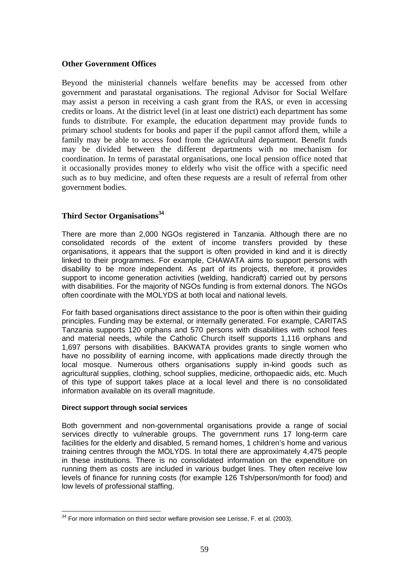#### **Other Government Offices**

Beyond the ministerial channels welfare benefits may be accessed from other government and parastatal organisations. The regional Advisor for Social Welfare may assist a person in receiving a cash grant from the RAS, or even in accessing credits or loans. At the district level (in at least one district) each department has some funds to distribute. For example, the education department may provide funds to primary school students for books and paper if the pupil cannot afford them, while a family may be able to access food from the agricultural department. Benefit funds may be divided between the different departments with no mechanism for coordination. In terms of parastatal organisations, one local pension office noted that it occasionally provides money to elderly who visit the office with a specific need such as to buy medicine, and often these requests are a result of referral from other government bodies.

# **Third Sector Organisations<sup>34</sup>**

There are more than 2,000 NGOs registered in Tanzania. Although there are no consolidated records of the extent of income transfers provided by these organisations, it appears that the support is often provided in kind and it is directly linked to their programmes. For example, CHAWATA aims to support persons with disability to be more independent. As part of its projects, therefore, it provides support to income generation activities (welding, handicraft) carried out by persons with disabilities. For the majority of NGOs funding is from external donors. The NGOs often coordinate with the MOLYDS at both local and national levels.

For faith based organisations direct assistance to the poor is often within their guiding principles. Funding may be external, or internally generated. For example, CARITAS Tanzania supports 120 orphans and 570 persons with disabilities with school fees and material needs, while the Catholic Church itself supports 1,116 orphans and 1,697 persons with disabilities. BAKWATA provides grants to single women who have no possibility of earning income, with applications made directly through the local mosque. Numerous others organisations supply in-kind goods such as agricultural supplies, clothing, school supplies, medicine, orthopaedic aids, etc. Much of this type of support takes place at a local level and there is no consolidated information available on its overall magnitude.

#### **Direct support through social services**

Both government and non-governmental organisations provide a range of social services directly to vulnerable groups. The government runs 17 long-term care facilities for the elderly and disabled, 5 remand homes, 1 children's home and various training centres through the MOLYDS. In total there are approximately 4,475 people in these institutions. There is no consolidated information on the expenditure on running them as costs are included in various budget lines. They often receive low levels of finance for running costs (for example 126 Tsh/person/month for food) and low levels of professional staffing.

<sup>1</sup>  $34$  For more information on third sector welfare provision see Lerisse, F. et al. (2003).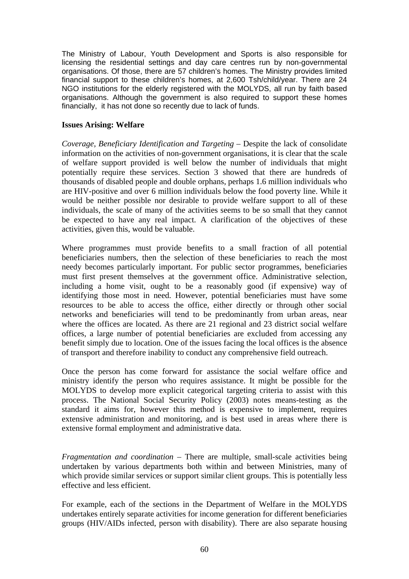The Ministry of Labour, Youth Development and Sports is also responsible for licensing the residential settings and day care centres run by non-governmental organisations. Of those, there are 57 children's homes. The Ministry provides limited financial support to these children's homes, at 2,600 Tsh/child/year. There are 24 NGO institutions for the elderly registered with the MOLYDS, all run by faith based organisations. Although the government is also required to support these homes financially, it has not done so recently due to lack of funds.

#### **Issues Arising: Welfare**

*Coverage, Beneficiary Identification and Targeting* – Despite the lack of consolidate information on the activities of non-government organisations, it is clear that the scale of welfare support provided is well below the number of individuals that might potentially require these services. Section 3 showed that there are hundreds of thousands of disabled people and double orphans, perhaps 1.6 million individuals who are HIV-positive and over 6 million individuals below the food poverty line. While it would be neither possible nor desirable to provide welfare support to all of these individuals, the scale of many of the activities seems to be so small that they cannot be expected to have any real impact. A clarification of the objectives of these activities, given this, would be valuable.

Where programmes must provide benefits to a small fraction of all potential beneficiaries numbers, then the selection of these beneficiaries to reach the most needy becomes particularly important. For public sector programmes, beneficiaries must first present themselves at the government office. Administrative selection, including a home visit, ought to be a reasonably good (if expensive) way of identifying those most in need. However, potential beneficiaries must have some resources to be able to access the office, either directly or through other social networks and beneficiaries will tend to be predominantly from urban areas, near where the offices are located. As there are 21 regional and 23 district social welfare offices, a large number of potential beneficiaries are excluded from accessing any benefit simply due to location. One of the issues facing the local offices is the absence of transport and therefore inability to conduct any comprehensive field outreach.

Once the person has come forward for assistance the social welfare office and ministry identify the person who requires assistance. It might be possible for the MOLYDS to develop more explicit categorical targeting criteria to assist with this process. The National Social Security Policy (2003) notes means-testing as the standard it aims for, however this method is expensive to implement, requires extensive administration and monitoring, and is best used in areas where there is extensive formal employment and administrative data.

*Fragmentation and coordination –* There are multiple, small-scale activities being undertaken by various departments both within and between Ministries, many of which provide similar services or support similar client groups. This is potentially less effective and less efficient.

For example, each of the sections in the Department of Welfare in the MOLYDS undertakes entirely separate activities for income generation for different beneficiaries groups (HIV/AIDs infected, person with disability). There are also separate housing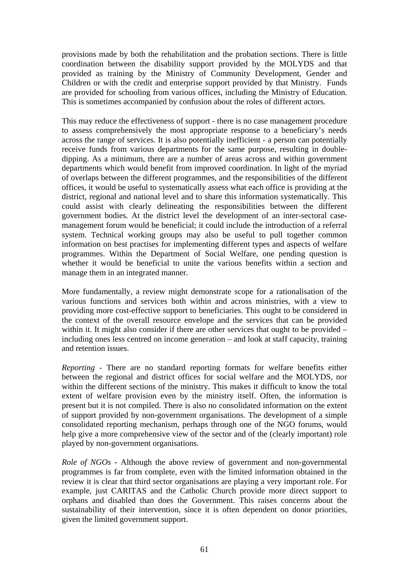provisions made by both the rehabilitation and the probation sections. There is little coordination between the disability support provided by the MOLYDS and that provided as training by the Ministry of Community Development, Gender and Children or with the credit and enterprise support provided by that Ministry. Funds are provided for schooling from various offices, including the Ministry of Education. This is sometimes accompanied by confusion about the roles of different actors.

This may reduce the effectiveness of support - there is no case management procedure to assess comprehensively the most appropriate response to a beneficiary's needs across the range of services. It is also potentially inefficient - a person can potentially receive funds from various departments for the same purpose, resulting in doubledipping. As a minimum, there are a number of areas across and within government departments which would benefit from improved coordination. In light of the myriad of overlaps between the different programmes, and the responsibilities of the different offices, it would be useful to systematically assess what each office is providing at the district, regional and national level and to share this information systematically. This could assist with clearly delineating the responsibilities between the different government bodies. At the district level the development of an inter-sectoral casemanagement forum would be beneficial; it could include the introduction of a referral system. Technical working groups may also be useful to pull together common information on best practises for implementing different types and aspects of welfare programmes. Within the Department of Social Welfare, one pending question is whether it would be beneficial to unite the various benefits within a section and manage them in an integrated manner.

More fundamentally, a review might demonstrate scope for a rationalisation of the various functions and services both within and across ministries, with a view to providing more cost-effective support to beneficiaries. This ought to be considered in the context of the overall resource envelope and the services that can be provided within it. It might also consider if there are other services that ought to be provided – including ones less centred on income generation – and look at staff capacity, training and retention issues.

*Reporting* - There are no standard reporting formats for welfare benefits either between the regional and district offices for social welfare and the MOLYDS, nor within the different sections of the ministry. This makes it difficult to know the total extent of welfare provision even by the ministry itself. Often, the information is present but it is not compiled. There is also no consolidated information on the extent of support provided by non-government organisations. The development of a simple consolidated reporting mechanism, perhaps through one of the NGO forums, would help give a more comprehensive view of the sector and of the (clearly important) role played by non-government organisations.

*Role of NGOs -* Although the above review of government and non-governmental programmes is far from complete, even with the limited information obtained in the review it is clear that third sector organisations are playing a very important role. For example, just CARITAS and the Catholic Church provide more direct support to orphans and disabled than does the Government. This raises concerns about the sustainability of their intervention, since it is often dependent on donor priorities, given the limited government support.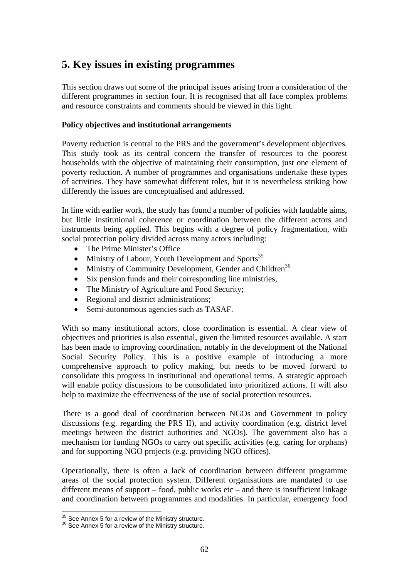# **5. Key issues in existing programmes**

This section draws out some of the principal issues arising from a consideration of the different programmes in section four. It is recognised that all face complex problems and resource constraints and comments should be viewed in this light.

## **Policy objectives and institutional arrangements**

Poverty reduction is central to the PRS and the government's development objectives. This study took as its central concern the transfer of resources to the poorest households with the objective of maintaining their consumption, just one element of poverty reduction. A number of programmes and organisations undertake these types of activities. They have somewhat different roles, but it is nevertheless striking how differently the issues are conceptualised and addressed.

In line with earlier work, the study has found a number of policies with laudable aims, but little institutional coherence or coordination between the different actors and instruments being applied. This begins with a degree of policy fragmentation, with social protection policy divided across many actors including:

- The Prime Minister's Office
- Ministry of Labour, Youth Development and Sports<sup>35</sup>
- Ministry of Community Development, Gender and Children<sup>36</sup>
- Six pension funds and their corresponding line ministries,
- The Ministry of Agriculture and Food Security;
- Regional and district administrations;
- Semi-autonomous agencies such as TASAF.

With so many institutional actors, close coordination is essential. A clear view of objectives and priorities is also essential, given the limited resources available. A start has been made to improving coordination, notably in the development of the National Social Security Policy. This is a positive example of introducing a more comprehensive approach to policy making, but needs to be moved forward to consolidate this progress in institutional and operational terms. A strategic approach will enable policy discussions to be consolidated into prioritized actions. It will also help to maximize the effectiveness of the use of social protection resources.

There is a good deal of coordination between NGOs and Government in policy discussions (e.g. regarding the PRS II), and activity coordination (e.g. district level meetings between the district authorities and NGOs). The government also has a mechanism for funding NGOs to carry out specific activities (e.g. caring for orphans) and for supporting NGO projects (e.g. providing NGO offices).

Operationally, there is often a lack of coordination between different programme areas of the social protection system. Different organisations are mandated to use different means of support – food, public works etc – and there is insufficient linkage and coordination between programmes and modalities. In particular, emergency food

<sup>&</sup>lt;sup>35</sup> See Annex 5 for a review of the Ministry structure.

<sup>&</sup>lt;sup>36</sup> See Annex 5 for a review of the Ministry structure.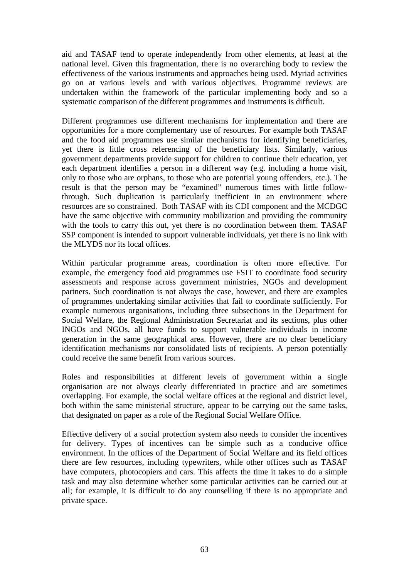aid and TASAF tend to operate independently from other elements, at least at the national level. Given this fragmentation, there is no overarching body to review the effectiveness of the various instruments and approaches being used. Myriad activities go on at various levels and with various objectives. Programme reviews are undertaken within the framework of the particular implementing body and so a systematic comparison of the different programmes and instruments is difficult.

Different programmes use different mechanisms for implementation and there are opportunities for a more complementary use of resources. For example both TASAF and the food aid programmes use similar mechanisms for identifying beneficiaries, yet there is little cross referencing of the beneficiary lists. Similarly, various government departments provide support for children to continue their education, yet each department identifies a person in a different way (e.g. including a home visit, only to those who are orphans, to those who are potential young offenders, etc.). The result is that the person may be "examined" numerous times with little followthrough. Such duplication is particularly inefficient in an environment where resources are so constrained. Both TASAF with its CDI component and the MCDGC have the same objective with community mobilization and providing the community with the tools to carry this out, yet there is no coordination between them. TASAF SSP component is intended to support vulnerable individuals, yet there is no link with the MLYDS nor its local offices.

Within particular programme areas, coordination is often more effective. For example, the emergency food aid programmes use FSIT to coordinate food security assessments and response across government ministries, NGOs and development partners. Such coordination is not always the case, however, and there are examples of programmes undertaking similar activities that fail to coordinate sufficiently. For example numerous organisations, including three subsections in the Department for Social Welfare, the Regional Administration Secretariat and its sections, plus other INGOs and NGOs, all have funds to support vulnerable individuals in income generation in the same geographical area. However, there are no clear beneficiary identification mechanisms nor consolidated lists of recipients. A person potentially could receive the same benefit from various sources.

Roles and responsibilities at different levels of government within a single organisation are not always clearly differentiated in practice and are sometimes overlapping. For example, the social welfare offices at the regional and district level, both within the same ministerial structure, appear to be carrying out the same tasks, that designated on paper as a role of the Regional Social Welfare Office.

Effective delivery of a social protection system also needs to consider the incentives for delivery. Types of incentives can be simple such as a conducive office environment. In the offices of the Department of Social Welfare and its field offices there are few resources, including typewriters, while other offices such as TASAF have computers, photocopiers and cars. This affects the time it takes to do a simple task and may also determine whether some particular activities can be carried out at all; for example, it is difficult to do any counselling if there is no appropriate and private space.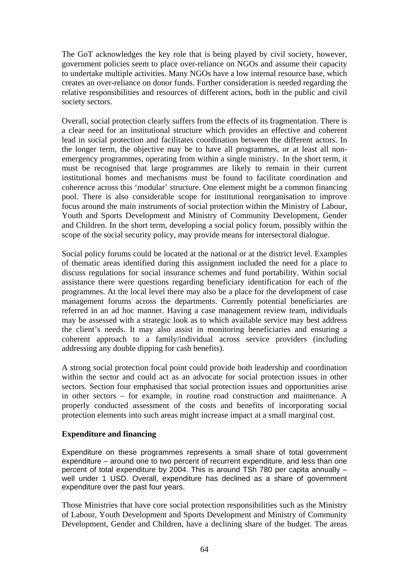The GoT acknowledges the key role that is being played by civil society, however, government policies seem to place over-reliance on NGOs and assume their capacity to undertake multiple activities. Many NGOs have a low internal resource base, which creates an over-reliance on donor funds. Further consideration is needed regarding the relative responsibilities and resources of different actors, both in the public and civil society sectors.

Overall, social protection clearly suffers from the effects of its fragmentation. There is a clear need for an institutional structure which provides an effective and coherent lead in social protection and facilitates coordination between the different actors. In the longer term, the objective may be to have all programmes, or at least all nonemergency programmes, operating from within a single ministry. In the short term, it must be recognised that large programmes are likely to remain in their current institutional homes and mechanisms must be found to facilitate coordination and coherence across this 'modular' structure. One element might be a common financing pool. There is also considerable scope for institutional reorganisation to improve focus around the main instruments of social protection within the Ministry of Labour, Youth and Sports Development and Ministry of Community Development, Gender and Children. In the short term, developing a social policy forum, possibly within the scope of the social security policy, may provide means for intersectoral dialogue.

Social policy forums could be located at the national or at the district level. Examples of thematic areas identified during this assignment included the need for a place to discuss regulations for social insurance schemes and fund portability. Within social assistance there were questions regarding beneficiary identification for each of the programmes. At the local level there may also be a place for the development of case management forums across the departments. Currently potential beneficiaries are referred in an ad hoc manner. Having a case management review team, individuals may be assessed with a strategic look as to which available service may best address the client's needs. It may also assist in monitoring beneficiaries and ensuring a coherent approach to a family/individual across service providers (including addressing any double dipping for cash benefits).

A strong social protection focal point could provide both leadership and coordination within the sector and could act as an advocate for social protection issues in other sectors. Section four emphasised that social protection issues and opportunities arise in other sectors – for example, in routine road construction and maintenance. A properly conducted assessment of the costs and benefits of incorporating social protection elements into such areas might increase impact at a small marginal cost.

#### **Expenditure and financing**

Expenditure on these programmes represents a small share of total government expenditure – around one to two percent of recurrent expenditure, and less than one percent of total expenditure by 2004. This is around TSh 780 per capita annually – well under 1 USD. Overall, expenditure has declined as a share of government expenditure over the past four years.

Those Ministries that have core social protection responsibilities such as the Ministry of Labour, Youth Development and Sports Development and Ministry of Community Development, Gender and Children, have a declining share of the budget. The areas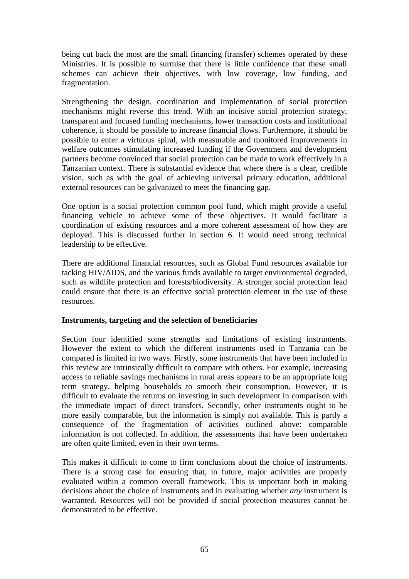being cut back the most are the small financing (transfer) schemes operated by these Ministries. It is possible to surmise that there is little confidence that these small schemes can achieve their objectives, with low coverage, low funding, and fragmentation.

Strengthening the design, coordination and implementation of social protection mechanisms might reverse this trend. With an incisive social protection strategy, transparent and focused funding mechanisms, lower transaction costs and institutional coherence, it should be possible to increase financial flows. Furthermore, it should be possible to enter a virtuous spiral, with measurable and monitored improvements in welfare outcomes stimulating increased funding if the Government and development partners become convinced that social protection can be made to work effectively in a Tanzanian context. There is substantial evidence that where there is a clear, credible vision, such as with the goal of achieving universal primary education, additional external resources can be galvanized to meet the financing gap.

One option is a social protection common pool fund, which might provide a useful financing vehicle to achieve some of these objectives. It would facilitate a coordination of existing resources and a more coherent assessment of how they are deployed. This is discussed further in section 6. It would need strong technical leadership to be effective.

There are additional financial resources, such as Global Fund resources available for tacking HIV/AIDS, and the various funds available to target environmental degraded, such as wildlife protection and forests/biodiversity. A stronger social protection lead could ensure that there is an effective social protection element in the use of these resources.

#### **Instruments, targeting and the selection of beneficiaries**

Section four identified some strengths and limitations of existing instruments. However the extent to which the different instruments used in Tanzania can be compared is limited in two ways. Firstly, some instruments that have been included in this review are intrinsically difficult to compare with others. For example, increasing access to reliable savings mechanisms in rural areas appears to be an appropriate long term strategy, helping households to smooth their consumption. However, it is difficult to evaluate the returns on investing in such development in comparison with the immediate impact of direct transfers. Secondly, other instruments ought to be more easily comparable, but the information is simply not available. This is partly a consequence of the fragmentation of activities outlined above: comparable information is not collected. In addition, the assessments that have been undertaken are often quite limited, even in their own terms.

This makes it difficult to come to firm conclusions about the choice of instruments. There is a strong case for ensuring that, in future, major activities are properly evaluated within a common overall framework. This is important both in making decisions about the choice of instruments and in evaluating whether *any* instrument is warranted. Resources will not be provided if social protection measures cannot be demonstrated to be effective.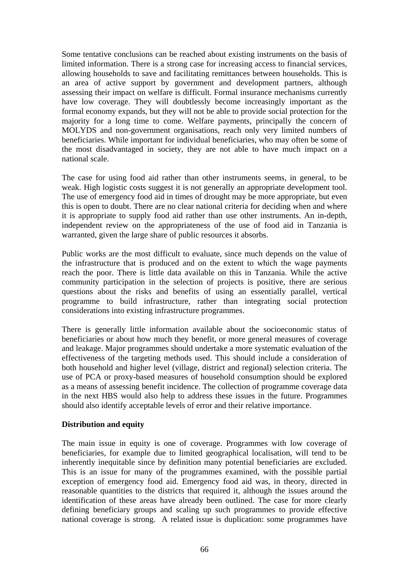Some tentative conclusions can be reached about existing instruments on the basis of limited information. There is a strong case for increasing access to financial services, allowing households to save and facilitating remittances between households. This is an area of active support by government and development partners, although assessing their impact on welfare is difficult. Formal insurance mechanisms currently have low coverage. They will doubtlessly become increasingly important as the formal economy expands, but they will not be able to provide social protection for the majority for a long time to come. Welfare payments, principally the concern of MOLYDS and non-government organisations, reach only very limited numbers of beneficiaries. While important for individual beneficiaries, who may often be some of the most disadvantaged in society, they are not able to have much impact on a national scale.

The case for using food aid rather than other instruments seems, in general, to be weak. High logistic costs suggest it is not generally an appropriate development tool. The use of emergency food aid in times of drought may be more appropriate, but even this is open to doubt. There are no clear national criteria for deciding when and where it is appropriate to supply food aid rather than use other instruments. An in-depth, independent review on the appropriateness of the use of food aid in Tanzania is warranted, given the large share of public resources it absorbs.

Public works are the most difficult to evaluate, since much depends on the value of the infrastructure that is produced and on the extent to which the wage payments reach the poor. There is little data available on this in Tanzania. While the active community participation in the selection of projects is positive, there are serious questions about the risks and benefits of using an essentially parallel, vertical programme to build infrastructure, rather than integrating social protection considerations into existing infrastructure programmes.

There is generally little information available about the socioeconomic status of beneficiaries or about how much they benefit, or more general measures of coverage and leakage. Major programmes should undertake a more systematic evaluation of the effectiveness of the targeting methods used. This should include a consideration of both household and higher level (village, district and regional) selection criteria. The use of PCA or proxy-based measures of household consumption should be explored as a means of assessing benefit incidence. The collection of programme coverage data in the next HBS would also help to address these issues in the future. Programmes should also identify acceptable levels of error and their relative importance.

# **Distribution and equity**

The main issue in equity is one of coverage. Programmes with low coverage of beneficiaries, for example due to limited geographical localisation, will tend to be inherently inequitable since by definition many potential beneficiaries are excluded. This is an issue for many of the programmes examined, with the possible partial exception of emergency food aid. Emergency food aid was, in theory, directed in reasonable quantities to the districts that required it, although the issues around the identification of these areas have already been outlined. The case for more clearly defining beneficiary groups and scaling up such programmes to provide effective national coverage is strong. A related issue is duplication: some programmes have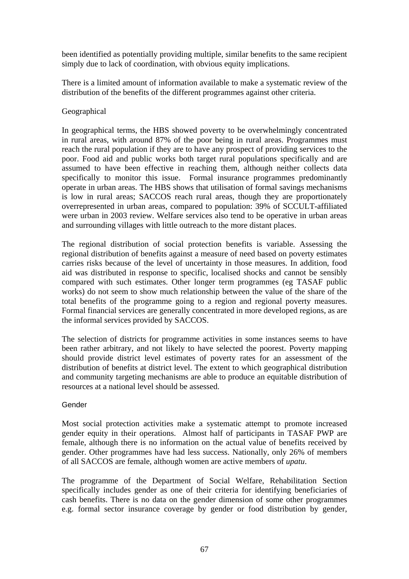been identified as potentially providing multiple, similar benefits to the same recipient simply due to lack of coordination, with obvious equity implications.

There is a limited amount of information available to make a systematic review of the distribution of the benefits of the different programmes against other criteria.

#### Geographical

In geographical terms, the HBS showed poverty to be overwhelmingly concentrated in rural areas, with around 87% of the poor being in rural areas. Programmes must reach the rural population if they are to have any prospect of providing services to the poor. Food aid and public works both target rural populations specifically and are assumed to have been effective in reaching them, although neither collects data specifically to monitor this issue. Formal insurance programmes predominantly operate in urban areas. The HBS shows that utilisation of formal savings mechanisms is low in rural areas; SACCOS reach rural areas, though they are proportionately overrepresented in urban areas, compared to population: 39% of SCCULT-affiliated were urban in 2003 review. Welfare services also tend to be operative in urban areas and surrounding villages with little outreach to the more distant places.

The regional distribution of social protection benefits is variable. Assessing the regional distribution of benefits against a measure of need based on poverty estimates carries risks because of the level of uncertainty in those measures. In addition, food aid was distributed in response to specific, localised shocks and cannot be sensibly compared with such estimates. Other longer term programmes (eg TASAF public works) do not seem to show much relationship between the value of the share of the total benefits of the programme going to a region and regional poverty measures. Formal financial services are generally concentrated in more developed regions, as are the informal services provided by SACCOS.

The selection of districts for programme activities in some instances seems to have been rather arbitrary, and not likely to have selected the poorest. Poverty mapping should provide district level estimates of poverty rates for an assessment of the distribution of benefits at district level. The extent to which geographical distribution and community targeting mechanisms are able to produce an equitable distribution of resources at a national level should be assessed.

#### Gender

Most social protection activities make a systematic attempt to promote increased gender equity in their operations. Almost half of participants in TASAF PWP are female, although there is no information on the actual value of benefits received by gender. Other programmes have had less success. Nationally, only 26% of members of all SACCOS are female, although women are active members of *upatu*.

The programme of the Department of Social Welfare, Rehabilitation Section specifically includes gender as one of their criteria for identifying beneficiaries of cash benefits. There is no data on the gender dimension of some other programmes e.g. formal sector insurance coverage by gender or food distribution by gender,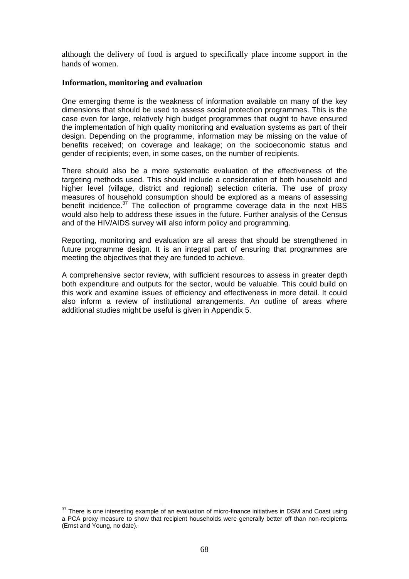although the delivery of food is argued to specifically place income support in the hands of women.

#### **Information, monitoring and evaluation**

One emerging theme is the weakness of information available on many of the key dimensions that should be used to assess social protection programmes. This is the case even for large, relatively high budget programmes that ought to have ensured the implementation of high quality monitoring and evaluation systems as part of their design. Depending on the programme, information may be missing on the value of benefits received; on coverage and leakage; on the socioeconomic status and gender of recipients; even, in some cases, on the number of recipients.

There should also be a more systematic evaluation of the effectiveness of the targeting methods used. This should include a consideration of both household and higher level (village, district and regional) selection criteria. The use of proxy measures of household consumption should be explored as a means of assessing benefit incidence.<sup>37</sup> The collection of programme coverage data in the next HBS would also help to address these issues in the future. Further analysis of the Census and of the HIV/AIDS survey will also inform policy and programming.

Reporting, monitoring and evaluation are all areas that should be strengthened in future programme design. It is an integral part of ensuring that programmes are meeting the objectives that they are funded to achieve.

A comprehensive sector review, with sufficient resources to assess in greater depth both expenditure and outputs for the sector, would be valuable. This could build on this work and examine issues of efficiency and effectiveness in more detail. It could also inform a review of institutional arrangements. An outline of areas where additional studies might be useful is given in Appendix 5.

<u>.</u>

 $37$  There is one interesting example of an evaluation of micro-finance initiatives in DSM and Coast using a PCA proxy measure to show that recipient households were generally better off than non-recipients (Ernst and Young, no date).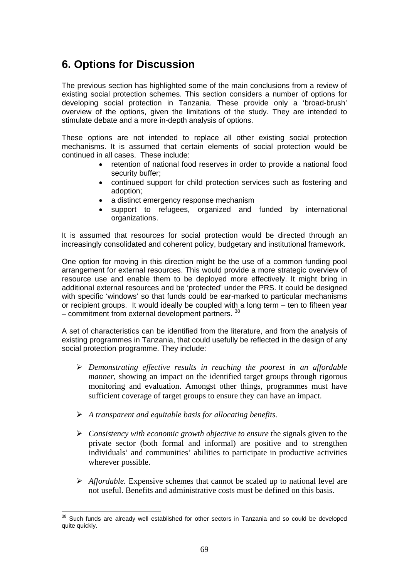# **6. Options for Discussion**

The previous section has highlighted some of the main conclusions from a review of existing social protection schemes. This section considers a number of options for developing social protection in Tanzania. These provide only a 'broad-brush' overview of the options, given the limitations of the study. They are intended to stimulate debate and a more in-depth analysis of options.

These options are not intended to replace all other existing social protection mechanisms. It is assumed that certain elements of social protection would be continued in all cases. These include:

- retention of national food reserves in order to provide a national food security buffer;
- continued support for child protection services such as fostering and adoption;
- a distinct emergency response mechanism
- support to refugees, organized and funded by international organizations.

It is assumed that resources for social protection would be directed through an increasingly consolidated and coherent policy, budgetary and institutional framework.

One option for moving in this direction might be the use of a common funding pool arrangement for external resources. This would provide a more strategic overview of resource use and enable them to be deployed more effectively. It might bring in additional external resources and be 'protected' under the PRS. It could be designed with specific 'windows' so that funds could be ear-marked to particular mechanisms or recipient groups. It would ideally be coupled with a long term – ten to fifteen year – commitment from external development partners.<sup>38</sup>

A set of characteristics can be identified from the literature, and from the analysis of existing programmes in Tanzania, that could usefully be reflected in the design of any social protection programme. They include:

- ¾ *Demonstrating effective results in reaching the poorest in an affordable manner*, showing an impact on the identified target groups through rigorous monitoring and evaluation. Amongst other things, programmes must have sufficient coverage of target groups to ensure they can have an impact.
- ¾ *A transparent and equitable basis for allocating benefits.*
- ¾ *Consistency with economic growth objective to ensure* the signals given to the private sector (both formal and informal) are positive and to strengthen individuals' and communities' abilities to participate in productive activities wherever possible.
- ¾ *Affordable.* Expensive schemes that cannot be scaled up to national level are not useful. Benefits and administrative costs must be defined on this basis.

<sup>1</sup>  $38$  Such funds are already well established for other sectors in Tanzania and so could be developed quite quickly.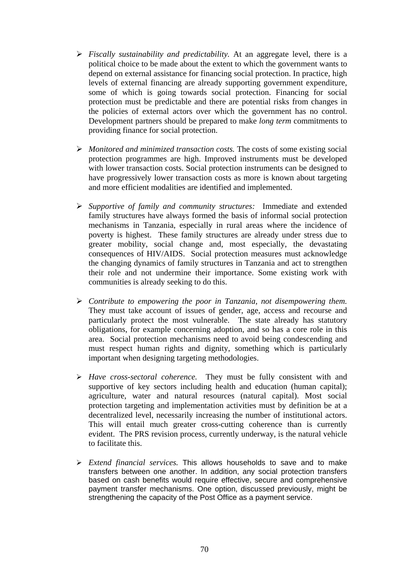- ¾ *Fiscally sustainability and predictability.* At an aggregate level, there is a political choice to be made about the extent to which the government wants to depend on external assistance for financing social protection. In practice, high levels of external financing are already supporting government expenditure, some of which is going towards social protection. Financing for social protection must be predictable and there are potential risks from changes in the policies of external actors over which the government has no control. Development partners should be prepared to make *long term* commitments to providing finance for social protection.
- ¾ *Monitored and minimized transaction costs.* The costs of some existing social protection programmes are high. Improved instruments must be developed with lower transaction costs. Social protection instruments can be designed to have progressively lower transaction costs as more is known about targeting and more efficient modalities are identified and implemented.
- ¾ *Supportive of family and community structures:* Immediate and extended family structures have always formed the basis of informal social protection mechanisms in Tanzania, especially in rural areas where the incidence of poverty is highest. These family structures are already under stress due to greater mobility, social change and, most especially, the devastating consequences of HIV/AIDS. Social protection measures must acknowledge the changing dynamics of family structures in Tanzania and act to strengthen their role and not undermine their importance. Some existing work with communities is already seeking to do this.
- ¾ *Contribute to empowering the poor in Tanzania, not disempowering them.* They must take account of issues of gender, age, access and recourse and particularly protect the most vulnerable. The state already has statutory obligations, for example concerning adoption, and so has a core role in this area. Social protection mechanisms need to avoid being condescending and must respect human rights and dignity, something which is particularly important when designing targeting methodologies.
- ¾ *Have cross-sectoral coherence.* They must be fully consistent with and supportive of key sectors including health and education (human capital); agriculture, water and natural resources (natural capital). Most social protection targeting and implementation activities must by definition be at a decentralized level, necessarily increasing the number of institutional actors. This will entail much greater cross-cutting coherence than is currently evident. The PRS revision process, currently underway, is the natural vehicle to facilitate this.
- ¾ *Extend financial services.* This allows households to save and to make transfers between one another. In addition, any social protection transfers based on cash benefits would require effective, secure and comprehensive payment transfer mechanisms. One option, discussed previously, might be strengthening the capacity of the Post Office as a payment service.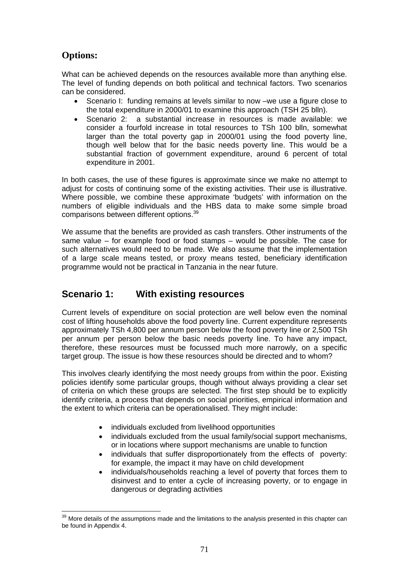# **Options:**

What can be achieved depends on the resources available more than anything else. The level of funding depends on both political and technical factors. Two scenarios can be considered.

- Scenario I: funding remains at levels similar to now –we use a figure close to the total expenditure in 2000/01 to examine this approach (TSH 25 blln).
- Scenario 2: a substantial increase in resources is made available: we consider a fourfold increase in total resources to TSh 100 blln, somewhat larger than the total poverty gap in 2000/01 using the food poverty line, though well below that for the basic needs poverty line. This would be a substantial fraction of government expenditure, around 6 percent of total expenditure in 2001.

In both cases, the use of these figures is approximate since we make no attempt to adjust for costs of continuing some of the existing activities. Their use is illustrative. Where possible, we combine these approximate 'budgets' with information on the numbers of eligible individuals and the HBS data to make some simple broad comparisons between different options.<sup>39</sup>

We assume that the benefits are provided as cash transfers. Other instruments of the same value – for example food or food stamps – would be possible. The case for such alternatives would need to be made. We also assume that the implementation of a large scale means tested, or proxy means tested, beneficiary identification programme would not be practical in Tanzania in the near future.

# **Scenario 1: With existing resources**

Current levels of expenditure on social protection are well below even the nominal cost of lifting households above the food poverty line. Current expenditure represents approximately TSh 4,800 per annum person below the food poverty line or 2,500 TSh per annum per person below the basic needs poverty line. To have any impact, therefore, these resources must be focussed much more narrowly, on a specific target group. The issue is how these resources should be directed and to whom?

This involves clearly identifying the most needy groups from within the poor. Existing policies identify some particular groups, though without always providing a clear set of criteria on which these groups are selected. The first step should be to explicitly identify criteria, a process that depends on social priorities, empirical information and the extent to which criteria can be operationalised. They might include:

- individuals excluded from livelihood opportunities
- individuals excluded from the usual family/social support mechanisms, or in locations where support mechanisms are unable to function
- individuals that suffer disproportionately from the effects of poverty: for example, the impact it may have on child development
- individuals/households reaching a level of poverty that forces them to disinvest and to enter a cycle of increasing poverty, or to engage in dangerous or degrading activities

<sup>1</sup> <sup>39</sup> More details of the assumptions made and the limitations to the analysis presented in this chapter can be found in Appendix 4.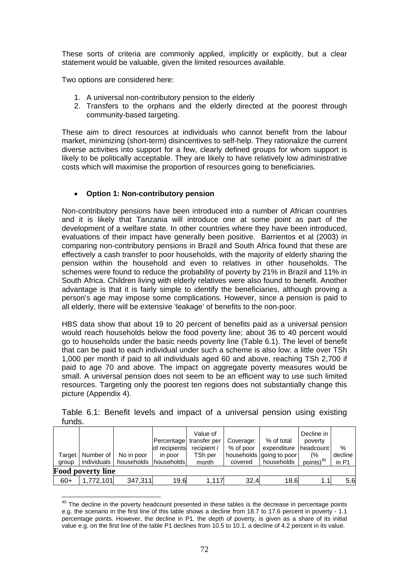These sorts of criteria are commonly applied, implicitly or explicitly, but a clear statement would be valuable, given the limited resources available.

Two options are considered here:

1

- 1. A universal non-contributory pension to the elderly
- 2. Transfers to the orphans and the elderly directed at the poorest through community-based targeting.

These aim to direct resources at individuals who cannot benefit from the labour market, minimizing (short-term) disincentives to self-help. They rationalize the current diverse activities into support for a few, clearly defined groups for whom support is likely to be politically acceptable. They are likely to have relatively low administrative costs which will maximise the proportion of resources going to beneficiaries.

# • **Option 1: Non-contributory pension**

Non-contributory pensions have been introduced into a number of African countries and it is likely that Tanzania will introduce one at some point as part of the development of a welfare state. In other countries where they have been introduced, evaluations of their impact have generally been positive. Barrientos et al (2003) in comparing non-contributory pensions in Brazil and South Africa found that these are effectively a cash transfer to poor households, with the majority of elderly sharing the pension within the household and even to relatives in other households. The schemes were found to reduce the probability of poverty by 21% in Brazil and 11% in South Africa. Children living with elderly relatives were also found to benefit. Another advantage is that it is fairly simple to identify the beneficiaries, although proving a person's age may impose some complications. However, since a pension is paid to all elderly, there will be extensive 'leakage' of benefits to the non-poor.

HBS data show that about 19 to 20 percent of benefits paid as a universal pension would reach households below the food poverty line; about 36 to 40 percent would go to households under the basic needs poverty line (Table 6.1). The level of benefit that can be paid to each individual under such a scheme is also low: a little over TSh 1,000 per month if paid to all individuals aged 60 and above, reaching TSh 2,700 if paid to age 70 and above. The impact on aggregate poverty measures would be small. A universal pension does not seem to be an efficient way to use such limited resources. Targeting only the poorest ten regions does not substantially change this picture (Appendix 4).

| Target                   | Number of   | No in poor              | of recipients<br>in poor | Value of<br>Percentage transfer per<br>recipient /<br>TSh per | Coverage:<br>% of poor | % of total<br>expenditure   headcount  <br>households going to poor | Decline in<br>poverty<br>(% | $\%$<br>decline |  |  |  |  |
|--------------------------|-------------|-------------------------|--------------------------|---------------------------------------------------------------|------------------------|---------------------------------------------------------------------|-----------------------------|-----------------|--|--|--|--|
| group                    | individuals | households I households |                          | month                                                         | covered                | households                                                          | points) <sup>40</sup>       | in P1           |  |  |  |  |
| <b>Food poverty line</b> |             |                         |                          |                                                               |                        |                                                                     |                             |                 |  |  |  |  |
| $60+$                    | 1,772,101   | 347,311                 | 19.6                     | 1.117                                                         | 32.4                   | 18.6                                                                | 1.1                         | 5.6             |  |  |  |  |

Table 6.1: Benefit levels and impact of a universal pension using existing funds.

 $40$  The decline in the poverty headcount presented in these tables is the decrease in percentage points e.g. the scenario in the first line of this table shows a decline from 18.7 to 17.6 percent in poverty - 1.1 percentage points. However, the decline in P1, the depth of poverty, is given as a share of its initial value e.g. on the first line of the table P1 declines from 10.5 to 10.1, a decline of 4.2 percent in its value.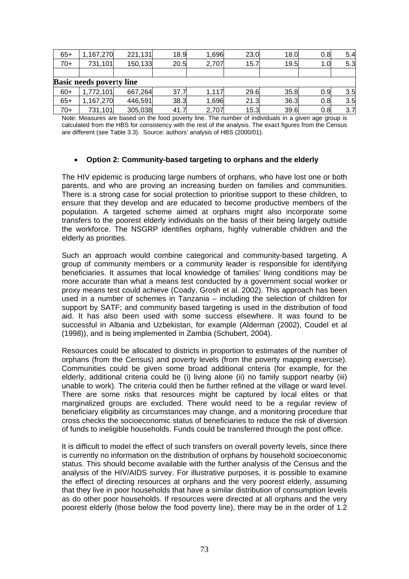| $65+$                           | ,167,270  | 221,131 | 18.9 | ,696  | 23.0 | 18.0 | 0.8 | 5.4 |  |  |  |  |  |
|---------------------------------|-----------|---------|------|-------|------|------|-----|-----|--|--|--|--|--|
| $70+$                           | 731,101   | 150,133 | 20.5 | 2,707 | 15.7 | 19.5 | 1.0 | 5.3 |  |  |  |  |  |
|                                 |           |         |      |       |      |      |     |     |  |  |  |  |  |
| <b>Basic needs poverty line</b> |           |         |      |       |      |      |     |     |  |  |  |  |  |
| $60+$                           | 1,772,101 | 667,264 | 37.7 | 1,117 | 29.6 | 35.8 | 0.9 | 3.5 |  |  |  |  |  |
| $65+$                           | ,167,270  | 446,591 | 38.3 | .696  | 21.3 | 36.3 | 0.8 | 3.5 |  |  |  |  |  |
| $70+$                           | 731,101   | 305,038 | 41.7 | 2,707 | 15.3 | 39.6 | 0.8 | 3.7 |  |  |  |  |  |

Note: Measures are based on the food poverty line. The number of individuals in a given age group is calculated from the HBS for consistency with the rest of the analysis. The exact figures from the Census are different (see Table 3.3). Source: authors' analysis of HBS (2000/01).

## • **Option 2: Community-based targeting to orphans and the elderly**

The HIV epidemic is producing large numbers of orphans, who have lost one or both parents, and who are proving an increasing burden on families and communities. There is a strong case for social protection to prioritise support to these children, to ensure that they develop and are educated to become productive members of the population. A targeted scheme aimed at orphans might also incorporate some transfers to the poorest elderly individuals on the basis of their being largely outside the workforce. The NSGRP identifies orphans, highly vulnerable children and the elderly as priorities.

Such an approach would combine categorical and community-based targeting. A group of community members or a community leader is responsible for identifying beneficiaries. It assumes that local knowledge of families' living conditions may be more accurate than what a means test conducted by a government social worker or proxy means test could achieve (Coady, Grosh et al. 2002). This approach has been used in a number of schemes in Tanzania – including the selection of children for support by SATF; and community based targeting is used in the distribution of food aid. It has also been used with some success elsewhere. It was found to be successful in Albania and Uzbekistan, for example (Alderman (2002), Coudel et al (1998)), and is being implemented in Zambia (Schubert, 2004).

Resources could be allocated to districts in proportion to estimates of the number of orphans (from the Census) and poverty levels (from the poverty mapping exercise). Communities could be given some broad additional criteria (for example, for the elderly, additional criteria could be (i) living alone (ii) no family support nearby (iii) unable to work). The criteria could then be further refined at the village or ward level. There are some risks that resources might be captured by local elites or that marginalized groups are excluded. There would need to be a regular review of beneficiary eligibility as circumstances may change, and a monitoring procedure that cross checks the socioeconomic status of beneficiaries to reduce the risk of diversion of funds to ineligible households. Funds could be transferred through the post office.

It is difficult to model the effect of such transfers on overall poverty levels, since there is currently no information on the distribution of orphans by household socioeconomic status. This should become available with the further analysis of the Census and the analysis of the HIV/AIDS survey. For illustrative purposes, it is possible to examine the effect of directing resources at orphans and the very poorest elderly, assuming that they live in poor households that have a similar distribution of consumption levels as do other poor households. If resources were directed at all orphans and the very poorest elderly (those below the food poverty line), there may be in the order of 1.2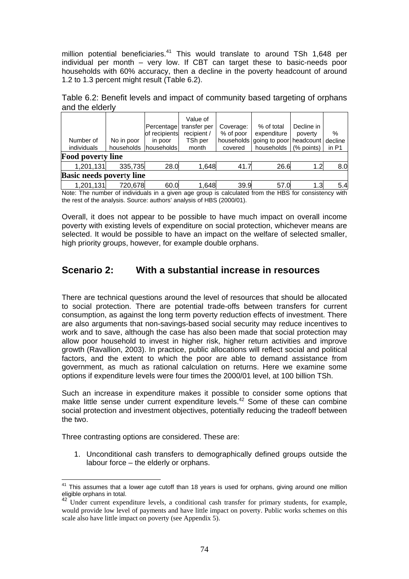million potential beneficiaries.<sup>41</sup> This would translate to around TSh 1,648 per individual per month – very low. If CBT can target these to basic-needs poor households with 60% accuracy, then a decline in the poverty headcount of around 1.2 to 1.3 percent might result (Table 6.2).

Table 6.2: Benefit levels and impact of community based targeting of orphans and the elderly

| Number of<br>individuals        | No in poor<br>households | Percentage<br>of recipients<br>in poor<br>households | Value of<br>transfer per<br>recipient /<br>TSh per<br>month | Coverage:<br>% of poor<br>covered | % of total<br>expenditure<br>households going to poor headcount<br>households | Decline in<br>poverty<br>(% points) | %<br>decline<br>in P1 |  |  |  |  |  |
|---------------------------------|--------------------------|------------------------------------------------------|-------------------------------------------------------------|-----------------------------------|-------------------------------------------------------------------------------|-------------------------------------|-----------------------|--|--|--|--|--|
| <b>Food poverty line</b>        |                          |                                                      |                                                             |                                   |                                                                               |                                     |                       |  |  |  |  |  |
| 1,201,131                       | 335,735                  | 28.0                                                 | 1,648                                                       | 41.7                              | 26.6                                                                          | 1.2                                 | 8.0                   |  |  |  |  |  |
| <b>Basic needs poverty line</b> |                          |                                                      |                                                             |                                   |                                                                               |                                     |                       |  |  |  |  |  |
| 1,201,131                       | 720,678                  | 60.0                                                 | 1,648                                                       | 39.9                              | 57.0                                                                          | 1.3                                 | 5.4                   |  |  |  |  |  |

Note: The number of individuals in a given age group is calculated from the HBS for consistency with the rest of the analysis. Source: authors' analysis of HBS (2000/01).

Overall, it does not appear to be possible to have much impact on overall income poverty with existing levels of expenditure on social protection, whichever means are selected. It would be possible to have an impact on the welfare of selected smaller, high priority groups, however, for example double orphans.

# **Scenario 2: With a substantial increase in resources**

There are technical questions around the level of resources that should be allocated to social protection. There are potential trade-offs between transfers for current consumption, as against the long term poverty reduction effects of investment. There are also arguments that non-savings-based social security may reduce incentives to work and to save, although the case has also been made that social protection may allow poor household to invest in higher risk, higher return activities and improve growth (Ravallion, 2003). In practice, public allocations will reflect social and political factors, and the extent to which the poor are able to demand assistance from government, as much as rational calculation on returns. Here we examine some options if expenditure levels were four times the 2000/01 level, at 100 billion TSh.

Such an increase in expenditure makes it possible to consider some options that make little sense under current expenditure levels.<sup>42</sup> Some of these can combine social protection and investment objectives, potentially reducing the tradeoff between the two.

Three contrasting options are considered. These are:

<u>.</u>

1. Unconditional cash transfers to demographically defined groups outside the labour force – the elderly or orphans.

This assumes that a lower age cutoff than 18 years is used for orphans, giving around one million eligible orphans in total.

Under current expenditure levels, a conditional cash transfer for primary students, for example, would provide low level of payments and have little impact on poverty. Public works schemes on this scale also have little impact on poverty (see Appendix 5).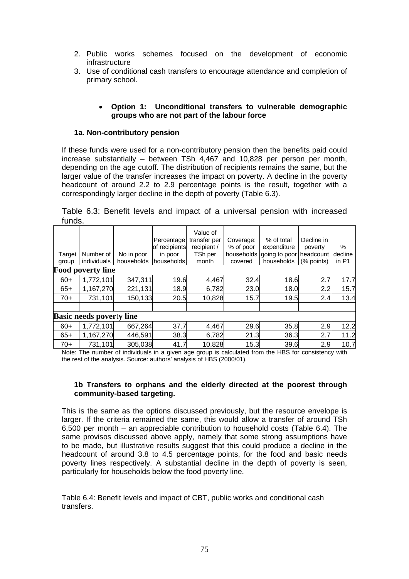- 2. Public works schemes focused on the development of economic infrastructure
- 3. Use of conditional cash transfers to encourage attendance and completion of primary school.

## • **Option 1: Unconditional transfers to vulnerable demographic groups who are not part of the labour force**

## **1a. Non-contributory pension**

If these funds were used for a non-contributory pension then the benefits paid could increase substantially – between TSh 4,467 and 10,828 per person per month, depending on the age cutoff. The distribution of recipients remains the same, but the larger value of the transfer increases the impact on poverty. A decline in the poverty headcount of around 2.2 to 2.9 percentage points is the result, together with a correspondingly larger decline in the depth of poverty (Table 6.3).

|        |  |  |  |  |  | Table 6.3: Benefit levels and impact of a universal pension with increased |
|--------|--|--|--|--|--|----------------------------------------------------------------------------|
| funds. |  |  |  |  |  |                                                                            |

| Target<br>group | Number of<br>individuals<br><b>Food poverty line</b> | No in poor<br>households | Percentage<br>of recipients<br>in poor<br>households | Value of<br>transfer per<br>recipient /<br>TSh per<br>month | Coverage:<br>% of poor<br>households<br>covered | % of total<br>expenditure<br>going to poor<br>households | Decline in<br>poverty<br>headcount<br>(% points) | %<br>decline<br>in P1 |
|-----------------|------------------------------------------------------|--------------------------|------------------------------------------------------|-------------------------------------------------------------|-------------------------------------------------|----------------------------------------------------------|--------------------------------------------------|-----------------------|
| $60+$           | 1,772,101                                            | 347,311                  | 19.6                                                 | 4,467                                                       | 32.4                                            | 18.6                                                     | 2.7                                              | 17.7                  |
|                 |                                                      |                          |                                                      |                                                             |                                                 |                                                          |                                                  |                       |
| $65+$           | 1,167,270                                            | 221,131                  | 18.9                                                 | 6,782                                                       | 23.0                                            | 18.0                                                     | 2.2                                              | 15.7                  |
| $70+$           | 731,101                                              | 150,133                  | 20.5                                                 | 10,828                                                      | 15.7                                            | 19.5                                                     | 2.4                                              | 13.4                  |
|                 |                                                      |                          |                                                      |                                                             |                                                 |                                                          |                                                  |                       |
|                 | <b>Basic needs poverty line</b>                      |                          |                                                      |                                                             |                                                 |                                                          |                                                  |                       |
| $60+$           | 1,772,101                                            | 667,264                  | 37.7                                                 | 4,467                                                       | 29.6                                            | 35.8                                                     | 2.9                                              | 12.2                  |
| $65+$           | 1,167,270                                            | 446,591                  | 38.3                                                 | 6,782                                                       | 21.3                                            | 36.3                                                     | 2.7                                              | 11.2                  |
| $70+$           | 731,101                                              | 305,038                  | 41.7                                                 | 10,828                                                      | 15.3                                            | 39.6                                                     | 2.9                                              | 10.7                  |

Note: The number of individuals in a given age group is calculated from the HBS for consistency with the rest of the analysis. Source: authors' analysis of HBS (2000/01).

## **1b Transfers to orphans and the elderly directed at the poorest through community-based targeting.**

This is the same as the options discussed previously, but the resource envelope is larger. If the criteria remained the same, this would allow a transfer of around TSh 6,500 per month – an appreciable contribution to household costs (Table 6.4). The same provisos discussed above apply, namely that some strong assumptions have to be made, but illustrative results suggest that this could produce a decline in the headcount of around 3.8 to 4.5 percentage points, for the food and basic needs poverty lines respectively. A substantial decline in the depth of poverty is seen, particularly for households below the food poverty line.

Table 6.4: Benefit levels and impact of CBT, public works and conditional cash transfers.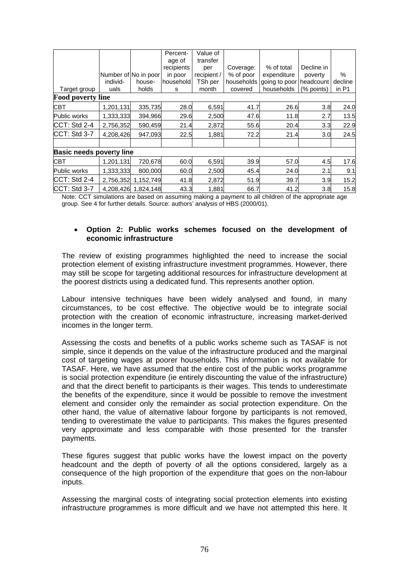|                                 |           |                      | Percent-<br>age of | Value of<br>transfer |            |               |            |         |
|---------------------------------|-----------|----------------------|--------------------|----------------------|------------|---------------|------------|---------|
|                                 |           |                      | recipients         | per                  | Coverage:  | % of total    | Decline in |         |
|                                 |           | Number of No in poor | in poor            | recipient /          | % of poor  | expenditure   | poverty    | $\%$    |
|                                 | individ-  | house-               | household          | TSh per              | households | going to poor | headcount  | decline |
| Target group                    | uals      | holds                | s                  | month                | covered    | households    | (% points) | in P1   |
| <b>Food poverty line</b>        |           |                      |                    |                      |            |               |            |         |
| <b>CBT</b>                      | 1,201,131 | 335,735              | 28.0               | 6,591                | 41.7       | 26.6          | 3.8        | 24.0    |
| <b>Public works</b>             | 1,333,333 | 394,966              | 29.6               | 2,500                | 47.6       | 11.8          | 2.7        | 13.5    |
| CCT: Std 2-4                    | 2,756,352 | 590,459              | 21.4               | 2,872                | 55.6       | 20.4          | 3.3        | 22.9    |
| CCT: Std 3-7                    | 4,208,426 | 947,093              | 22.5               | 1,881                | 72.2       | 21.4          | 3.0        | 24.5    |
|                                 |           |                      |                    |                      |            |               |            |         |
| <b>Basic needs poverty line</b> |           |                      |                    |                      |            |               |            |         |
| <b>CBT</b>                      | 1,201,131 | 720,678              | 60.0               | 6,591                | 39.9       | 57.0          | 4.5        | 17.6    |
| Public works                    | 1,333,333 | 800,000              | 60.0               | 2,500                | 45.4       | 24.0          | 2.1        | 9.1     |
| CCT: Std 2-4                    | 2,756,352 | 1,152,749            | 41.8               | 2,872                | 51.9       | 39.7          | 3.9        | 15.2    |
| CCT: Std 3-7                    | 4,208,426 | 1.824.148            | 43.3               | 1,881                | 66.7       | 41.2          | 3.8        | 15.8    |

Note: CCT simulations are based on assuming making a payment to all children of the appropriate age group. See 4 for further details. Source: authors' analysis of HBS (2000/01).

## • **Option 2: Public works schemes focused on the development of economic infrastructure**

The review of existing programmes highlighted the need to increase the social protection element of existing infrastructure investment programmes. However, there may still be scope for targeting additional resources for infrastructure development at the poorest districts using a dedicated fund. This represents another option.

Labour intensive techniques have been widely analysed and found, in many circumstances, to be cost effective. The objective would be to integrate social protection with the creation of economic infrastructure, increasing market-derived incomes in the longer term.

Assessing the costs and benefits of a public works scheme such as TASAF is not simple, since it depends on the value of the infrastructure produced and the marginal cost of targeting wages at poorer households. This information is not available for TASAF. Here, we have assumed that the entire cost of the public works programme is social protection expenditure (ie entirely discounting the value of the infrastructure) and that the direct benefit to participants is their wages. This tends to underestimate the benefits of the expenditure, since it would be possible to remove the investment element and consider only the remainder as social protection expenditure. On the other hand, the value of alternative labour forgone by participants is not removed, tending to overestimate the value to participants. This makes the figures presented very approximate and less comparable with those presented for the transfer payments.

These figures suggest that public works have the lowest impact on the poverty headcount and the depth of poverty of all the options considered, largely as a consequence of the high proportion of the expenditure that goes on the non-labour inputs.

Assessing the marginal costs of integrating social protection elements into existing infrastructure programmes is more difficult and we have not attempted this here. It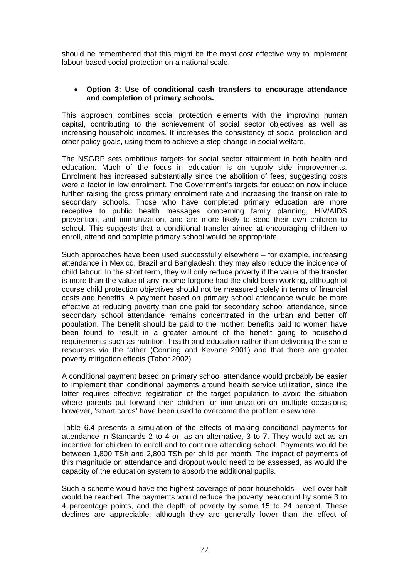should be remembered that this might be the most cost effective way to implement labour-based social protection on a national scale.

## • **Option 3: Use of conditional cash transfers to encourage attendance and completion of primary schools.**

This approach combines social protection elements with the improving human capital, contributing to the achievement of social sector objectives as well as increasing household incomes. It increases the consistency of social protection and other policy goals, using them to achieve a step change in social welfare.

The NSGRP sets ambitious targets for social sector attainment in both health and education. Much of the focus in education is on supply side improvements. Enrolment has increased substantially since the abolition of fees, suggesting costs were a factor in low enrolment. The Government's targets for education now include further raising the gross primary enrolment rate and increasing the transition rate to secondary schools. Those who have completed primary education are more receptive to public health messages concerning family planning, HIV/AIDS prevention, and immunization, and are more likely to send their own children to school. This suggests that a conditional transfer aimed at encouraging children to enroll, attend and complete primary school would be appropriate.

Such approaches have been used successfully elsewhere – for example, increasing attendance in Mexico, Brazil and Bangladesh; they may also reduce the incidence of child labour. In the short term, they will only reduce poverty if the value of the transfer is more than the value of any income forgone had the child been working, although of course child protection objectives should not be measured solely in terms of financial costs and benefits. A payment based on primary school attendance would be more effective at reducing poverty than one paid for secondary school attendance, since secondary school attendance remains concentrated in the urban and better off population. The benefit should be paid to the mother: benefits paid to women have been found to result in a greater amount of the benefit going to household requirements such as nutrition, health and education rather than delivering the same resources via the father (Conning and Kevane 2001) and that there are greater poverty mitigation effects (Tabor 2002)

A conditional payment based on primary school attendance would probably be easier to implement than conditional payments around health service utilization, since the latter requires effective registration of the target population to avoid the situation where parents put forward their children for immunization on multiple occasions; however, 'smart cards' have been used to overcome the problem elsewhere.

Table 6.4 presents a simulation of the effects of making conditional payments for attendance in Standards 2 to 4 or, as an alternative, 3 to 7. They would act as an incentive for children to enroll and to continue attending school. Payments would be between 1,800 TSh and 2,800 TSh per child per month. The impact of payments of this magnitude on attendance and dropout would need to be assessed, as would the capacity of the education system to absorb the additional pupils.

Such a scheme would have the highest coverage of poor households – well over half would be reached. The payments would reduce the poverty headcount by some 3 to 4 percentage points, and the depth of poverty by some 15 to 24 percent. These declines are appreciable; although they are generally lower than the effect of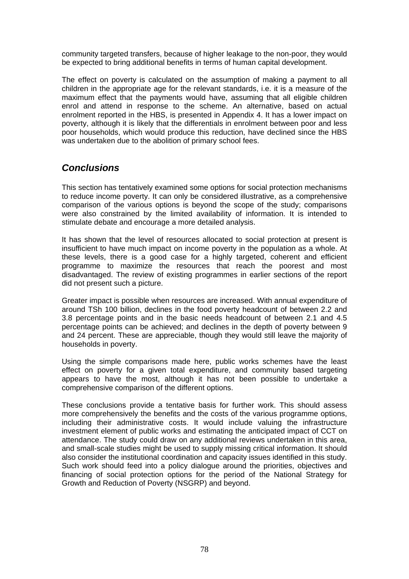community targeted transfers, because of higher leakage to the non-poor, they would be expected to bring additional benefits in terms of human capital development.

The effect on poverty is calculated on the assumption of making a payment to all children in the appropriate age for the relevant standards, i.e. it is a measure of the maximum effect that the payments would have, assuming that all eligible children enrol and attend in response to the scheme. An alternative, based on actual enrolment reported in the HBS, is presented in Appendix 4. It has a lower impact on poverty, although it is likely that the differentials in enrolment between poor and less poor households, which would produce this reduction, have declined since the HBS was undertaken due to the abolition of primary school fees.

# *Conclusions*

This section has tentatively examined some options for social protection mechanisms to reduce income poverty. It can only be considered illustrative, as a comprehensive comparison of the various options is beyond the scope of the study; comparisons were also constrained by the limited availability of information. It is intended to stimulate debate and encourage a more detailed analysis.

It has shown that the level of resources allocated to social protection at present is insufficient to have much impact on income poverty in the population as a whole. At these levels, there is a good case for a highly targeted, coherent and efficient programme to maximize the resources that reach the poorest and most disadvantaged. The review of existing programmes in earlier sections of the report did not present such a picture.

Greater impact is possible when resources are increased. With annual expenditure of around TSh 100 billion, declines in the food poverty headcount of between 2.2 and 3.8 percentage points and in the basic needs headcount of between 2.1 and 4.5 percentage points can be achieved; and declines in the depth of poverty between 9 and 24 percent. These are appreciable, though they would still leave the majority of households in poverty.

Using the simple comparisons made here, public works schemes have the least effect on poverty for a given total expenditure, and community based targeting appears to have the most, although it has not been possible to undertake a comprehensive comparison of the different options.

These conclusions provide a tentative basis for further work. This should assess more comprehensively the benefits and the costs of the various programme options, including their administrative costs. It would include valuing the infrastructure investment element of public works and estimating the anticipated impact of CCT on attendance. The study could draw on any additional reviews undertaken in this area, and small-scale studies might be used to supply missing critical information. It should also consider the institutional coordination and capacity issues identified in this study. Such work should feed into a policy dialogue around the priorities, objectives and financing of social protection options for the period of the National Strategy for Growth and Reduction of Poverty (NSGRP) and beyond.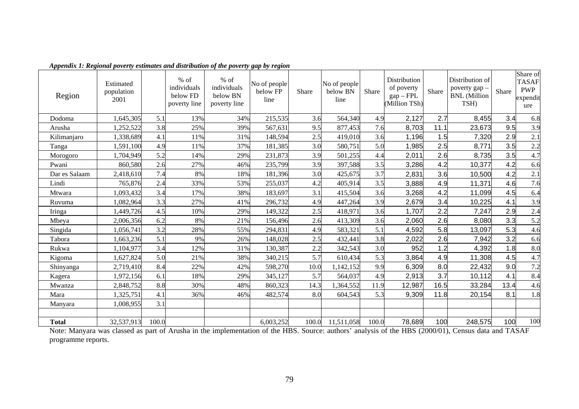| Region        | Estimated<br>population<br>2001 |       | $%$ of<br>individuals<br>below FD<br>poverty line | $%$ of<br>individuals<br>below BN<br>poverty line | No of people<br>below FP<br>line | Share | No of people<br>below BN<br>line | Share | Distribution<br>of poverty<br>$gap - FPL$<br>(Million TSh) | Share | Distribution of<br>poverty gap -<br><b>BNL</b> (Million<br>TSH) | Share | Share of<br><b>TASAF</b><br><b>PWP</b><br>expendit<br>ure |
|---------------|---------------------------------|-------|---------------------------------------------------|---------------------------------------------------|----------------------------------|-------|----------------------------------|-------|------------------------------------------------------------|-------|-----------------------------------------------------------------|-------|-----------------------------------------------------------|
| Dodoma        | 1,645,305                       | 5.1   | 13%                                               | 34%                                               | 215,535                          | 3.6   | 564,340                          | 4.9   | 2,127                                                      | 2.7   | 8,455                                                           | 3.4   | 6.8                                                       |
| Arusha        | 1,252,522                       | 3.8   | 25%                                               | 39%                                               | 567,631                          | 9.5   | 877,453                          | 7.6   | 8,703                                                      | 11.1  | 23,673                                                          | 9.5   | 3.9                                                       |
| Kilimanjaro   | 1,338,689                       | 4.1   | 11%                                               | 31%                                               | 148,594                          | 2.5   | 419,010                          | 3.6   | 1,196                                                      | 1.5   | 7,320                                                           | 2.9   | 2.1                                                       |
| Tanga         | 1,591,100                       | 4.9   | 11%                                               | 37%                                               | 181,385                          | 3.0   | 580,751                          | 5.0   | 1,985                                                      | 2.5   | 8,771                                                           | 3.5   | 2.2                                                       |
| Morogoro      | 1,704,949                       | 5.2   | 14%                                               | 29%                                               | 231,873                          | 3.9   | 501,255                          | 4.4   | 2,011                                                      | 2.6   | 8,735                                                           | 3.5   | 4.7                                                       |
| Pwani         | 860,580                         | 2.6   | 27%                                               | 46%                                               | 235,799                          | 3.9   | 397,588                          | 3.5   | 3,286                                                      | 4.2   | 10,377                                                          | 4.2   | 6.6                                                       |
| Dar es Salaam | 2,418,610                       | 7.4   | 8%                                                | 18%                                               | 181,396                          | 3.0   | 425,675                          | 3.7   | 2,831                                                      | 3.6   | 10,500                                                          | 4.2   | 2.1                                                       |
| Lindi         | 765,876                         | 2.4   | 33%                                               | 53%                                               | 255,037                          | 4.2   | 405,914                          | 3.5   | 3,888                                                      | 4.9   | 11,371                                                          | 4.6   | 7.6                                                       |
| Mtwara        | 1,093,432                       | 3.4   | 17%                                               | 38%                                               | 183,697                          | 3.1   | 415,504                          | 3.6   | 3,268                                                      | 4.2   | 11,099                                                          | 4.5   | 6.4                                                       |
| Ruvuma        | 1,082,964                       | 3.3   | 27%                                               | 41%                                               | 296,732                          | 4.9   | 447,264                          | 3.9   | 2,679                                                      | 3.4   | 10,225                                                          | 4.1   | 3.9                                                       |
| Iringa        | 1,449,726                       | 4.5   | 10%                                               | 29%                                               | 149,322                          | 2.5   | 418,971                          | 3.6   | 1,707                                                      | 2.2   | 7,247                                                           | 2.9   | 2.4                                                       |
| Mbeya         | 2,006,356                       | 6.2   | 8%                                                | 21%                                               | 156,496                          | 2.6   | 413,309                          | 3.6   | 2,060                                                      | 2.6   | 8,080                                                           | 3.3   | 5.2                                                       |
| Singida       | 1,056,741                       | 3.2   | 28%                                               | 55%                                               | 294,831                          | 4.9   | 583,321                          | 5.1   | 4,592                                                      | 5.8   | 13,097                                                          | 5.3   | 4.6                                                       |
| Tabora        | 1,663,236                       | 5.1   | 9%                                                | 26%                                               | 148,028                          | 2.5   | 432,441                          | 3.8   | 2,022                                                      | 2.6   | 7,942                                                           | 3.2   | 6.6                                                       |
| Rukwa         | 1,104,977                       | 3.4   | 12%                                               | 31%                                               | 130,387                          | 2.2   | 342,543                          | 3.0   | 952                                                        | 1.2   | 4,392                                                           | 1.8   | 8.0                                                       |
| Kigoma        | 1,627,824                       | 5.0   | 21%                                               | 38%                                               | 340,215                          | 5.7   | 610,434                          | 5.3   | 3,864                                                      | 4.9   | 11,308                                                          | 4.5   | 4.7                                                       |
| Shinyanga     | 2,719,410                       | 8.4   | 22%                                               | 42%                                               | 598,270                          | 10.0  | 1,142,152                        | 9.9   | 6,309                                                      | 8.0   | 22,432                                                          | 9.0   | 7.2                                                       |
| Kagera        | 1,972,156                       | 6.1   | 18%                                               | 29%                                               | 345,127                          | 5.7   | 564,037                          | 4.9   | 2,913                                                      | 3.7   | 10,112                                                          | 4.1   | 8.4                                                       |
| Mwanza        | 2,848,752                       | 8.8   | 30%                                               | 48%                                               | 860,323                          | 14.3  | 1,364,552                        | 11.9  | 12,987                                                     | 16.5  | 33,284                                                          | 13.4  | 4.6                                                       |
| Mara          | 1,325,751                       | 4.1   | 36%                                               | 46%                                               | 482,574                          | 8.0   | 604,543                          | 5.3   | 9,309                                                      | 11.8  | 20,154                                                          | 8.1   | 1.8                                                       |
| Manyara       | 1,008,955                       | 3.1   |                                                   |                                                   |                                  |       |                                  |       |                                                            |       |                                                                 |       |                                                           |
|               |                                 |       |                                                   |                                                   |                                  |       |                                  |       |                                                            |       |                                                                 |       |                                                           |
| <b>Total</b>  | 32,537,913                      | 100.0 |                                                   |                                                   | 6,003,252                        | 100.0 | 11,511,058                       | 100.0 | 78,689                                                     | 100   | 248,575                                                         | 100   | 100                                                       |

*Appendix 1: Regional poverty estimates and distribution of the poverty gap by region* 

Note: Manyara was classed as part of Arusha in the implementation of the HBS. Source: authors' analysis of the HBS (2000/01), Census data and TASAF programme reports.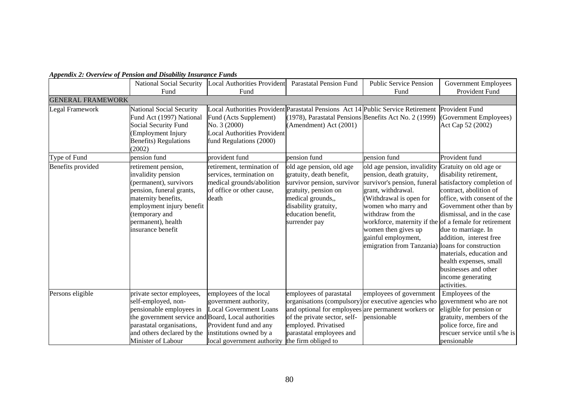|                          | National Social Security<br>Fund                                                                                                                                                                                     | <b>Local Authorities Provident</b><br>Fund                                                                                                                          | <b>Parastatal Pension Fund</b>                                                                                                                                                                                                                    | <b>Public Service Pension</b><br>Fund                                                                                                                                                                                                                                                                                    | <b>Government Employees</b><br>Provident Fund                                                                                                                                                                                                                                                                                                                                                   |
|--------------------------|----------------------------------------------------------------------------------------------------------------------------------------------------------------------------------------------------------------------|---------------------------------------------------------------------------------------------------------------------------------------------------------------------|---------------------------------------------------------------------------------------------------------------------------------------------------------------------------------------------------------------------------------------------------|--------------------------------------------------------------------------------------------------------------------------------------------------------------------------------------------------------------------------------------------------------------------------------------------------------------------------|-------------------------------------------------------------------------------------------------------------------------------------------------------------------------------------------------------------------------------------------------------------------------------------------------------------------------------------------------------------------------------------------------|
| <b>GENERAL FRAMEWORK</b> |                                                                                                                                                                                                                      |                                                                                                                                                                     |                                                                                                                                                                                                                                                   |                                                                                                                                                                                                                                                                                                                          |                                                                                                                                                                                                                                                                                                                                                                                                 |
| <b>Legal Framework</b>   | <b>National Social Security</b><br>Fund Act (1997) National<br>Social Security Fund<br>(Employment Injury<br><b>Benefits</b> ) Regulations<br>(2002)                                                                 | Fund (Acts Supplement)<br>No. 3 (2000)<br><b>Local Authorities Provident</b><br>fund Regulations (2000)                                                             | Local Authorities Provident Parastatal Pensions Act 14 Public Service Retirement<br>(1978), Parastatal Pensions Benefits Act No. 2 (1999)<br>(Amendment) Act (2001)                                                                               |                                                                                                                                                                                                                                                                                                                          | Provident Fund<br>(Government Employees)<br>Act Cap 52 (2002)                                                                                                                                                                                                                                                                                                                                   |
| Type of Fund             | pension fund                                                                                                                                                                                                         | provident fund                                                                                                                                                      | pension fund                                                                                                                                                                                                                                      | pension fund                                                                                                                                                                                                                                                                                                             | Provident fund                                                                                                                                                                                                                                                                                                                                                                                  |
| Benefits provided        | retirement pension,<br>invalidity pension<br>(permanent), survivors<br>pension, funeral grants,<br>maternity benefits,<br>employment injury benefit<br>(temporary and<br>permanent), health<br>insurance benefit     | retirement, termination of<br>services, termination on<br>medical grounds/abolition<br>of office or other cause,<br>death                                           | old age pension, old age<br>gratuity, death benefit,<br>survivor pension, survivor<br>gratuity, pension on<br>medical grounds,,<br>disability gratuity,<br>education benefit,<br>surrender pay                                                    | old age pension, invalidity<br>pension, death gratuity,<br>survivor's pension, funeral<br>grant, withdrawal.<br>(Withdrawal is open for<br>women who marry and<br>withdraw from the<br>workforce, maternity if the of a female for retirement<br>women then gives up<br>gainful employment,<br>emigration from Tanzania) | Gratuity on old age or<br>disability retirement,<br>satisfactory completion of<br>contract, abolition of<br>office, with consent of the<br>Government other than by<br>dismissal, and in the case<br>due to marriage. In<br>addition, interest free<br>loans for construction<br>materials, education and<br>health expenses, small<br>businesses and other<br>income generating<br>activities. |
| Persons eligible         | private sector employees,<br>self-employed, non-<br>pensionable employees in<br>the government service and Board, Local authorities<br>parastatal organisations,<br>and others declared by the<br>Minister of Labour | employees of the local<br>government authority,<br><b>Local Government Loans</b><br>Provident fund and any<br>institutions owned by a<br>local government authority | employees of parastatal<br>organisations (compulsory) or executive agencies who<br>and optional for employees are permanent workers or<br>of the private sector, self-<br>employed. Privatised<br>parastatal employees and<br>the firm obliged to | employees of government<br>pensionable                                                                                                                                                                                                                                                                                   | Employees of the<br>government who are not<br>eligible for pension or<br>gratuity, members of the<br>police force, fire and<br>rescuer service until s/he is<br>pensionable                                                                                                                                                                                                                     |

## *Appendix 2: Overview of Pension and Disability Insurance Funds*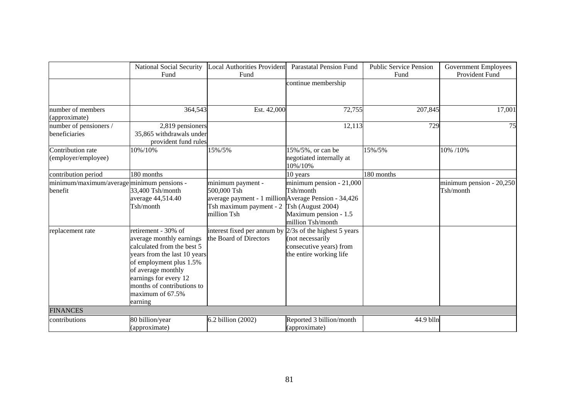|                                            | National Social Security     | <b>Local Authorities Provident</b>                   | <b>Parastatal Pension Fund</b> | <b>Public Service Pension</b> | <b>Government Employees</b> |
|--------------------------------------------|------------------------------|------------------------------------------------------|--------------------------------|-------------------------------|-----------------------------|
|                                            | Fund                         | Fund                                                 |                                | Fund                          | Provident Fund              |
|                                            |                              |                                                      | continue membership            |                               |                             |
|                                            |                              |                                                      |                                |                               |                             |
|                                            |                              |                                                      |                                |                               |                             |
| number of members                          | 364,543                      | Est. 42,000                                          | 72,755                         | 207,845                       | 17,001                      |
| (approximate)                              |                              |                                                      |                                |                               |                             |
| number of pensioners /                     | 2,819 pensioners             |                                                      | 12,113                         | 729                           | 75                          |
| beneficiaries                              | 35,865 withdrawals under     |                                                      |                                |                               |                             |
|                                            | provident fund rules         |                                                      |                                |                               |                             |
| Contribution rate                          | 10%/10%                      | 15%/5%                                               | 15%/5%, or can be              | 15%/5%                        | 10% /10%                    |
| (employer/employee)                        |                              |                                                      | negotiated internally at       |                               |                             |
|                                            |                              |                                                      | 10%/10%                        |                               |                             |
| contribution period                        | 180 months                   |                                                      | 10 years                       | 180 months                    |                             |
| minimum/maximum/average minimum pensions - |                              | minimum payment -                                    | minimum pension - 21,000       |                               | minimum pension - $20,250$  |
| benefit                                    | 33,400 Tsh/month             | 500,000 Tsh                                          | Tsh/month                      |                               | Tsh/month                   |
|                                            | average 44,514.40            | average payment - 1 million Average Pension - 34,426 |                                |                               |                             |
|                                            | Tsh/month                    | Tsh maximum payment - 2                              | Tsh (August 2004)              |                               |                             |
|                                            |                              | million Tsh                                          | Maximum pension - 1.5          |                               |                             |
|                                            |                              |                                                      | million Tsh/month              |                               |                             |
| replacement rate                           | retirement - 30% of          | interest fixed per annum by                          | $2/3s$ of the highest 5 years  |                               |                             |
|                                            | average monthly earnings     | the Board of Directors                               | (not necessarily               |                               |                             |
|                                            | calculated from the best 5   |                                                      | consecutive years) from        |                               |                             |
|                                            | years from the last 10 years |                                                      | the entire working life        |                               |                             |
|                                            | of employment plus 1.5%      |                                                      |                                |                               |                             |
|                                            | of average monthly           |                                                      |                                |                               |                             |
|                                            | earnings for every 12        |                                                      |                                |                               |                             |
|                                            | months of contributions to   |                                                      |                                |                               |                             |
|                                            | maximum of 67.5%             |                                                      |                                |                               |                             |
|                                            | earning                      |                                                      |                                |                               |                             |
| <b>FINANCES</b>                            |                              |                                                      |                                |                               |                             |
| contributions                              | 80 billion/year              | 6.2 billion (2002)                                   | Reported 3 billion/month       | 44.9 blln                     |                             |
|                                            | (approximate)                |                                                      | (approximate)                  |                               |                             |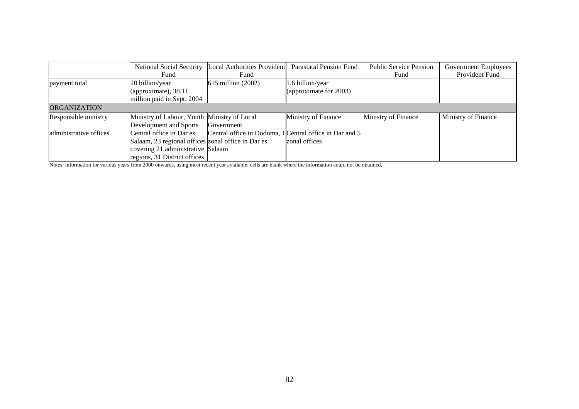|                        |                                                    | National Social Security  Local Authorities Provident   | <b>Parastatal Pension Fund</b> | <b>Public Service Pension</b> | Government Employees |
|------------------------|----------------------------------------------------|---------------------------------------------------------|--------------------------------|-------------------------------|----------------------|
|                        | Fund                                               | Fund                                                    |                                | Fund                          | Provident Fund       |
| payment total          | 20 billion/year                                    | 615 million (2002)                                      | 1.6 billion/year               |                               |                      |
|                        | (approximate), $38.11$                             |                                                         | (approximate for 2003)         |                               |                      |
|                        | million paid in Sept. 2004                         |                                                         |                                |                               |                      |
| <b>ORGANIZATION</b>    |                                                    |                                                         |                                |                               |                      |
| Responsible ministry   | Ministry of Labour, Youth Ministry of Local        |                                                         | Ministry of Finance            | Ministry of Finance           | Ministry of Finance  |
|                        | Development and Sports                             | Government                                              |                                |                               |                      |
| administrative offices | Central office in Dar es                           | Central office in Dodoma, 1 Central office in Dar and 5 |                                |                               |                      |
|                        | Salaam, 23 regional offices zonal office in Dar es |                                                         | zonal offices                  |                               |                      |
|                        | covering 21 administrative Salaam                  |                                                         |                                |                               |                      |
|                        | regions, 31 District offices                       |                                                         |                                |                               |                      |

Notes: information for various years from 2000 onwards, using most recent year available; cells are blank where the information could not be obtained.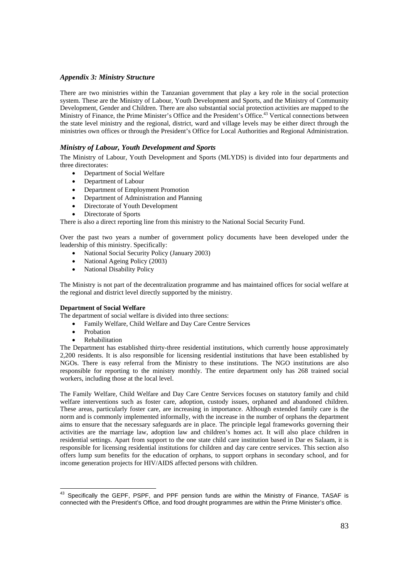#### *Appendix 3: Ministry Structure*

There are two ministries within the Tanzanian government that play a key role in the social protection system. These are the Ministry of Labour, Youth Development and Sports, and the Ministry of Community Development, Gender and Children. There are also substantial social protection activities are mapped to the Ministry of Finance, the Prime Minister's Office and the President's Office.<sup>43</sup> Vertical connections between the state level ministry and the regional, district, ward and village levels may be either direct through the ministries own offices or through the President's Office for Local Authorities and Regional Administration.

#### *Ministry of Labour, Youth Development and Sports*

The Ministry of Labour, Youth Development and Sports (MLYDS) is divided into four departments and three directorates:

- Department of Social Welfare
- Department of Labour
- Department of Employment Promotion
- Department of Administration and Planning
- Directorate of Youth Development
- Directorate of Sports

There is also a direct reporting line from this ministry to the National Social Security Fund.

Over the past two years a number of government policy documents have been developed under the leadership of this ministry. Specifically:

- National Social Security Policy (January 2003)
- National Ageing Policy (2003)
- National Disability Policy

The Ministry is not part of the decentralization programme and has maintained offices for social welfare at the regional and district level directly supported by the ministry.

#### **Department of Social Welfare**

The department of social welfare is divided into three sections:

- Family Welfare, Child Welfare and Day Care Centre Services
- Probation
- **Rehabilitation**

The Department has established thirty-three residential institutions, which currently house approximately 2,200 residents. It is also responsible for licensing residential institutions that have been established by NGOs. There is easy referral from the Ministry to these institutions. The NGO institutions are also responsible for reporting to the ministry monthly. The entire department only has 268 trained social workers, including those at the local level.

The Family Welfare, Child Welfare and Day Care Centre Services focuses on statutory family and child welfare interventions such as foster care, adoption, custody issues, orphaned and abandoned children. These areas, particularly foster care, are increasing in importance. Although extended family care is the norm and is commonly implemented informally, with the increase in the number of orphans the department aims to ensure that the necessary safeguards are in place. The principle legal frameworks governing their activities are the marriage law, adoption law and children's homes act. It will also place children in residential settings. Apart from support to the one state child care institution based in Dar es Salaam, it is responsible for licensing residential institutions for children and day care centre services. This section also offers lump sum benefits for the education of orphans, to support orphans in secondary school, and for income generation projects for HIV/AIDS affected persons with children.

 <sup>43</sup> Specifically the GEPF, PSPF, and PPF pension funds are within the Ministry of Finance, TASAF is connected with the President's Office, and food drought programmes are within the Prime Minister's office.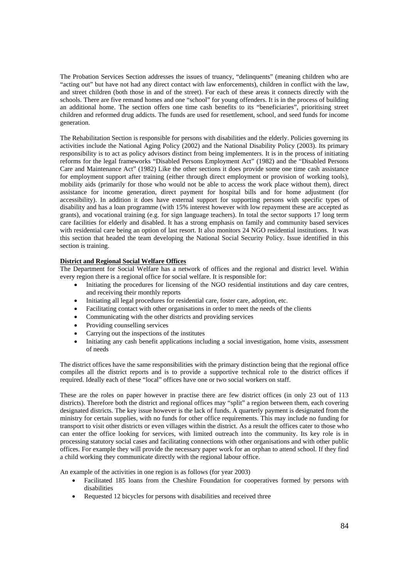The Probation Services Section addresses the issues of truancy, "delinquents" (meaning children who are "acting out" but have not had any direct contact with law enforcements), children in conflict with the law, and street children (both those in and of the street). For each of these areas it connects directly with the schools. There are five remand homes and one "school" for young offenders. It is in the process of building an additional home. The section offers one time cash benefits to its "beneficiaries", prioritising street children and reformed drug addicts. The funds are used for resettlement, school, and seed funds for income generation.

The Rehabilitation Section is responsible for persons with disabilities and the elderly. Policies governing its activities include the National Aging Policy (2002) and the National Disability Policy (2003). Its primary responsibility is to act as policy advisors distinct from being implementers. It is in the process of initiating reforms for the legal frameworks "Disabled Persons Employment Act" (1982) and the "Disabled Persons Care and Maintenance Act" (1982) Like the other sections it does provide some one time cash assistance for employment support after training (either through direct employment or provision of working tools), mobility aids (primarily for those who would not be able to access the work place without them), direct assistance for income generation, direct payment for hospital bills and for home adjustment (for accessibility). In addition it does have external support for supporting persons with specific types of disability and has a loan programme (with 15% interest however with low repayment these are accepted as grants), and vocational training (e.g. for sign language teachers). In total the sector supports 17 long term care facilities for elderly and disabled. It has a strong emphasis on family and community based services with residential care being an option of last resort. It also monitors 24 NGO residential institutions. It was this section that headed the team developing the National Social Security Policy. Issue identified in this section is training.

#### **District and Regional Social Welfare Offices**

The Department for Social Welfare has a network of offices and the regional and district level. Within every region there is a regional office for social welfare. It is responsible for:

- Initiating the procedures for licensing of the NGO residential institutions and day care centres, and receiving their monthly reports
- Initiating all legal procedures for residential care, foster care, adoption, etc.
- Facilitating contact with other organisations in order to meet the needs of the clients
- Communicating with the other districts and providing services
- Providing counselling services
- Carrying out the inspections of the institutes
- Initiating any cash benefit applications including a social investigation, home visits, assessment of needs

The district offices have the same responsibilities with the primary distinction being that the regional office compiles all the district reports and is to provide a supportive technical role to the district offices if required. Ideally each of these "local" offices have one or two social workers on staff.

These are the roles on paper however in practise there are few district offices (in only 23 out of 113 districts). Therefore both the district and regional offices may "split" a region between them, each covering designated districts. The key issue however is the lack of funds. A quarterly payment is designated from the ministry for certain supplies, with no funds for other office requirements. This may include no funding for transport to visit other districts or even villages within the district. As a result the offices cater to those who can enter the office looking for services, with limited outreach into the community. Its key role is in processing statutory social cases and facilitating connections with other organisations and with other public offices. For example they will provide the necessary paper work for an orphan to attend school. If they find a child working they communicate directly with the regional labour office.

An example of the activities in one region is as follows (for year 2003)

- Facilitated 185 loans from the Cheshire Foundation for cooperatives formed by persons with disabilities
- Requested 12 bicycles for persons with disabilities and received three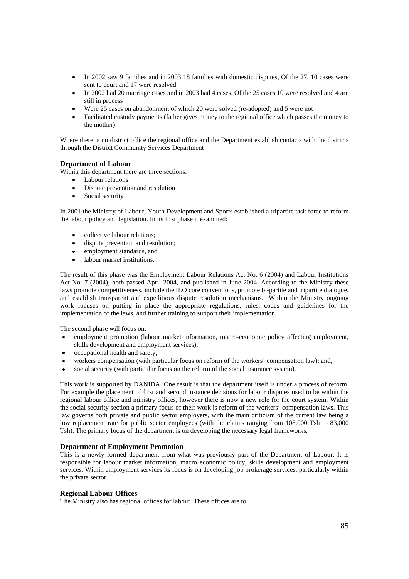- In 2002 saw 9 families and in 2003 18 families with domestic disputes, Of the 27, 10 cases were sent to court and 17 were resolved
- In 2002 had 20 marriage cases and in 2003 had 4 cases. Of the 25 cases 10 were resolved and 4 are still in process
- Were 25 cases on abandonment of which 20 were solved (re-adopted) and 5 were not
- Facilitated custody payments (father gives money to the regional office which passes the money to the mother)

Where there is no district office the regional office and the Department establish contacts with the districts through the District Community Services Department

#### **Department of Labour**

Within this department there are three sections:

- Labour relations
- Dispute prevention and resolution
- Social security

In 2001 the Ministry of Labour, Youth Development and Sports established a tripartite task force to reform the labour policy and legislation. In its first phase it examined:

- collective labour relations;
- dispute prevention and resolution;
- employment standards, and
- labour market institutions.

The result of this phase was the Employment Labour Relations Act No. 6 (2004) and Labour Institutions Act No. 7 (2004), both passed April 2004, and published in June 2004. According to the Ministry these laws promote competitiveness, include the ILO core conventions, promote bi-partite and tripartite dialogue, and establish transparent and expeditious dispute resolution mechanisms. Within the Ministry ongoing work focuses on putting in place the appropriate regulations, rules, codes and guidelines for the implementation of the laws, and further training to support their implementation.

The second phase will focus on:

- employment promotion (labour market information, macro-economic policy affecting employment, skills development and employment services);
- occupational health and safety;
- workers compensation (with particular focus on reform of the workers' compensation law); and,
- social security (with particular focus on the reform of the social insurance system).

This work is supported by DANIDA. One result is that the department itself is under a process of reform. For example the placement of first and second instance decisions for labour disputes used to be within the regional labour office and ministry offices, however there is now a new role for the court system. Within the social security section a primary focus of their work is reform of the workers' compensation laws. This law governs both private and public sector employers, with the main criticism of the current law being a low replacement rate for public sector employees (with the claims ranging from 108,000 Tsh to 83,000 Tsh). The primary focus of the department is on developing the necessary legal frameworks.

#### **Department of Employment Promotion**

This is a newly formed department from what was previously part of the Department of Labour. It is responsible for labour market information, macro economic policy, skills development and employment services. Within employment services its focus is on developing job brokerage services, particularly within the private sector.

#### **Regional Labour Offices**

The Ministry also has regional offices for labour. These offices are to: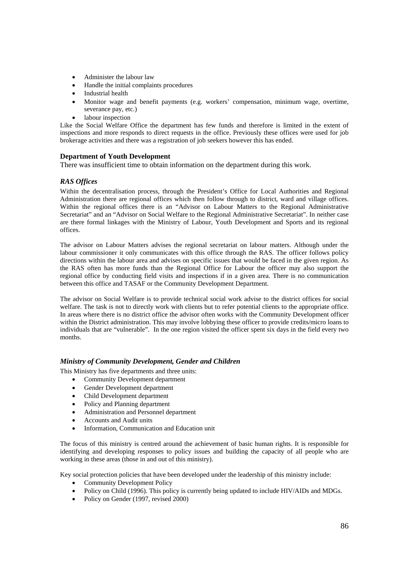- Administer the labour law
- Handle the initial complaints procedures
- Industrial health
- Monitor wage and benefit payments (e.g. workers' compensation, minimum wage, overtime, severance pay, etc.)
- labour inspection

Like the Social Welfare Office the department has few funds and therefore is limited in the extent of inspections and more responds to direct requests in the office. Previously these offices were used for job brokerage activities and there was a registration of job seekers however this has ended.

#### **Department of Youth Development**

There was insufficient time to obtain information on the department during this work.

#### *RAS Offices*

Within the decentralisation process, through the President's Office for Local Authorities and Regional Administration there are regional offices which then follow through to district, ward and village offices. Within the regional offices there is an "Advisor on Labour Matters to the Regional Administrative Secretariat" and an "Advisor on Social Welfare to the Regional Administrative Secretariat". In neither case are there formal linkages with the Ministry of Labour, Youth Development and Sports and its regional offices.

The advisor on Labour Matters advises the regional secretariat on labour matters. Although under the labour commissioner it only communicates with this office through the RAS. The officer follows policy directions within the labour area and advises on specific issues that would be faced in the given region. As the RAS often has more funds than the Regional Office for Labour the officer may also support the regional office by conducting field visits and inspections if in a given area. There is no communication between this office and TASAF or the Community Development Department.

The advisor on Social Welfare is to provide technical social work advise to the district offices for social welfare. The task is not to directly work with clients but to refer potential clients to the appropriate office. In areas where there is no district office the advisor often works with the Community Development officer within the District administration. This may involve lobbying these officer to provide credits/micro loans to individuals that are "vulnerable". In the one region visited the officer spent six days in the field every two months.

#### *Ministry of Community Development, Gender and Children*

This Ministry has five departments and three units:

- Community Development department
	- Gender Development department
	- Child Development department
	- Policy and Planning department
	- Administration and Personnel department
	- Accounts and Audit units
	- Information, Communication and Education unit

The focus of this ministry is centred around the achievement of basic human rights. It is responsible for identifying and developing responses to policy issues and building the capacity of all people who are working in these areas (those in and out of this ministry).

Key social protection policies that have been developed under the leadership of this ministry include:

- Community Development Policy
- Policy on Child (1996). This policy is currently being updated to include HIV/AIDs and MDGs.
- Policy on Gender (1997, revised 2000)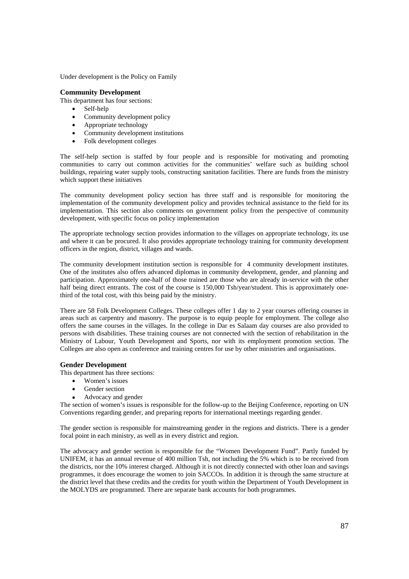Under development is the Policy on Family

#### **Community Development**

This department has four sections:

- Self-help
- Community development policy
- Appropriate technology
- Community development institutions
- Folk development colleges

The self-help section is staffed by four people and is responsible for motivating and promoting communities to carry out common activities for the communities' welfare such as building school buildings, repairing water supply tools, constructing sanitation facilities. There are funds from the ministry which support these initiatives

The community development policy section has three staff and is responsible for monitoring the implementation of the community development policy and provides technical assistance to the field for its implementation. This section also comments on government policy from the perspective of community development, with specific focus on policy implementation

The appropriate technology section provides information to the villages on appropriate technology, its use and where it can be procured. It also provides appropriate technology training for community development officers in the region, district, villages and wards.

The community development institution section is responsible for 4 community development institutes. One of the institutes also offers advanced diplomas in community development, gender, and planning and participation. Approximately one-half of those trained are those who are already in-service with the other half being direct entrants. The cost of the course is 150,000 Tsh/year/student. This is approximately onethird of the total cost, with this being paid by the ministry.

There are 58 Folk Development Colleges. These colleges offer 1 day to 2 year courses offering courses in areas such as carpentry and masonry. The purpose is to equip people for employment. The college also offers the same courses in the villages. In the college in Dar es Salaam day courses are also provided to persons with disabilities. These training courses are not connected with the section of rehabilitation in the Ministry of Labour, Youth Development and Sports, nor with its employment promotion section. The Colleges are also open as conference and training centres for use by other ministries and organisations.

#### **Gender Development**

This department has three sections:

- Women's issues
- Gender section
- Advocacy and gender

The section of women's issues is responsible for the follow-up to the Beijing Conference, reporting on UN Conventions regarding gender, and preparing reports for international meetings regarding gender.

The gender section is responsible for mainstreaming gender in the regions and districts. There is a gender focal point in each ministry, as well as in every district and region.

The advocacy and gender section is responsible for the "Women Development Fund". Partly funded by UNIFEM, it has an annual revenue of 400 million Tsh, not including the 5% which is to be received from the districts, nor the 10% interest charged. Although it is not directly connected with other loan and savings programmes, it does encourage the women to join SACCOs. In addition it is through the same structure at the district level that these credits and the credits for youth within the Department of Youth Development in the MOLYDS are programmed. There are separate bank accounts for both programmes.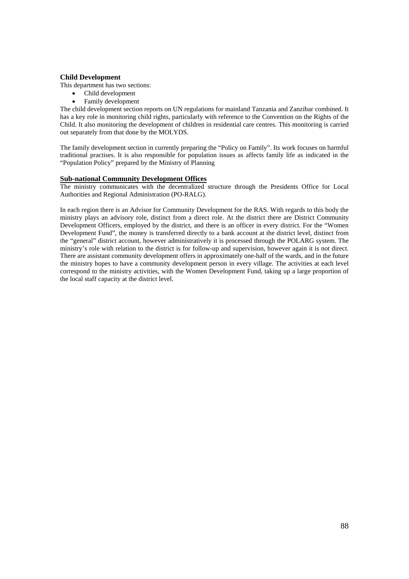### **Child Development**

This department has two sections:

- Child development
- Family development

The child development section reports on UN regulations for mainland Tanzania and Zanzibar combined. It has a key role in monitoring child rights, particularly with reference to the Convention on the Rights of the Child. It also monitoring the development of children in residential care centres. This monitoring is carried out separately from that done by the MOLYDS.

The family development section in currently preparing the "Policy on Family". Its work focuses on harmful traditional practises. It is also responsible for population issues as affects family life as indicated in the "Population Policy" prepared by the Ministry of Planning

### **Sub-national Community Development Offices**

The ministry communicates with the decentralized structure through the Presidents Office for Local Authorities and Regional Administration (PO-RALG).

In each region there is an Advisor for Community Development for the RAS. With regards to this body the ministry plays an advisory role, distinct from a direct role. At the district there are District Community Development Officers, employed by the district, and there is an officer in every district. For the "Women Development Fund", the money is transferred directly to a bank account at the district level, distinct from the "general" district account, however administratively it is processed through the POLARG system. The ministry's role with relation to the district is for follow-up and supervision, however again it is not direct. There are assistant community development offers in approximately one-half of the wards, and in the future the ministry hopes to have a community development person in every village. The activities at each level correspond to the ministry activities, with the Women Development Fund, taking up a large proportion of the local staff capacity at the district level.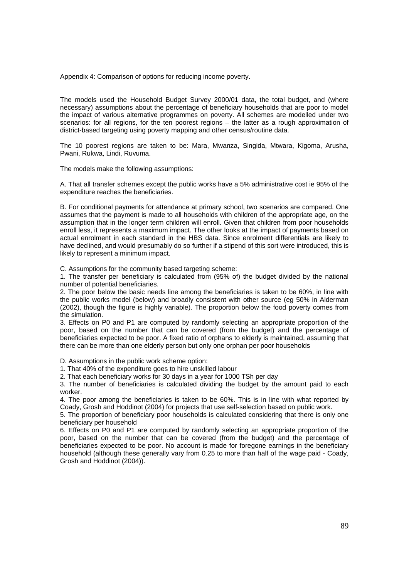Appendix 4: Comparison of options for reducing income poverty.

The models used the Household Budget Survey 2000/01 data, the total budget, and (where necessary) assumptions about the percentage of beneficiary households that are poor to model the impact of various alternative programmes on poverty. All schemes are modelled under two scenarios: for all regions, for the ten poorest regions – the latter as a rough approximation of district-based targeting using poverty mapping and other census/routine data.

The 10 poorest regions are taken to be: Mara, Mwanza, Singida, Mtwara, Kigoma, Arusha, Pwani, Rukwa, Lindi, Ruvuma.

The models make the following assumptions:

A. That all transfer schemes except the public works have a 5% administrative cost ie 95% of the expenditure reaches the beneficiaries.

B. For conditional payments for attendance at primary school, two scenarios are compared. One assumes that the payment is made to all households with children of the appropriate age, on the assumption that in the longer term children will enroll. Given that children from poor households enroll less, it represents a maximum impact. The other looks at the impact of payments based on actual enrolment in each standard in the HBS data. Since enrolment differentials are likely to have declined, and would presumably do so further if a stipend of this sort were introduced, this is likely to represent a minimum impact.

C. Assumptions for the community based targeting scheme:

1. The transfer per beneficiary is calculated from (95% of) the budget divided by the national number of potential beneficiaries.

2. The poor below the basic needs line among the beneficiaries is taken to be 60%, in line with the public works model (below) and broadly consistent with other source (eg 50% in Alderman (2002), though the figure is highly variable). The proportion below the food poverty comes from the simulation.

3. Effects on P0 and P1 are computed by randomly selecting an appropriate proportion of the poor, based on the number that can be covered (from the budget) and the percentage of beneficiaries expected to be poor. A fixed ratio of orphans to elderly is maintained, assuming that there can be more than one elderly person but only one orphan per poor households

D. Assumptions in the public work scheme option:

1. That 40% of the expenditure goes to hire unskilled labour

2. That each beneficiary works for 30 days in a year for 1000 TSh per day

3. The number of beneficiaries is calculated dividing the budget by the amount paid to each worker.

4. The poor among the beneficiaries is taken to be 60%. This is in line with what reported by Coady, Grosh and Hoddinot (2004) for projects that use self-selection based on public work.

5. The proportion of beneficiary poor households is calculated considering that there is only one beneficiary per household

6. Effects on P0 and P1 are computed by randomly selecting an appropriate proportion of the poor, based on the number that can be covered (from the budget) and the percentage of beneficiaries expected to be poor. No account is made for foregone earnings in the beneficiary household (although these generally vary from 0.25 to more than half of the wage paid - Coady, Grosh and Hoddinot (2004)).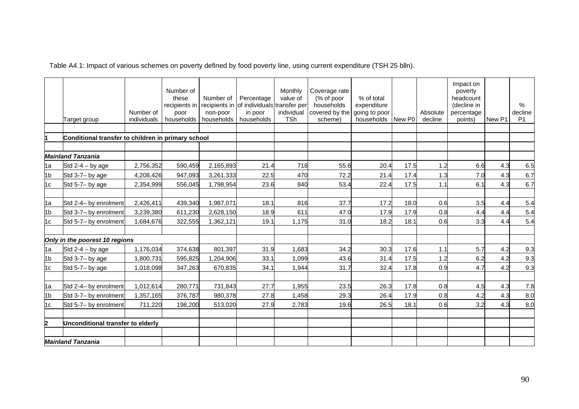Table A4.1: Impact of various schemes on poverty defined by food poverty line, using current expenditure (TSH 25 blln).

|                         |                                                    | Number of   | Number of<br>these<br>recipients in<br>poor | Number of<br>non-poor | Percentage<br>recipients in of individuals transfer per<br>in poor | Monthly<br>value of<br>individual | Coverage rate<br>$%$ of poor<br>households<br>covered by the going to poor | % of total<br>expenditure |                    | Absolute | Impact on<br>poverty<br>headcount<br>(decline in<br>percentage |        | $\%$<br>decline |
|-------------------------|----------------------------------------------------|-------------|---------------------------------------------|-----------------------|--------------------------------------------------------------------|-----------------------------------|----------------------------------------------------------------------------|---------------------------|--------------------|----------|----------------------------------------------------------------|--------|-----------------|
|                         | Target group                                       | individuals | households                                  | households            | households                                                         | TSh                               | scheme)                                                                    | households                | New P <sub>0</sub> | decline  | points)                                                        | New P1 | P <sub>1</sub>  |
|                         |                                                    |             |                                             |                       |                                                                    |                                   |                                                                            |                           |                    |          |                                                                |        |                 |
|                         | Conditional transfer to children in primary school |             |                                             |                       |                                                                    |                                   |                                                                            |                           |                    |          |                                                                |        |                 |
|                         |                                                    |             |                                             |                       |                                                                    |                                   |                                                                            |                           |                    |          |                                                                |        |                 |
|                         | <b>Mainland Tanzania</b>                           |             |                                             |                       |                                                                    |                                   |                                                                            |                           |                    |          |                                                                |        |                 |
| 1a                      | Std $2-4 - by age$                                 | 2,756,352   | 590,459                                     | 2,165,893             | 21.4                                                               | 718                               | 55.6                                                                       | 20.4                      | 17.5               | 1.2      | 6.6                                                            | 4.3    | 6.5             |
| 1 <sub>b</sub>          | Std 3-7- by age                                    | 4,208,426   | 947,093                                     | 3,261,333             | 22.5                                                               | 470                               | 72.2                                                                       | 21.4                      | 17.4               | 1.3      | 7.0                                                            | 4.3    | 6.7             |
| 1c                      | Std 5-7- by age                                    | 2,354,999   | 556,045                                     | 1,798,954             | 23.6                                                               | 840                               | 53.4                                                                       | 22.4                      | 17.5               | 1.1      | 6.1                                                            | 4.3    | 6.7             |
|                         |                                                    |             |                                             |                       |                                                                    |                                   |                                                                            |                           |                    |          |                                                                |        |                 |
| 1a                      | Std 2-4- by enrolment                              | 2,426,411   | 439,340                                     | 1,987,071             | 18.1                                                               | 816                               | 37.7                                                                       | 17.2                      | 18.0               | 0.6      | 3.5                                                            | 4.4    | 5.4             |
| 1 <sub>b</sub>          | Std 3-7- by enrolment                              | 3,239,380   | 611,230                                     | 2,628,150             | 18.9                                                               | 611                               | 47.0                                                                       | 17.9                      | 17.9               | 0.8      | 4.4                                                            | 4.4    | 5.4             |
| 1c                      | Std 5-7- by enrolment                              | 1,684,676   | 322,555                                     | 1,362,121             | 19.1                                                               | 1,175                             | 31.0                                                                       | 18.2                      | 18.7               | 0.6      | 3.3                                                            | 4.4    | 5.4             |
|                         | Only in the poorest 10 regions                     |             |                                             |                       |                                                                    |                                   |                                                                            |                           |                    |          |                                                                |        |                 |
| 1a                      | Std $2-4 - by age$                                 | 1,176,034   | 374,638                                     | 801,397               | 31.9                                                               | 1,683                             | 34.2                                                                       | 30.3                      | 17.6               | 1.1      | 5.7                                                            | 4.2    | 9.3             |
| 1 <sub>b</sub>          | Std 3-7- by age                                    | 1,800,731   | 595,825                                     | 1,204,906             | 33.1                                                               | 1,099                             | 43.6                                                                       | 31.4                      | 17.5               | 1.2      | 6.2                                                            | 4.2    | 9.3             |
| 1c                      | Std 5-7- by age                                    | 1,018,098   | 347,263                                     | 670,835               | 34.1                                                               | 1,944                             | 31.7                                                                       | 32.4                      | 17.8               | 0.9      | 4.7                                                            | 4.2    | 9.3             |
|                         |                                                    |             |                                             |                       |                                                                    |                                   |                                                                            |                           |                    |          |                                                                |        |                 |
| 1a                      | Std 2-4- by enrolment                              | 1,012,614   | 280,771                                     | 731,843               | 27.7                                                               | 1,955                             | 23.5                                                                       | 26.3                      | 17.8               | 0.8      | 4.5                                                            | 4.3    | 7.8             |
| 1 <sub>b</sub>          | Std 3-7- by enrolment                              | 1,357,165   | 376,787                                     | 980,378               | 27.8                                                               | 1,458                             | 29.3                                                                       | 26.4                      | 17.9               | 0.8      | 4.2                                                            | 4.3    | 8.0             |
| 1c                      | Std 5-7- by enrolment                              | 711,220     | 198,200                                     | 513,020               | 27.9                                                               | 2,783                             | 19.6                                                                       | 26.5                      | 18.1               | 0.6      | 3.2                                                            | 4.3    | 8.0             |
| $\overline{\mathbf{2}}$ | Unconditional transfer to elderly                  |             |                                             |                       |                                                                    |                                   |                                                                            |                           |                    |          |                                                                |        |                 |
|                         | <b>Mainland Tanzania</b>                           |             |                                             |                       |                                                                    |                                   |                                                                            |                           |                    |          |                                                                |        |                 |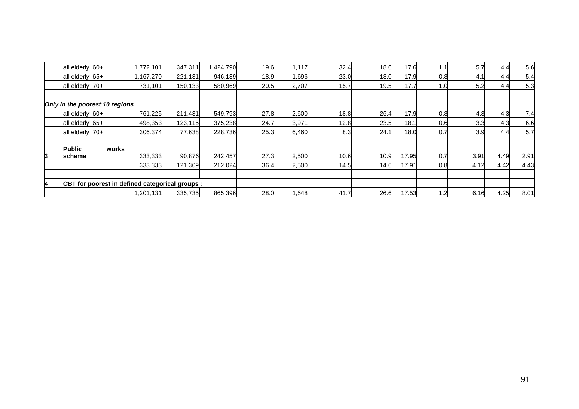|   | all elderly: 60+                                | 1,772,101 | 347,311 | 1,424,790 | 19.6 | 1,117 | 32.4 | 18.6 | 17.6  | ا1. ، | 5.7  | 4.4  | 5.6  |
|---|-------------------------------------------------|-----------|---------|-----------|------|-------|------|------|-------|-------|------|------|------|
|   | all elderly: 65+                                | 1,167,270 | 221,131 | 946,139   | 18.9 | 1,696 | 23.0 | 18.0 | 17.9  | 0.8   | 4.1  | 4.4  | 5.4  |
|   | all elderly: 70+                                | 731,101   | 150,133 | 580,969   | 20.5 | 2,707 | 15.7 | 19.5 | 17.7  |       | 5.2  | 4.4  | 5.3  |
|   |                                                 |           |         |           |      |       |      |      |       |       |      |      |      |
|   | Only in the poorest 10 regions                  |           |         |           |      |       |      |      |       |       |      |      |      |
|   | all elderly: 60+                                | 761,225   | 211,431 | 549,793   | 27.8 | 2,600 | 18.8 | 26.4 | 17.9  | 0.8   | 4.3  | 4.3  | 7.4  |
|   | all elderly: 65+                                | 498,353   | 123,115 | 375,238   | 24.7 | 3,971 | 12.8 | 23.5 | 18.7  | 0.6   | 3.3  | 4.3  | 6.6  |
|   | all elderly: 70+                                | 306,374   | 77,638  | 228,736   | 25.3 | 6,460 | 8.3  | 24.1 | 18.0  | 0.7   | 3.9  | 4.4  | 5.7  |
|   | <b>Public</b><br>works                          |           |         |           |      |       |      |      |       |       |      |      |      |
| 3 | <b>scheme</b>                                   | 333,333   | 90.876  | 242.457   | 27.3 | 2,500 | 10.6 | 10.9 | 17.95 | 0.7   | 3.91 | 4.49 | 2.91 |
|   |                                                 | 333,333   | 121,309 | 212,024   | 36.4 | 2,500 | 14.5 | 14.6 | 17.91 | 0.8   | 4.12 | 4.42 | 4.43 |
|   |                                                 |           |         |           |      |       |      |      |       |       |      |      |      |
| 4 | CBT for poorest in defined categorical groups : |           |         |           |      |       |      |      |       |       |      |      |      |
|   |                                                 | 1,201,131 | 335,735 | 865,396   | 28.0 | 1,648 | 41.7 | 26.6 | 17.53 | .2    | 6.16 | 4.25 | 8.01 |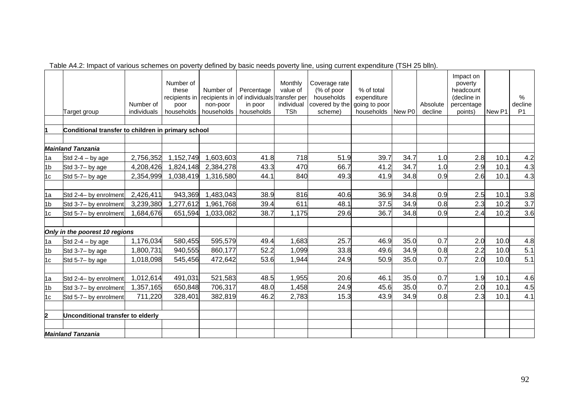|                         | Target group                                       | Number of<br>individuals | Number of<br>these<br>recipients in<br>poor<br>households | Number of<br>recipients in<br>non-poor<br>households | Percentage<br>of individuals transfer per<br>in poor<br>households | Monthly<br>value of<br>individual<br><b>TSh</b> | Coverage rate<br>(% of poor<br>households<br>covered by the going to poor<br>scheme) | % of total<br>expenditure<br>households | New P0 | Absolute<br>decline | Impact on<br>poverty<br>headcount<br>(decline in<br>percentage<br>points) | New P1 | %<br>decline<br>P <sub>1</sub> |
|-------------------------|----------------------------------------------------|--------------------------|-----------------------------------------------------------|------------------------------------------------------|--------------------------------------------------------------------|-------------------------------------------------|--------------------------------------------------------------------------------------|-----------------------------------------|--------|---------------------|---------------------------------------------------------------------------|--------|--------------------------------|
|                         | Conditional transfer to children in primary school |                          |                                                           |                                                      |                                                                    |                                                 |                                                                                      |                                         |        |                     |                                                                           |        |                                |
|                         |                                                    |                          |                                                           |                                                      |                                                                    |                                                 |                                                                                      |                                         |        |                     |                                                                           |        |                                |
|                         | <b>Mainland Tanzania</b>                           |                          |                                                           |                                                      |                                                                    |                                                 |                                                                                      |                                         |        |                     |                                                                           |        |                                |
| 1a                      | Std $2-4 - by age$                                 | 2,756,352                | 1,152,749                                                 | 1,603,603                                            | 41.8                                                               | 718                                             | 51.9                                                                                 | 39.7                                    | 34.7   | 1.0                 | 2.8                                                                       | 10.1   | 4.2                            |
| 1 <sub>b</sub>          | Std 3-7- by age                                    | 4,208,426                | 1,824,148                                                 | 2,384,278                                            | 43.3                                                               | 470                                             | 66.7                                                                                 | 41.2                                    | 34.7   | 1.0                 | 2.9                                                                       | 10.1   | 4.3                            |
| 1c                      | Std 5-7- by age                                    | 2,354,999                | 1,038,419                                                 | 1,316,580                                            | 44.1                                                               | 840                                             | 49.3                                                                                 | 41.9                                    | 34.8   | 0.9                 | 2.6                                                                       | 10.1   | 4.3                            |
|                         |                                                    |                          |                                                           |                                                      |                                                                    |                                                 |                                                                                      |                                         |        |                     |                                                                           |        |                                |
| 1a                      | Std 2-4- by enrolment                              | 2,426,411                | 943,369                                                   | 1,483,043                                            | 38.9                                                               | 816                                             | 40.6                                                                                 | 36.9                                    | 34.8   | 0.9                 | 2.5                                                                       | 10.1   | 3.8                            |
| 1 <sub>b</sub>          | Std 3-7- by enrolment                              | 3,239,380                | 1,277,612                                                 | 1,961,768                                            | 39.4                                                               | 611                                             | 48.1                                                                                 | 37.5                                    | 34.9   | 0.8                 | 2.3                                                                       | 10.2   | 3.7                            |
| 1c                      | Std 5-7- by enrolment                              | 1,684,676                | 651,594                                                   | 1,033,082                                            | 38.7                                                               | 1,175                                           | 29.6                                                                                 | 36.7                                    | 34.8   | 0.9                 | 2.4                                                                       | 10.2   | 3.6                            |
|                         |                                                    |                          |                                                           |                                                      |                                                                    |                                                 |                                                                                      |                                         |        |                     |                                                                           |        |                                |
|                         | Only in the poorest 10 regions                     |                          |                                                           |                                                      |                                                                    |                                                 |                                                                                      |                                         |        |                     |                                                                           |        |                                |
| 1a                      | Std $2-4 - by age$                                 | 1,176,034                | 580,455                                                   | 595,579                                              | 49.4                                                               | 1,683                                           | 25.7                                                                                 | 46.9                                    | 35.0   | 0.7                 | 2.0                                                                       | 10.0   | 4.8                            |
| 1 <sub>b</sub>          | Std 3-7- by age                                    | 1,800,731                | 940,555                                                   | 860,177                                              | 52.2                                                               | 1,099                                           | 33.8                                                                                 | 49.6                                    | 34.9   | 0.8                 | 2.2                                                                       | 10.0   | 5.1                            |
| 1 <sub>c</sub>          | Std 5-7- by age                                    | 1,018,098                | 545,456                                                   | 472,642                                              | 53.6                                                               | 1,944                                           | 24.9                                                                                 | 50.9                                    | 35.0   | 0.7                 | 2.0                                                                       | 10.0   | 5.1                            |
|                         |                                                    |                          |                                                           |                                                      |                                                                    |                                                 |                                                                                      |                                         |        |                     |                                                                           |        |                                |
| 1a                      | Std 2-4- by enrolment                              | 1,012,614                | 491,031                                                   | 521,583                                              | 48.5                                                               | 1,955                                           | 20.6                                                                                 | 46.1                                    | 35.0   | 0.7                 | 1.9                                                                       | 10.1   | 4.6                            |
| 1 <sub>b</sub>          | Std 3-7- by enrolment                              | 1,357,165                | 650,848                                                   | 706,317                                              | 48.0                                                               | 1,458                                           | 24.9                                                                                 | 45.6                                    | 35.0   | 0.7                 | 2.0                                                                       | 10.1   | 4.5                            |
| 1c                      | Std 5-7- by enrolment                              | 711,220                  | 328,401                                                   | 382,819                                              | 46.2                                                               | 2,783                                           | 15.3                                                                                 | 43.9                                    | 34.9   | 0.8                 | 2.3                                                                       | 10.1   | 4.1                            |
|                         |                                                    |                          |                                                           |                                                      |                                                                    |                                                 |                                                                                      |                                         |        |                     |                                                                           |        |                                |
| $\overline{\mathbf{2}}$ | Unconditional transfer to elderly                  |                          |                                                           |                                                      |                                                                    |                                                 |                                                                                      |                                         |        |                     |                                                                           |        |                                |
|                         |                                                    |                          |                                                           |                                                      |                                                                    |                                                 |                                                                                      |                                         |        |                     |                                                                           |        |                                |
|                         | <b>Mainland Tanzania</b>                           |                          |                                                           |                                                      |                                                                    |                                                 |                                                                                      |                                         |        |                     |                                                                           |        |                                |

Table A4.2: Impact of various schemes on poverty defined by basic needs poverty line, using current expenditure (TSH 25 blln).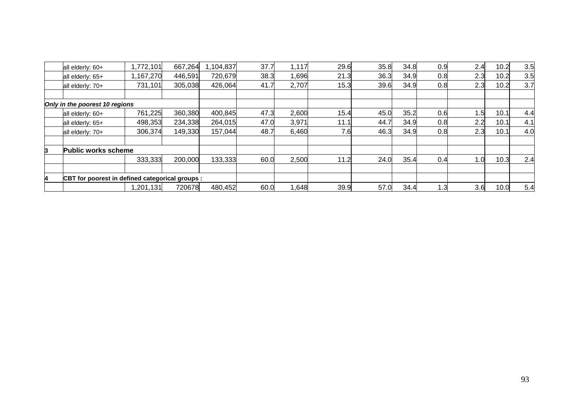|   | all elderly: 60+                                | ,772,101    | 667,264 | 1,104,837 | 37.7 | 1,117 | 29.6 | 35.8 | 34.8 | 0.9 | 2.4 | 10.2 | 3.5 |
|---|-------------------------------------------------|-------------|---------|-----------|------|-------|------|------|------|-----|-----|------|-----|
|   | all elderly: 65+                                | ,167,270    | 446,591 | 720,679   | 38.3 | 1,696 | 21.3 | 36.3 | 34.9 | 0.8 | 2.3 | 10.2 | 3.5 |
|   | all elderly: 70+                                | 731,101     | 305,038 | 426,064   | 41.7 | 2,707 | 15.3 | 39.6 | 34.9 | 0.8 | 2.3 | 10.2 | 3.7 |
|   |                                                 |             |         |           |      |       |      |      |      |     |     |      |     |
|   | Only in the poorest 10 regions                  |             |         |           |      |       |      |      |      |     |     |      |     |
|   | all elderly: 60+                                | 761,225     | 360,380 | 400,845   | 47.3 | 2,600 | 15.4 | 45.0 | 35.2 | 0.6 | 1.5 | 10.1 | 4.4 |
|   | all elderly: 65+                                | 498,353     | 234,338 | 264,015   | 47.0 | 3,971 | 11.1 | 44.7 | 34.9 | 0.8 | 2.2 | 10.1 | 4.1 |
|   | all elderly: 70+                                | 306,374     | 149,330 | 157,044   | 48.7 | 6,460 | 7.6  | 46.3 | 34.9 | 0.8 | 2.3 | 10.1 | 4.0 |
| 3 | <b>Public works scheme</b>                      |             |         |           |      |       |      |      |      |     |     |      |     |
|   |                                                 | 333,333     | 200,000 | 133,333   | 60.0 | 2,500 | 11.2 | 24.0 | 35.4 | 0.4 | 1.0 | 10.3 | 2.4 |
|   |                                                 |             |         |           |      |       |      |      |      |     |     |      |     |
| 4 | CBT for poorest in defined categorical groups : |             |         |           |      |       |      |      |      |     |     |      |     |
|   |                                                 | 201,131. 20 | 720678  | 480,452   | 60.0 | 1,648 | 39.9 | 57.0 | 34.4 | . З | 3.6 | 10.0 | 5.4 |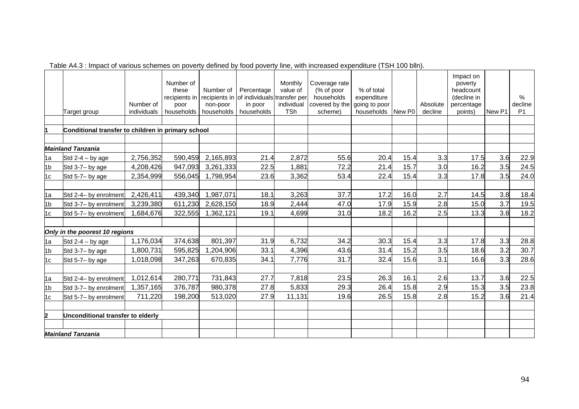|                         | Target group                                       | Number of<br>individuals | Number of<br>these<br>recipients in<br>poor<br>households | Number of<br>recipients in<br>non-poor<br>households | Percentage<br>of individuals transfer per<br>in poor<br>households | Monthly<br>value of<br>individual<br><b>TSh</b> | Coverage rate<br>(% of poor<br>households<br>covered by the<br>scheme) | % of total<br>expenditure<br>going to poor<br>households | New P0 | Absolute<br>decline | Impact on<br>poverty<br>headcount<br>(decline in<br>percentage<br>points) | New P1 | $\%$<br>decline<br>P <sub>1</sub> |
|-------------------------|----------------------------------------------------|--------------------------|-----------------------------------------------------------|------------------------------------------------------|--------------------------------------------------------------------|-------------------------------------------------|------------------------------------------------------------------------|----------------------------------------------------------|--------|---------------------|---------------------------------------------------------------------------|--------|-----------------------------------|
|                         | Conditional transfer to children in primary school |                          |                                                           |                                                      |                                                                    |                                                 |                                                                        |                                                          |        |                     |                                                                           |        |                                   |
|                         |                                                    |                          |                                                           |                                                      |                                                                    |                                                 |                                                                        |                                                          |        |                     |                                                                           |        |                                   |
|                         | <b>Mainland Tanzania</b>                           |                          |                                                           |                                                      |                                                                    |                                                 |                                                                        |                                                          |        |                     |                                                                           |        |                                   |
| 1a                      | Std $2-4 - by age$                                 | 2,756,352                | 590,459                                                   | 2,165,893                                            | 21.4                                                               | 2,872                                           | 55.6                                                                   | 20.4                                                     | 15.4   | 3.3                 | 17.5                                                                      | 3.6    | 22.9                              |
| 1 <sub>b</sub>          | Std 3-7- by age                                    | 4,208,426                | 947,093                                                   | 3,261,333                                            | 22.5                                                               | 1,881                                           | 72.2                                                                   | 21.4                                                     | 15.7   | 3.0                 | 16.2                                                                      | 3.5    | 24.5                              |
| 1 <sub>c</sub>          | Std 5-7- by age                                    | 2,354,999                | 556,045                                                   | 1,798,954                                            | 23.6                                                               | 3,362                                           | 53.4                                                                   | 22.4                                                     | 15.4   | 3.3                 | 17.8                                                                      | 3.5    | 24.0                              |
|                         |                                                    |                          |                                                           |                                                      |                                                                    |                                                 |                                                                        |                                                          |        |                     |                                                                           |        |                                   |
| 1a                      | Std 2-4- by enrolment                              | 2,426,411                | 439,340                                                   | 1,987,071                                            | 18.1                                                               | 3,263                                           | 37.7                                                                   | 17.2                                                     | 16.0   | 2.7                 | 14.5                                                                      | 3.8    | 18.4                              |
| 1 <sub>b</sub>          | Std 3-7- by enrolment                              | 3,239,380                | 611,230                                                   | 2,628,150                                            | 18.9                                                               | 2,444                                           | 47.0                                                                   | 17.9                                                     | 15.9   | 2.8                 | 15.0                                                                      | 3.7    | 19.5                              |
| 1 <sub>c</sub>          | Std 5-7- by enrolment                              | 1,684,676                | 322,555                                                   | 1,362,121                                            | 19.1                                                               | 4,699                                           | 31.0                                                                   | 18.2                                                     | 16.2   | 2.5                 | 13.3                                                                      | 3.8    | 18.2                              |
|                         |                                                    |                          |                                                           |                                                      |                                                                    |                                                 |                                                                        |                                                          |        |                     |                                                                           |        |                                   |
|                         | Only in the poorest 10 regions                     |                          |                                                           |                                                      |                                                                    |                                                 |                                                                        |                                                          |        |                     |                                                                           |        |                                   |
| 1a                      | Std $2-4 - by age$                                 | 1,176,034                | 374,638                                                   | 801,397                                              | 31.9                                                               | 6,732                                           | 34.2                                                                   | 30.3                                                     | 15.4   | 3.3                 | 17.8                                                                      | 3.3    | 28.8                              |
| 1 <sub>b</sub>          | Std 3-7- by age                                    | 1,800,731                | 595,825                                                   | 1,204,906                                            | 33.1                                                               | 4,396                                           | 43.6                                                                   | 31.4                                                     | 15.2   | 3.5                 | 18.6                                                                      | 3.2    | 30.7                              |
| 1c                      | Std 5-7- by age                                    | 1,018,098                | 347,263                                                   | 670,835                                              | 34.1                                                               | 7,776                                           | 31.7                                                                   | 32.4                                                     | 15.6   | 3.1                 | 16.6                                                                      | 3.3    | 28.6                              |
|                         |                                                    |                          |                                                           |                                                      |                                                                    |                                                 |                                                                        |                                                          |        |                     |                                                                           |        |                                   |
| 1a                      | Std 2-4- by enrolment                              | 1,012,614                | 280,771                                                   | 731,843                                              | 27.7                                                               | 7,818                                           | 23.5                                                                   | 26.3                                                     | 16.1   | 2.6                 | 13.7                                                                      | 3.6    | 22.5                              |
| 1 <sub>b</sub>          | Std 3-7- by enrolment                              | 1,357,165                | 376,787                                                   | 980,378                                              | 27.8                                                               | 5,833                                           | 29.3                                                                   | 26.4                                                     | 15.8   | 2.9                 | 15.3                                                                      | 3.5    | 23.8                              |
| 1c                      | Std 5-7- by enrolment                              | 711,220                  | 198,200                                                   | 513,020                                              | 27.9                                                               | 11,131                                          | 19.6                                                                   | 26.5                                                     | 15.8   | 2.8                 | 15.2                                                                      | 3.6    | 21.4                              |
|                         |                                                    |                          |                                                           |                                                      |                                                                    |                                                 |                                                                        |                                                          |        |                     |                                                                           |        |                                   |
| $\overline{\mathbf{2}}$ | Unconditional transfer to elderly                  |                          |                                                           |                                                      |                                                                    |                                                 |                                                                        |                                                          |        |                     |                                                                           |        |                                   |
|                         |                                                    |                          |                                                           |                                                      |                                                                    |                                                 |                                                                        |                                                          |        |                     |                                                                           |        |                                   |
|                         | <b>Mainland Tanzania</b>                           |                          |                                                           |                                                      |                                                                    |                                                 |                                                                        |                                                          |        |                     |                                                                           |        |                                   |

Table A4.3 : Impact of various schemes on poverty defined by food poverty line, with increased expenditure (TSH 100 blln).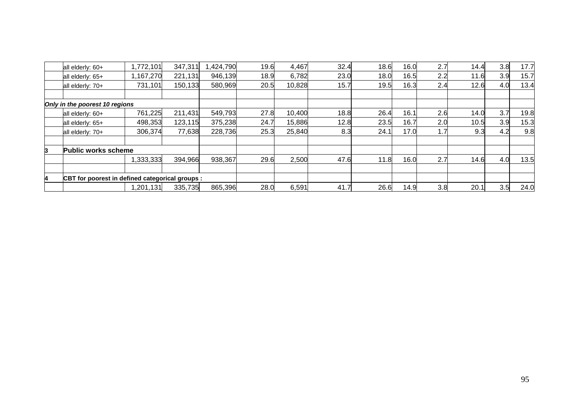|   | all elderly: 60+                                | ,772,101    | 347,311 | ,424,790 | 19.6 | 4,467  | 32.4 | 18.6 | 16.0 | 2.7       | 14.4 | 3.8 | 17.7 |
|---|-------------------------------------------------|-------------|---------|----------|------|--------|------|------|------|-----------|------|-----|------|
|   | all elderly: 65+                                | ,167,270    | 221,131 | 946,139  | 18.9 | 6,782  | 23.0 | 18.0 | 16.5 | 2.2       | 11.6 | 3.9 | 15.7 |
|   | all elderly: 70+                                | 731,101     | 150,133 | 580,969  | 20.5 | 10,828 | 15.7 | 19.5 | 16.3 | 2.4       | 12.6 | 4.0 | 13.4 |
|   |                                                 |             |         |          |      |        |      |      |      |           |      |     |      |
|   | Only in the poorest 10 regions                  |             |         |          |      |        |      |      |      |           |      |     |      |
|   | all elderly: 60+                                | 761,225     | 211,431 | 549,793  | 27.8 | 10,400 | 18.8 | 26.4 | 16.1 | 2.6       | 14.0 | 3.7 | 19.8 |
|   | all elderly: 65+                                | 498,353     | 123,115 | 375,238  | 24.7 | 15,886 | 12.8 | 23.5 | 16.7 | 2.0       | 10.5 | 3.9 | 15.3 |
|   | all elderly: 70+                                | 306,374     | 77,638  | 228,736  | 25.3 | 25,840 | 8.3  | 24.1 | 17.0 | <b>L.</b> | 9.3  | 4.2 | 9.8  |
| 3 | <b>Public works scheme</b>                      |             |         |          |      |        |      |      |      |           |      |     |      |
|   |                                                 | 1,333,333   | 394,966 | 938,367  | 29.6 | 2,500  | 47.6 | 11.8 | 16.0 | 2.7       | 14.6 | 4.0 | 13.5 |
|   |                                                 |             |         |          |      |        |      |      |      |           |      |     |      |
| 4 | CBT for poorest in defined categorical groups : |             |         |          |      |        |      |      |      |           |      |     |      |
|   |                                                 | 201,131. 20 | 335,735 | 865,396  | 28.0 | 6,591  | 41.7 | 26.6 | 14.9 | 3.8       | 20.1 | 3.5 | 24.0 |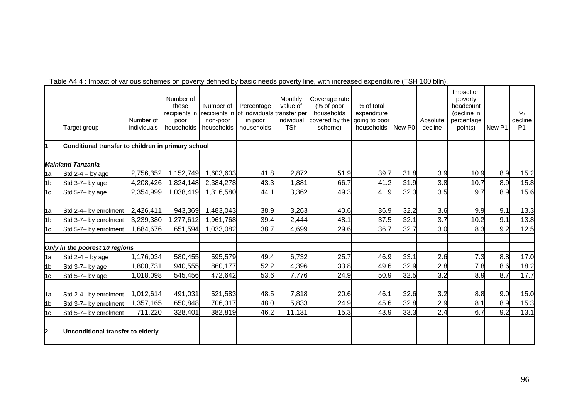|                | Target group                                       | Number of<br>individuals | Number of<br>these<br>recipients in<br>poor<br>households | Number of<br>recipients in<br>non-poor<br>households | Percentage<br>of individuals transfer per<br>in poor<br>households | Monthly<br>value of<br>individual<br><b>TSh</b> | Coverage rate<br>(% of poor<br>households<br>covered by the<br>scheme) | % of total<br>expenditure<br>going to poor<br>households | New P0 | Absolute<br>decline | Impact on<br>poverty<br>headcount<br>(decline in<br>percentage<br>points) | New P1 | $\%$<br>decline<br>P <sub>1</sub> |
|----------------|----------------------------------------------------|--------------------------|-----------------------------------------------------------|------------------------------------------------------|--------------------------------------------------------------------|-------------------------------------------------|------------------------------------------------------------------------|----------------------------------------------------------|--------|---------------------|---------------------------------------------------------------------------|--------|-----------------------------------|
|                | Conditional transfer to children in primary school |                          |                                                           |                                                      |                                                                    |                                                 |                                                                        |                                                          |        |                     |                                                                           |        |                                   |
|                |                                                    |                          |                                                           |                                                      |                                                                    |                                                 |                                                                        |                                                          |        |                     |                                                                           |        |                                   |
|                | <b>Mainland Tanzania</b>                           |                          |                                                           |                                                      |                                                                    |                                                 |                                                                        |                                                          |        |                     |                                                                           |        |                                   |
| 1a             | Std $2-4 - by age$                                 | 2,756,352                | 1,152,749                                                 | 1,603,603                                            | 41.8                                                               | 2,872                                           | 51.9                                                                   | 39.7                                                     | 31.8   | 3.9                 | 10.9                                                                      | 8.9    | 15.2                              |
| 1 <sub>b</sub> | Std 3-7- by age                                    | 4,208,426                | 1,824,148                                                 | 2,384,278                                            | 43.3                                                               | 1,881                                           | 66.7                                                                   | 41.2                                                     | 31.9   | 3.8                 | 10.7                                                                      | 8.9    | 15.8                              |
| 1c             | Std 5-7- by age                                    | 2,354,999                | 1,038,419                                                 | 1,316,580                                            | 44.1                                                               | 3,362                                           | 49.3                                                                   | 41.9                                                     | 32.3   | 3.5                 | 9.7                                                                       | 8.9    | 15.6                              |
|                |                                                    |                          |                                                           |                                                      |                                                                    |                                                 |                                                                        |                                                          |        |                     |                                                                           |        |                                   |
| 1a             | Std 2-4- by enrolment                              | 2,426,411                | 943,369                                                   | 1,483,043                                            | 38.9                                                               | 3,263                                           | 40.6                                                                   | 36.9                                                     | 32.2   | 3.6                 | 9.9                                                                       | 9.1    | 13.3                              |
| 1 <sub>b</sub> | Std 3-7- by enrolment                              | 3,239,380                | 1,277,612                                                 | 1,961,768                                            | 39.4                                                               | 2,444                                           | 48.1                                                                   | 37.5                                                     | 32.1   | 3.7                 | 10.2                                                                      | 9.1    | 13.8                              |
| 1c             | Std 5-7- by enrolment                              | 1,684,676                | 651,594                                                   | 1,033,082                                            | 38.7                                                               | 4,699                                           | 29.6                                                                   | 36.7                                                     | 32.7   | 3.0                 | 8.3                                                                       | 9.2    | 12.5                              |
|                |                                                    |                          |                                                           |                                                      |                                                                    |                                                 |                                                                        |                                                          |        |                     |                                                                           |        |                                   |
|                | Only in the poorest 10 regions                     |                          |                                                           |                                                      |                                                                    |                                                 |                                                                        |                                                          |        |                     |                                                                           |        |                                   |
| 1a             | Std $2-4 - by age$                                 | 1,176,034                | 580,455                                                   | 595,579                                              | 49.4                                                               | 6,732                                           | 25.7                                                                   | 46.9                                                     | 33.1   | 2.6                 | 7.3                                                                       | 8.8    | 17.0                              |
| 1 <sub>b</sub> | Std 3-7- by age                                    | 1,800,731                | 940,555                                                   | 860,177                                              | 52.2                                                               | 4,396                                           | 33.8                                                                   | 49.6                                                     | 32.9   | 2.8                 | 7.8                                                                       | 8.6    | 18.2                              |
| 1c             | Std 5-7- by age                                    | 1,018,098                | 545,456                                                   | 472,642                                              | 53.6                                                               | 7,776                                           | 24.9                                                                   | 50.9                                                     | 32.5   | 3.2                 | 8.9                                                                       | 8.7    | 17.7                              |
|                |                                                    |                          |                                                           |                                                      |                                                                    |                                                 |                                                                        |                                                          |        |                     |                                                                           |        |                                   |
| 1a             | Std 2-4- by enrolment                              | 1,012,614                | 491,031                                                   | 521,583                                              | 48.5                                                               | 7,818                                           | 20.6                                                                   | 46.1                                                     | 32.6   | 3.2                 | 8.8                                                                       | 9.0    | 15.0                              |
| 1 <sub>b</sub> | Std 3-7- by enrolment                              | 1,357,165                | 650,848                                                   | 706,317                                              | 48.0                                                               | 5,833                                           | 24.9                                                                   | 45.6                                                     | 32.8   | 2.9                 | 8.1                                                                       | 8.9    | 15.3                              |
| 1c             | Std 5-7- by enrolment                              | 711,220                  | 328,401                                                   | 382,819                                              | 46.2                                                               | 11,131                                          | 15.3                                                                   | 43.9                                                     | 33.3   | 2.4                 | 6.7                                                                       | 9.2    | 13.1                              |
|                |                                                    |                          |                                                           |                                                      |                                                                    |                                                 |                                                                        |                                                          |        |                     |                                                                           |        |                                   |
| 2              | Unconditional transfer to elderly                  |                          |                                                           |                                                      |                                                                    |                                                 |                                                                        |                                                          |        |                     |                                                                           |        |                                   |
|                |                                                    |                          |                                                           |                                                      |                                                                    |                                                 |                                                                        |                                                          |        |                     |                                                                           |        |                                   |

Table A4.4 : Impact of various schemes on poverty defined by basic needs poverty line, with increased expenditure (TSH 100 blln).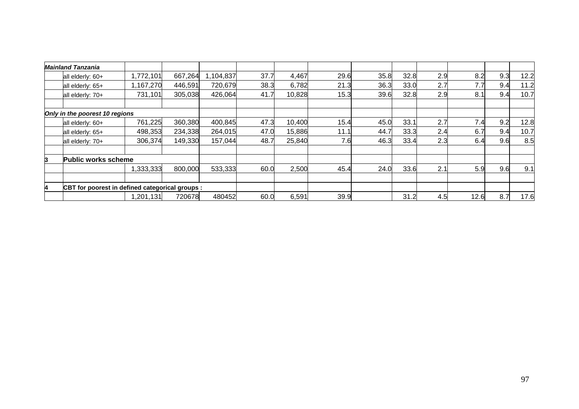|   | <b>Mainland Tanzania</b>                        |           |         |           |      |        |      |      |      |     |      |     |      |
|---|-------------------------------------------------|-----------|---------|-----------|------|--------|------|------|------|-----|------|-----|------|
|   | all elderly: 60+                                | 1,772,101 | 667,264 | 1,104,837 | 37.7 | 4,467  | 29.6 | 35.8 | 32.8 | 2.9 | 8.2  | 9.3 | 12.2 |
|   | all elderly: 65+                                | 1,167,270 | 446,591 | 720,679   | 38.3 | 6,782  | 21.3 | 36.3 | 33.0 | 2.7 | 7.7  | 9.4 | 11.2 |
|   | all elderly: 70+                                | 731,101   | 305,038 | 426,064   | 41.7 | 10,828 | 15.3 | 39.6 | 32.8 | 2.9 | 8.1  | 9.4 | 10.7 |
|   | Only in the poorest 10 regions                  |           |         |           |      |        |      |      |      |     |      |     |      |
|   | all elderly: 60+                                | 761,225   | 360,380 | 400,845   | 47.3 | 10,400 | 15.4 | 45.0 | 33.1 | 2.7 | 7.4  | 9.2 | 12.8 |
|   | all elderly: 65+                                | 498,353   | 234,338 | 264,015   | 47.0 | 15,886 | 11.1 | 44.7 | 33.3 | 2.4 | 6.7  | 9.4 | 10.7 |
|   | all elderly: 70+                                | 306,374   | 149,330 | 157,044   | 48.7 | 25,840 | 7.6  | 46.3 | 33.4 | 2.3 | 6.4  | 9.6 | 8.5  |
| 3 | <b>Public works scheme</b>                      |           |         |           |      |        |      |      |      |     |      |     |      |
|   |                                                 | 1,333,333 | 800,000 | 533,333   | 60.0 | 2,500  | 45.4 | 24.0 | 33.6 | 2.1 | 5.9  | 9.6 | 9.1  |
|   |                                                 |           |         |           |      |        |      |      |      |     |      |     |      |
| 4 | CBT for poorest in defined categorical groups : |           |         |           |      |        |      |      |      |     |      |     |      |
|   |                                                 | 1,201,131 | 720678  | 480452    | 60.0 | 6,591  | 39.9 |      | 31.2 | 4.5 | 12.6 | 8.7 | 17.6 |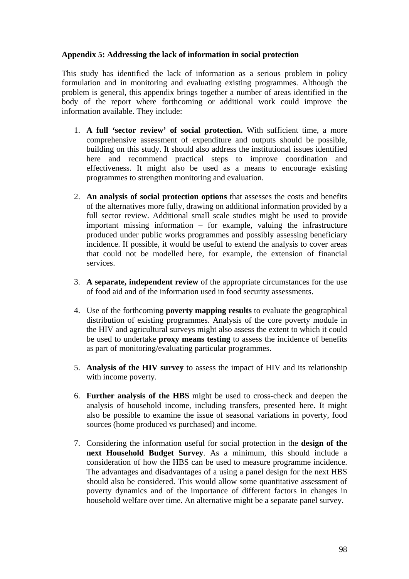## **Appendix 5: Addressing the lack of information in social protection**

This study has identified the lack of information as a serious problem in policy formulation and in monitoring and evaluating existing programmes. Although the problem is general, this appendix brings together a number of areas identified in the body of the report where forthcoming or additional work could improve the information available. They include:

- 1. **A full 'sector review' of social protection.** With sufficient time, a more comprehensive assessment of expenditure and outputs should be possible, building on this study. It should also address the institutional issues identified here and recommend practical steps to improve coordination and effectiveness. It might also be used as a means to encourage existing programmes to strengthen monitoring and evaluation.
- 2. **An analysis of social protection options** that assesses the costs and benefits of the alternatives more fully, drawing on additional information provided by a full sector review. Additional small scale studies might be used to provide important missing information – for example, valuing the infrastructure produced under public works programmes and possibly assessing beneficiary incidence. If possible, it would be useful to extend the analysis to cover areas that could not be modelled here, for example, the extension of financial services.
- 3. **A separate, independent review** of the appropriate circumstances for the use of food aid and of the information used in food security assessments.
- 4. Use of the forthcoming **poverty mapping results** to evaluate the geographical distribution of existing programmes. Analysis of the core poverty module in the HIV and agricultural surveys might also assess the extent to which it could be used to undertake **proxy means testing** to assess the incidence of benefits as part of monitoring/evaluating particular programmes.
- 5. **Analysis of the HIV survey** to assess the impact of HIV and its relationship with income poverty.
- 6. **Further analysis of the HBS** might be used to cross-check and deepen the analysis of household income, including transfers, presented here. It might also be possible to examine the issue of seasonal variations in poverty, food sources (home produced vs purchased) and income.
- 7. Considering the information useful for social protection in the **design of the next Household Budget Survey**. As a minimum, this should include a consideration of how the HBS can be used to measure programme incidence. The advantages and disadvantages of a using a panel design for the next HBS should also be considered. This would allow some quantitative assessment of poverty dynamics and of the importance of different factors in changes in household welfare over time. An alternative might be a separate panel survey.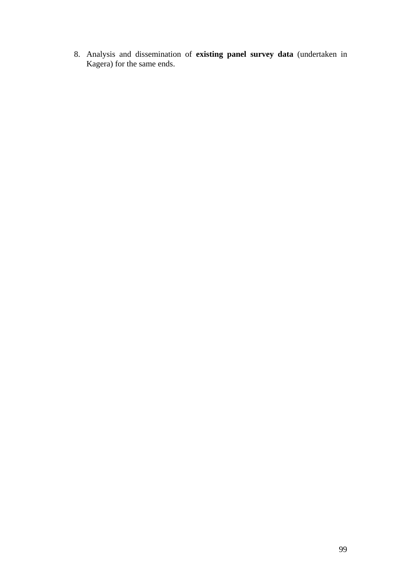8. Analysis and dissemination of **existing panel survey data** (undertaken in Kagera) for the same ends.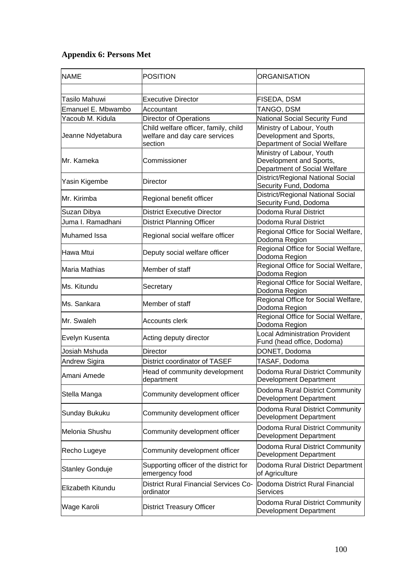# **Appendix 6: Persons Met**

| <b>NAME</b>            | <b>POSITION</b>                                                                  | <b>ORGANISATION</b>                                                                  |  |  |  |
|------------------------|----------------------------------------------------------------------------------|--------------------------------------------------------------------------------------|--|--|--|
|                        |                                                                                  |                                                                                      |  |  |  |
| <b>Tasilo Mahuwi</b>   | <b>Executive Director</b>                                                        | FISEDA, DSM                                                                          |  |  |  |
| Emanuel E. Mbwambo     | Accountant                                                                       | TANGO, DSM                                                                           |  |  |  |
| Yacoub M. Kidula       | <b>Director of Operations</b>                                                    | <b>National Social Security Fund</b>                                                 |  |  |  |
| Jeanne Ndyetabura      | Child welfare officer, family, child<br>welfare and day care services<br>section | Ministry of Labour, Youth<br>Development and Sports,<br>Department of Social Welfare |  |  |  |
| Mr. Kameka             | Commissioner                                                                     | Ministry of Labour, Youth<br>Development and Sports,<br>Department of Social Welfare |  |  |  |
| Yasin Kigembe          | Director                                                                         | District/Regional National Social<br>Security Fund, Dodoma                           |  |  |  |
| IMr. Kirimba           | Regional benefit officer                                                         | District/Regional National Social<br>Security Fund, Dodoma                           |  |  |  |
| Suzan Dibya            | <b>District Executive Director</b>                                               | Dodoma Rural District                                                                |  |  |  |
| Juma I. Ramadhani      | <b>District Planning Officer</b>                                                 | Dodoma Rural District                                                                |  |  |  |
| Muhamed Issa           | Regional social welfare officer                                                  | Regional Office for Social Welfare,<br>Dodoma Region                                 |  |  |  |
| Hawa Mtui              | Deputy social welfare officer                                                    | Regional Office for Social Welfare,<br>Dodoma Region                                 |  |  |  |
| Maria Mathias          | Member of staff                                                                  | Regional Office for Social Welfare,<br>Dodoma Region                                 |  |  |  |
| Ms. Kitundu            | Secretary                                                                        | Regional Office for Social Welfare,<br>Dodoma Region                                 |  |  |  |
| Ms. Sankara            | Member of staff                                                                  | Regional Office for Social Welfare,<br>Dodoma Region                                 |  |  |  |
| Mr. Swaleh             | Accounts clerk                                                                   | Regional Office for Social Welfare,<br>Dodoma Region                                 |  |  |  |
| Evelyn Kusenta         | Acting deputy director                                                           | <b>Local Administration Provident</b><br>Fund (head office, Dodoma)                  |  |  |  |
| Josiah Mshuda          | Director                                                                         | DONET, Dodoma                                                                        |  |  |  |
| Andrew Sigira          | District coordinator of TASEF                                                    | TASAF, Dodoma                                                                        |  |  |  |
| Amani Amede            | Head of community development<br>department                                      | Dodoma Rural District Community<br><b>Development Department</b>                     |  |  |  |
| Stella Manga           | Community development officer                                                    | Dodoma Rural District Community<br>Development Department                            |  |  |  |
| Sunday Bukuku          | Community development officer                                                    | Dodoma Rural District Community<br>Development Department                            |  |  |  |
| Melonia Shushu         | Community development officer                                                    | Dodoma Rural District Community<br>Development Department                            |  |  |  |
| Recho Lugeye           | Community development officer                                                    | Dodoma Rural District Community<br>Development Department                            |  |  |  |
| <b>Stanley Gonduje</b> | Supporting officer of the district for<br>emergency food                         | Dodoma Rural District Department<br>of Agriculture                                   |  |  |  |
| Elizabeth Kitundu      | <b>District Rural Financial Services Co-</b><br>ordinator                        | Dodoma District Rural Financial<br>Services                                          |  |  |  |
| Wage Karoli            | <b>District Treasury Officer</b>                                                 | Dodoma Rural District Community<br>Development Department                            |  |  |  |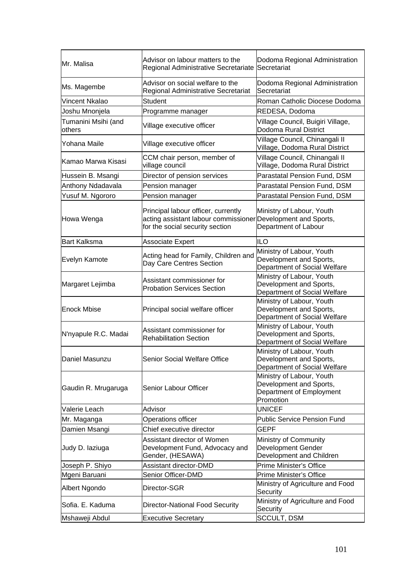| Mr. Malisa                    | Advisor on labour matters to the<br>Regional Administrative Secretariate                                                               | Dodoma Regional Administration<br>Secretariat                                                 |
|-------------------------------|----------------------------------------------------------------------------------------------------------------------------------------|-----------------------------------------------------------------------------------------------|
| Ms. Magembe                   | Advisor on social welfare to the<br>Regional Administrative Secretariat                                                                | Dodoma Regional Administration<br>Secretariat                                                 |
| Vincent Nkalao                | <b>Student</b>                                                                                                                         | Roman Catholic Diocese Dodoma                                                                 |
| Joshu Mnonjela                | Programme manager                                                                                                                      | REDESA, Dodoma                                                                                |
| Tumanini Msihi (and<br>others | Village executive officer                                                                                                              | Village Council, Buigiri Village,<br>Dodoma Rural District                                    |
| Yohana Maile                  | Village executive officer                                                                                                              | Village Council, Chinangali II<br>Village, Dodoma Rural District                              |
| Kamao Marwa Kisasi            | CCM chair person, member of<br>village council                                                                                         | Village Council, Chinangali II<br>Village, Dodoma Rural District                              |
| Hussein B. Msangi             | Director of pension services                                                                                                           | Parastatal Pension Fund, DSM                                                                  |
| Anthony Ndadavala             | Pension manager                                                                                                                        | Parastatal Pension Fund, DSM                                                                  |
| Yusuf M. Ngororo              | Pension manager                                                                                                                        | Parastatal Pension Fund, DSM                                                                  |
| Howa Wenga                    | Principal labour officer, currently<br>acting assistant labour commissioner Development and Sports,<br>for the social security section | Ministry of Labour, Youth<br>Department of Labour                                             |
| <b>Bart Kalksma</b>           | <b>Associate Expert</b>                                                                                                                | <b>ILO</b>                                                                                    |
| Evelyn Kamote                 | Acting head for Family, Children and<br>Day Care Centres Section                                                                       | Ministry of Labour, Youth<br>Development and Sports,<br>Department of Social Welfare          |
| Margaret Lejimba              | Assistant commissioner for<br><b>Probation Services Section</b>                                                                        | Ministry of Labour, Youth<br>Development and Sports,<br>Department of Social Welfare          |
| <b>Enock Mbise</b>            | Principal social welfare officer                                                                                                       | Ministry of Labour, Youth<br>Development and Sports,<br>Department of Social Welfare          |
| N'nyapule R.C. Madai          | Assistant commissioner for<br><b>Rehabilitation Section</b>                                                                            | Ministry of Labour, Youth<br>Development and Sports,<br>Department of Social Welfare          |
| Daniel Masunzu                | Senior Social Welfare Office                                                                                                           | Ministry of Labour, Youth<br>Development and Sports,<br>Department of Social Welfare          |
| Gaudin R. Mrugaruga           | Senior Labour Officer                                                                                                                  | Ministry of Labour, Youth<br>Development and Sports,<br>Department of Employment<br>Promotion |
| Valerie Leach                 | Advisor                                                                                                                                | <b>UNICEF</b>                                                                                 |
| Mr. Maganga                   | Operations officer                                                                                                                     | <b>Public Service Pension Fund</b>                                                            |
| Damien Msangi                 | Chief executive director                                                                                                               | <b>GEPF</b>                                                                                   |
| Judy D. laziuga               | Assistant director of Women<br>Development Fund, Advocacy and<br>Gender, (HESAWA)                                                      | Ministry of Community<br><b>Development Gender</b><br>Development and Children                |
| Joseph P. Shiyo               | Assistant director-DMD                                                                                                                 | Prime Minister's Office                                                                       |
| Mgeni Baruani                 | Senior Officer-DMD                                                                                                                     | Prime Minister's Office                                                                       |
| Albert Ngondo                 | Director-SGR                                                                                                                           | Ministry of Agriculture and Food<br>Security                                                  |
| Sofia. E. Kaduma              | <b>Director-National Food Security</b>                                                                                                 | Ministry of Agriculture and Food<br>Security                                                  |
| Mshaweji Abdul                | <b>Executive Secretary</b>                                                                                                             | <b>SCCULT, DSM</b>                                                                            |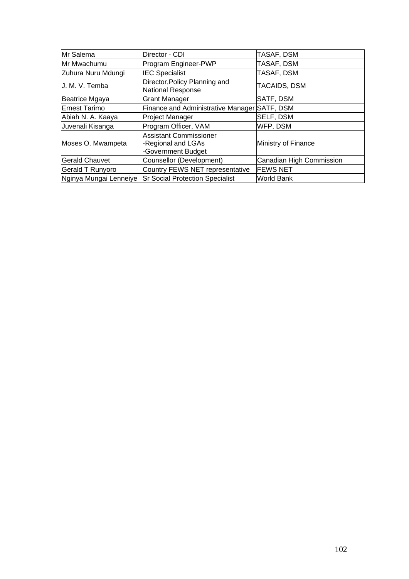| Mr Salema              | Director - CDI                                                            | TASAF, DSM               |
|------------------------|---------------------------------------------------------------------------|--------------------------|
| Mr Mwachumu            | Program Engineer-PWP                                                      | TASAF, DSM               |
| Zuhura Nuru Mdungi     | <b>IEC Specialist</b>                                                     | TASAF, DSM               |
| J. M. V. Temba         | Director, Policy Planning and<br>National Response                        | TACAIDS, DSM             |
| Beatrice Mgaya         | <b>Grant Manager</b>                                                      | SATF, DSM                |
| <b>Ernest Tarimo</b>   | Finance and Administrative Manager SATF, DSM                              |                          |
| Abiah N. A. Kaaya      | <b>Project Manager</b>                                                    | SELF, DSM                |
| Juvenali Kisanga       | Program Officer, VAM                                                      | WFP, DSM                 |
| Moses O. Mwampeta      | <b>Assistant Commissioner</b><br>-Regional and LGAs<br>-Government Budget | Ministry of Finance      |
| <b>Gerald Chauvet</b>  | Counsellor (Development)                                                  | Canadian High Commission |
| Gerald T Runyoro       | Country FEWS NET representative                                           | <b>FEWS NET</b>          |
| Nginya Mungai Lenneiye | <b>Sr Social Protection Specialist</b>                                    | <b>World Bank</b>        |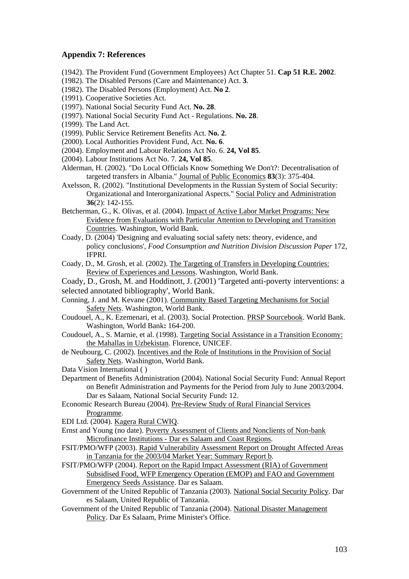## **Appendix 7: References**

- (1942). The Provident Fund (Government Employees) Act Chapter 51. **Cap 51 R.E. 2002**.
- (1982). The Disabled Persons (Care and Maintenance) Act. **3**.
- (1982). The Disabled Persons (Employment) Act. **No 2**.
- (1991). Cooperative Societies Act.
- (1997). National Social Security Fund Act. **No. 28**.
- (1997). National Social Security Fund Act Regulations. **No. 28**.
- (1999). The Land Act.
- (1999). Public Service Retirement Benefits Act. **No. 2**.
- (2000). Local Authorities Provident Fund, Act. **No. 6**.
- (2004). Employment and Labour Relations Act No. 6. **24, Vol 85**.
- (2004). Labour Institutions Act No. 7. **24, Vol 85**.
- Alderman, H. (2002). "Do Local Officials Know Something We Don't?: Decentralisation of targeted transfers in Albania." Journal of Public Economics **83**(3): 375-404.
- Axelsson, R. (2002). "Institutional Developments in the Russian System of Social Security: Organizational and Interorganizational Aspects." Social Policy and Administration **36**(2): 142-155.
- Betcherman, G., K. Olivas, et al. (2004). Impact of Active Labor Market Programs: New Evidence from Evaluations with Particular Attention to Developing and Transition Countries. Washington, World Bank.
- Coady, D. (2004) 'Designing and evaluating social safety nets: theory, evidence, and policy conclusions', *Food Consumption and Nutrition Division Discussion Paper* 172, IFPRI.
- Coady, D., M. Grosh, et al. (2002). The Targeting of Transfers in Developing Countries: Review of Experiences and Lessons. Washington, World Bank.

Coady, D., Grosh, M. and Hoddinott, J. (2001) 'Targeted anti-poverty interventions: a selected annotated bibliography', World Bank.

- Conning, J. and M. Kevane (2001). Community Based Targeting Mechanisms for Social Safety Nets. Washington, World Bank.
- Coudouel, A., K. Ezemenari, et al. (2003). Social Protection. PRSP Sourcebook. World Bank. Washington, World Bank**:** 164-200.
- Coudouel, A., S. Marnie, et al. (1998). Targeting Social Assistance in a Transition Economy: the Mahallas in Uzbekistan. Florence, UNICEF.
- de Neubourg, C. (2002). Incentives and the Role of Institutions in the Provision of Social Safety Nets. Washington, World Bank.
- Data Vision International ( )
- Department of Benefits Administration (2004). National Social Security Fund: Annual Report on Benefit Administration and Payments for the Period from July to June 2003/2004. Dar es Salaam, National Social Security Fund**:** 12.
- Economic Research Bureau (2004). Pre-Review Study of Rural Financial Services Programme.
- EDI Ltd. (2004). Kagera Rural CWIQ.
- Ernst and Young (no date). Poverty Assessment of Clients and Nonclients of Non-bank Microfinance Institutions - Dar es Salaam and Coast Regions.
- FSIT/PMO/WFP (2003). Rapid Vulnerability Assessment Report on Drought Affected Areas in Tanzania for the 2003/04 Market Year: Summary Report b.
- FSIT/PMO/WFP (2004). Report on the Rapid Impact Assessment (RIA) of Government Subsidised Food, WFP Emergency Operation (EMOP) and FAO and Government Emergency Seeds Assistance. Dar es Salaam.
- Government of the United Republic of Tanzania (2003). National Social Security Policy. Dar es Salaam, United Republic of Tanzania.
- Government of the United Republic of Tanzania (2004). National Disaster Management Policy. Dar Es Salaam, Prime Minister's Office.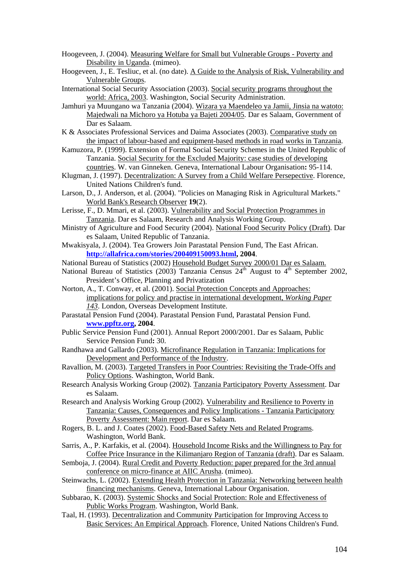- Hoogeveen, J. (2004). Measuring Welfare for Small but Vulnerable Groups Poverty and Disability in Uganda. (mimeo).
- Hoogeveen, J., E. Tesliuc, et al. (no date). A Guide to the Analysis of Risk, Vulnerability and Vulnerable Groups.
- International Social Security Association (2003). Social security programs throughout the world: Africa, 2003. Washington, Social Security Administration.
- Jamhuri ya Muungano wa Tanzania (2004). Wizara ya Maendeleo ya Jamii, Jinsia na watoto: Majedwali na Michoro ya Hotuba ya Bajeti 2004/05. Dar es Salaam, Government of Dar es Salaam.
- K & Associates Professional Services and Daima Associates (2003). Comparative study on the impact of labour-based and equipment-based methods in road works in Tanzania.
- Kamuzora, P. (1999). Extension of Formal Social Security Schemes in the United Republic of Tanzania. Social Security for the Excluded Majority: case studies of developing countries. W. van Ginneken. Geneva, International Labour Organisation**:** 95-114.
- Klugman, J. (1997). Decentralization: A Survey from a Child Welfare Persepective. Florence, United Nations Children's fund.
- Larson, D., J. Anderson, et al. (2004). "Policies on Managing Risk in Agricultural Markets." World Bank's Research Observer **19**(2).
- Lerisse, F., D. Mmari, et al. (2003). Vulnerability and Social Protection Programmes in Tanzania. Dar es Salaam, Research and Analysis Working Group.
- Ministry of Agriculture and Food Security (2004). National Food Security Policy (Draft). Dar es Salaam, United Republic of Tanzania.
- Mwakisyala, J. (2004). Tea Growers Join Parastatal Pension Fund, The East African. **http://allafrica.com/stories/200409150093.html, 2004**.
- National Bureau of Statistics (2002) Household Budget Survey 2000/01 Dar es Salaam.
- National Bureau of Statistics (2003) Tanzania Census  $24<sup>th</sup>$  August to  $4<sup>th</sup>$  September 2002, President's Office, Planning and Privatization
- Norton, A., T. Conway, et al. (2001). Social Protection Concepts and Approaches: implications for policy and practise in international development, *Working Paper 143*. London, Overseas Development Institute.
- Parastatal Pension Fund (2004). Parastatal Pension Fund, Parastatal Pension Fund. **www.ppftz.org, 2004**.
- Public Service Pension Fund (2001). Annual Report 2000/2001. Dar es Salaam, Public Service Pension Fund**:** 30.
- Randhawa and Gallardo (2003). Microfinance Regulation in Tanzania: Implications for Development and Performance of the Industry.
- Ravallion, M. (2003). Targeted Transfers in Poor Countries: Revisiting the Trade-Offs and Policy Options. Washington, World Bank.
- Research Analysis Working Group (2002). Tanzania Participatory Poverty Assessment. Dar es Salaam.
- Research and Analysis Working Group (2002). Vulnerability and Resilience to Poverty in Tanzania: Causes, Consequences and Policy Implications - Tanzania Participatory Poverty Assessment: Main report. Dar es Salaam.
- Rogers, B. L. and J. Coates (2002). Food-Based Safety Nets and Related Programs. Washington, World Bank.
- Sarris, A., P. Karfakis, et al. (2004). Household Income Risks and the Willingness to Pay for Coffee Price Insurance in the Kilimanjaro Region of Tanzania (draft). Dar es Salaam.
- Semboja, J. (2004). Rural Credit and Poverty Reduction: paper prepared for the 3rd annual conference on micro-finance at AIIC Arusha. (mimeo).
- Steinwachs, L. (2002). Extending Health Protection in Tanzania: Networking between health financing mechanisms. Geneva, International Labour Organisation.
- Subbarao, K. (2003). Systemic Shocks and Social Protection: Role and Effectiveness of Public Works Program. Washington, World Bank.
- Taal, H. (1993). Decentralization and Community Participation for Improving Access to Basic Services: An Empirical Approach. Florence, United Nations Children's Fund.